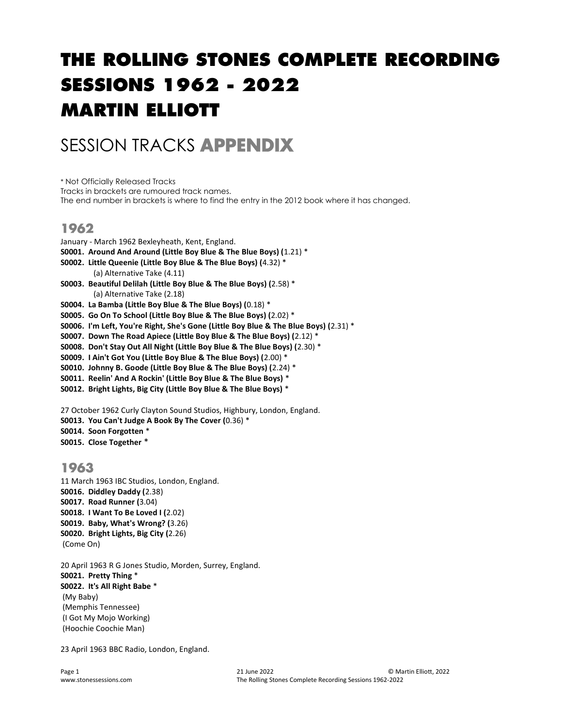# THE ROLLING STONES COMPLETE RECORDING SESSIONS 1962 - 2022 MARTIN ELLIOTT

# SESSION TRACKS APPENDIX

\* Not Officially Released Tracks Tracks in brackets are rumoured track names. The end number in brackets is where to find the entry in the 2012 book where it has changed.

# 1962

January - March 1962 Bexleyheath, Kent, England. S0001. Around And Around (Little Boy Blue & The Blue Boys) (1.21) \* S0002. Little Queenie (Little Boy Blue & The Blue Boys) (4.32) \* (a) Alternative Take (4.11) S0003. Beautiful Delilah (Little Boy Blue & The Blue Boys) (2.58) \* (a) Alternative Take (2.18) S0004. La Bamba (Little Boy Blue & The Blue Boys) (0.18) \* S0005. Go On To School (Little Boy Blue & The Blue Boys) (2.02) \* S0006. I'm Left, You're Right, She's Gone (Little Boy Blue & The Blue Boys) (2.31) \* S0007. Down The Road Apiece (Little Boy Blue & The Blue Boys) (2.12) \* S0008. Don't Stay Out All Night (Little Boy Blue & The Blue Boys) (2.30) \* S0009. I Ain't Got You (Little Boy Blue & The Blue Boys) (2.00) \* S0010. Johnny B. Goode (Little Boy Blue & The Blue Boys) (2.24) \* S0011. Reelin' And A Rockin' (Little Boy Blue & The Blue Boys) \* S0012. Bright Lights, Big City (Little Boy Blue & The Blue Boys) \*

27 October 1962 Curly Clayton Sound Studios, Highbury, London, England. S0013. You Can't Judge A Book By The Cover (0.36) \* S0014. Soon Forgotten \* S0015. Close Together \*

# 1963

11 March 1963 IBC Studios, London, England. S0016. Diddley Daddy (2.38) S0017. Road Runner (3.04) S0018. I Want To Be Loved I (2.02) S0019. Baby, What's Wrong? (3.26) S0020. Bright Lights, Big City (2.26) (Come On)

20 April 1963 R G Jones Studio, Morden, Surrey, England. S0021. Pretty Thing \* S0022. It's All Right Babe \* (My Baby) (Memphis Tennessee) (I Got My Mojo Working) (Hoochie Coochie Man)

23 April 1963 BBC Radio, London, England.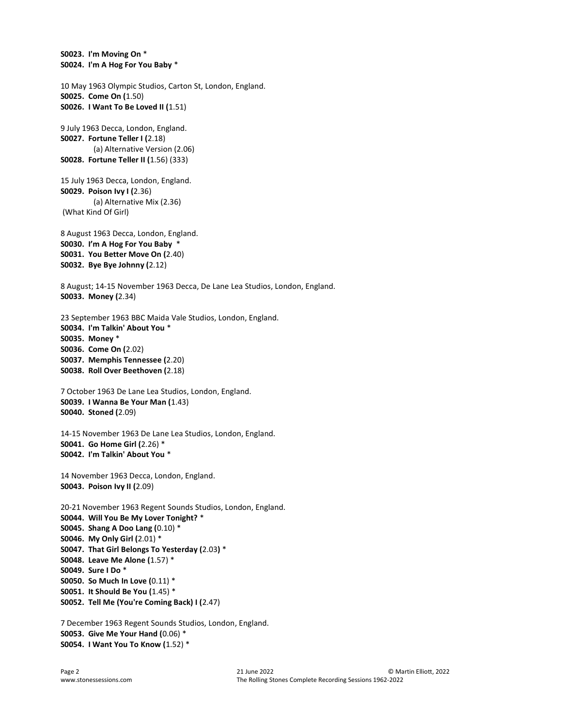```
S0023. I'm Moving On * 
S0024. I'm A Hog For You Baby * 
10 May 1963 Olympic Studios, Carton St, London, England. 
S0025. Come On (1.50) 
S0026. I Want To Be Loved II (1.51) 
9 July 1963 Decca, London, England.
S0027. Fortune Teller I (2.18) 
          (a) Alternative Version (2.06) 
S0028. Fortune Teller II (1.56) (333) 
15 July 1963 Decca, London, England.
S0029. Poison Ivy I (2.36) 
          (a) Alternative Mix (2.36) 
 (What Kind Of Girl) 
8 August 1963 Decca, London, England. 
S0030. I'm A Hog For You Baby
S0031. You Better Move On (2.40) 
S0032. Bye Bye Johnny (2.12) 
8 August; 14-15 November 1963 Decca, De Lane Lea Studios, London, England.
S0033. Money (2.34) 
23 September 1963 BBC Maida Vale Studios, London, England.
S0034. I'm Talkin' About You * 
S0035. Money * 
S0036. Come On (2.02) 
S0037. Memphis Tennessee (2.20) 
S0038. Roll Over Beethoven (2.18) 
7 October 1963 De Lane Lea Studios, London, England.
S0039. I Wanna Be Your Man (1.43) 
S0040. Stoned (2.09) 
14-15 November 1963 De Lane Lea Studios, London, England.
S0041. Go Home Girl (2.26) * 
S0042. I'm Talkin' About You * 
14 November 1963 Decca, London, England. 
S0043. Poison Ivy II (2.09) 
20-21 November 1963 Regent Sounds Studios, London, England.
S0044. Will You Be My Lover Tonight? * 
S0045. Shang A Doo Lang (0.10) * 
S0046. My Only Girl (2.01) * 
S0047. That Girl Belongs To Yesterday (2.03) * 
S0048. Leave Me Alone (1.57) * 
S0049. Sure I Do * 
S0050. So Much In Love (0.11) * 
S0051. It Should Be You (1.45) * 
S0052. Tell Me (You're Coming Back) I (2.47)
```

```
7 December 1963 Regent Sounds Studios, London, England.
S0053. Give Me Your Hand (0.06) * 
S0054. I Want You To Know (1.52) *
```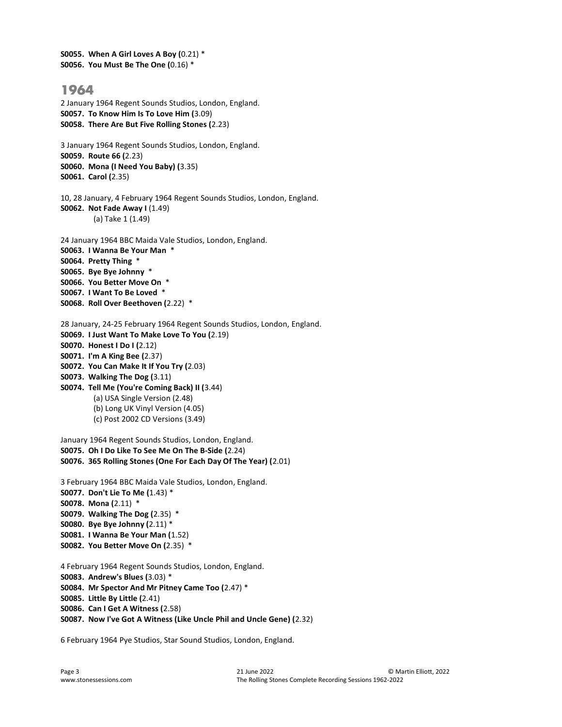```
S0055. When A Girl Loves A Boy (0.21) * 
S0056. You Must Be The One (0.16) * 
1964
2 January 1964 Regent Sounds Studios, London, England.
S0057. To Know Him Is To Love Him (3.09) 
S0058. There Are But Five Rolling Stones (2.23) 
3 January 1964 Regent Sounds Studios, London, England.
S0059. Route 66 (2.23) 
S0060. Mona (I Need You Baby) (3.35) 
S0061. Carol (2.35) 
10, 28 January, 4 February 1964 Regent Sounds Studios, London, England.
S0062. Not Fade Away I (1.49) 
          (a) Take 1 (1.49) 
24 January 1964 BBC Maida Vale Studios, London, England. 
S0063. I Wanna Be Your Man * 
S0064. Pretty Thing * 
S0065. Bye Bye Johnny * 
S0066. You Better Move On * 
S0067. I Want To Be Loved * 
S0068. Roll Over Beethoven (2.22) * 
28 January, 24-25 February 1964 Regent Sounds Studios, London, England. 
S0069. I Just Want To Make Love To You (2.19) 
S0070. Honest I Do I (2.12) 
S0071. I'm A King Bee (2.37) 
S0072. You Can Make It If You Try (2.03) 
S0073. Walking The Dog (3.11) 
S0074. Tell Me (You're Coming Back) II (3.44) 
          (a) USA Single Version (2.48) 
          (b) Long UK Vinyl Version (4.05) 
          (c) Post 2002 CD Versions (3.49) 
January 1964 Regent Sounds Studios, London, England.
S0075. Oh I Do Like To See Me On The B-Side (2.24) 
S0076. 365 Rolling Stones (One For Each Day Of The Year) (2.01) 
3 February 1964 BBC Maida Vale Studios, London, England.
S0077. Don't Lie To Me (1.43) * 
S0078. Mona (2.11) * 
S0079. Walking The Dog (2.35) * 
S0080. Bye Bye Johnny (2.11) * 
S0081. I Wanna Be Your Man (1.52) 
S0082. You Better Move On (2.35) * 
4 February 1964 Regent Sounds Studios, London, England. 
S0083. Andrew's Blues (3.03) * 
S0084. Mr Spector And Mr Pitney Came Too (2.47) * 
S0085. Little By Little (2.41) 
S0086. Can I Get A Witness (2.58) 
S0087. Now I've Got A Witness (Like Uncle Phil and Uncle Gene) (2.32)
```
6 February 1964 Pye Studios, Star Sound Studios, London, England.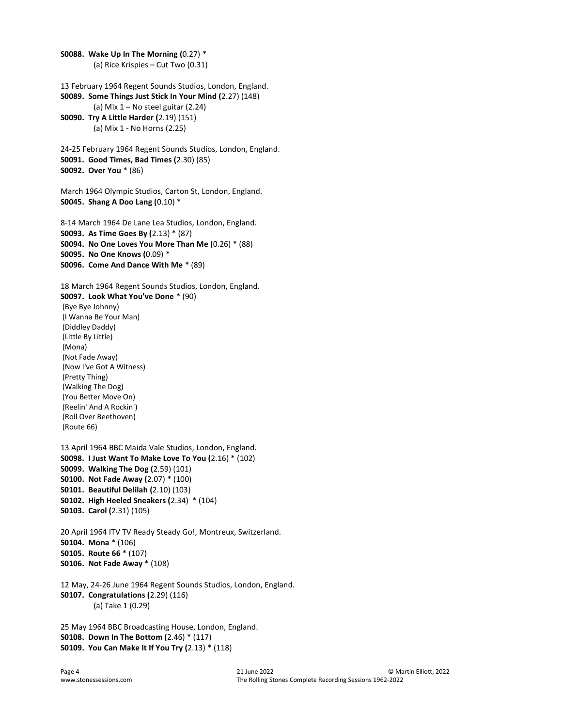```
S0088. Wake Up In The Morning (0.27) * 
          (a) Rice Krispies – Cut Two (0.31) 
13 February 1964 Regent Sounds Studios, London, England.
S0089. Some Things Just Stick In Your Mind (2.27) (148) 
         (a) Mix 1 - No steel guitar (2.24)
S0090. Try A Little Harder (2.19) (151) 
          (a) Mix 1 - No Horns (2.25) 
24-25 February 1964 Regent Sounds Studios, London, England.
S0091. Good Times, Bad Times (2.30) (85) 
S0092. Over You * (86) 
March 1964 Olympic Studios, Carton St, London, England.
S0045. Shang A Doo Lang (0.10) * 
8-14 March 1964 De Lane Lea Studios, London, England. 
S0093. As Time Goes By (2.13) * (87) 
S0094. No One Loves You More Than Me (0.26) * (88) 
S0095. No One Knows (0.09) * 
S0096. Come And Dance With Me * (89) 
18 March 1964 Regent Sounds Studios, London, England. 
S0097. Look What You've Done * (90) 
 (Bye Bye Johnny) 
 (I Wanna Be Your Man) 
 (Diddley Daddy) 
 (Little By Little) 
 (Mona) 
 (Not Fade Away) 
 (Now I've Got A Witness) 
 (Pretty Thing) 
 (Walking The Dog) 
 (You Better Move On) 
 (Reelin' And A Rockin') 
 (Roll Over Beethoven) 
 (Route 66)
13 April 1964 BBC Maida Vale Studios, London, England.
S0098. I Just Want To Make Love To You (2.16) * (102) 
S0099. Walking The Dog (2.59) (101) 
S0100. Not Fade Away (2.07) * (100) 
S0101. Beautiful Delilah (2.10) (103) 
S0102. High Heeled Sneakers (2.34) * (104) 
S0103. Carol (2.31) (105) 
20 April 1964 ITV TV Ready Steady Go!, Montreux, Switzerland.
S0104. Mona * (106) 
S0105. Route 66 * (107) 
S0106. Not Fade Away * (108) 
12 May, 24-26 June 1964 Regent Sounds Studios, London, England.
S0107. Congratulations (2.29) (116) 
          (a) Take 1 (0.29) 
25 May 1964 BBC Broadcasting House, London, England.
S0108. Down In The Bottom (2.46) * (117)
```

```
S0109. You Can Make It If You Try (2.13) * (118)
```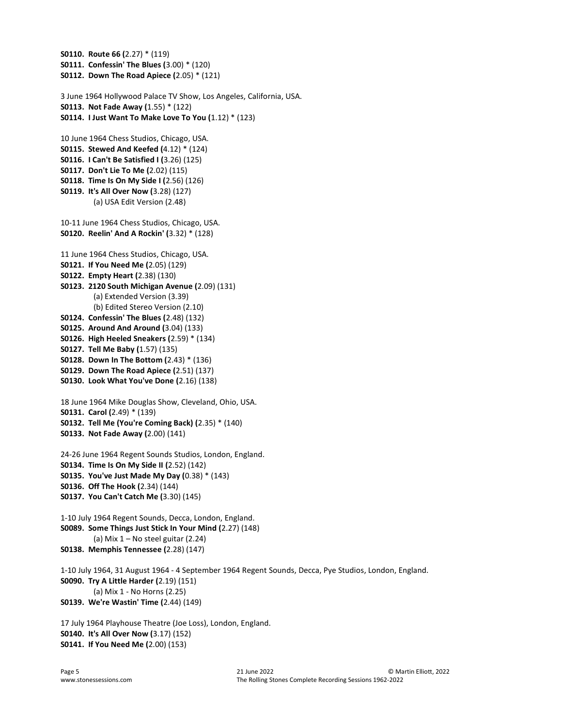```
S0110. Route 66 (2.27) * (119) 
S0111. Confessin' The Blues (3.00) * (120) 
S0112. Down The Road Apiece (2.05) * (121) 
3 June 1964 Hollywood Palace TV Show, Los Angeles, California, USA.
S0113. Not Fade Away (1.55) * (122) 
S0114. I Just Want To Make Love To You (1.12) * (123) 
10 June 1964 Chess Studios, Chicago, USA.
S0115. Stewed And Keefed (4.12) * (124) 
S0116. I Can't Be Satisfied I (3.26) (125) 
S0117. Don't Lie To Me (2.02) (115)
S0118. Time Is On My Side I (2.56) (126) 
S0119. It's All Over Now (3.28) (127) 
          (a) USA Edit Version (2.48) 
10-11 June 1964 Chess Studios, Chicago, USA.
S0120. Reelin' And A Rockin' (3.32) * (128) 
11 June 1964 Chess Studios, Chicago, USA.
S0121. If You Need Me (2.05) (129) 
S0122. Empty Heart (2.38) (130) 
S0123. 2120 South Michigan Avenue (2.09) (131) 
          (a) Extended Version (3.39) 
          (b) Edited Stereo Version (2.10) 
S0124. Confessin' The Blues (2.48) (132) 
S0125. Around And Around (3.04) (133) 
S0126. High Heeled Sneakers (2.59) * (134) 
S0127. Tell Me Baby (1.57) (135) 
S0128. Down In The Bottom (2.43) * (136) 
S0129. Down The Road Apiece (2.51) (137) 
S0130. Look What You've Done (2.16) (138) 
18 June 1964 Mike Douglas Show, Cleveland, Ohio, USA.
S0131. Carol (2.49) * (139) 
S0132. Tell Me (You're Coming Back) (2.35) * (140) 
S0133. Not Fade Away (2.00) (141) 
24-26 June 1964 Regent Sounds Studios, London, England.
S0134. Time Is On My Side II (2.52) (142) 
S0135. You've Just Made My Day (0.38) * (143) 
S0136. Off The Hook (2.34) (144) 
S0137. You Can't Catch Me (3.30) (145) 
1-10 July 1964 Regent Sounds, Decca, London, England.
S0089. Some Things Just Stick In Your Mind (2.27) (148) 
         (a) Mix 1 - No steel guitar (2.24)
S0138. Memphis Tennessee (2.28) (147) 
1-10 July 1964, 31 August 1964 - 4 September 1964 Regent Sounds, Decca, Pye Studios, London, England.
S0090. Try A Little Harder (2.19) (151) 
          (a) Mix 1 - No Horns (2.25) 
S0139. We're Wastin' Time (2.44) (149) 
17 July 1964 Playhouse Theatre (Joe Loss), London, England.
S0140. It's All Over Now (3.17) (152) 
S0141. If You Need Me (2.00) (153)
```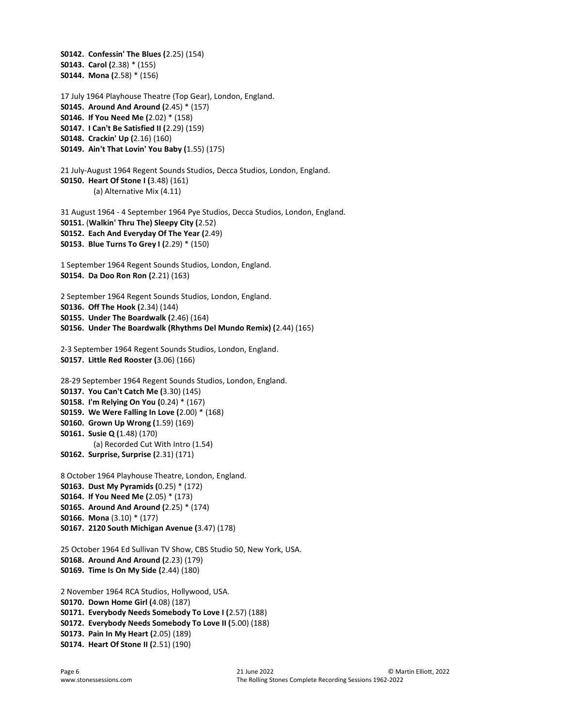```
S0142. Confessin' The Blues (2.25) (154) 
S0143. Carol (2.38) * (155) 
S0144. Mona (2.58) * (156) 
17 July 1964 Playhouse Theatre (Top Gear), London, England. 
S0145. Around And Around (2.45) * (157) 
S0146. If You Need Me (2.02) * (158) 
S0147. I Can't Be Satisfied II (2.29) (159) 
S0148. Crackin' Up (2.16) (160) 
S0149. Ain't That Lovin' You Baby (1.55) (175) 
21 July-August 1964 Regent Sounds Studios, Decca Studios, London, England.
S0150. Heart Of Stone I (3.48) (161) 
          (a) Alternative Mix (4.11) 
31 August 1964 - 4 September 1964 Pye Studios, Decca Studios, London, England.
S0151. (Walkin' Thru The) Sleepy City (2.52) 
S0152. Each And Everyday Of The Year (2.49) 
S0153. Blue Turns To Grey I (2.29) * (150) 
1 September 1964 Regent Sounds Studios, London, England.
S0154. Da Doo Ron Ron (2.21) (163) 
2 September 1964 Regent Sounds Studios, London, England.
S0136. Off The Hook (2.34) (144) 
S0155. Under The Boardwalk (2.46) (164) 
S0156. Under The Boardwalk (Rhythms Del Mundo Remix) (2.44) (165) 
2-3 September 1964 Regent Sounds Studios, London, England.
S0157. Little Red Rooster (3.06) (166) 
28-29 September 1964 Regent Sounds Studios, London, England.
S0137. You Can't Catch Me (3.30) (145)
S0158. I'm Relying On You (0.24) * (167) 
S0159. We Were Falling In Love (2.00) * (168) 
S0160. Grown Up Wrong (1.59) (169) 
S0161. Susie Q (1.48) (170) 
          (a) Recorded Cut With Intro (1.54) 
S0162. Surprise, Surprise (2.31) (171) 
8 October 1964 Playhouse Theatre, London, England. 
S0163. Dust My Pyramids (0.25) * (172) 
S0164. If You Need Me (2.05) * (173) 
S0165. Around And Around (2.25) * (174) 
S0166. Mona (3.10) * (177) 
S0167. 2120 South Michigan Avenue (3.47) (178) 
25 October 1964 Ed Sullivan TV Show, CBS Studio 50, New York, USA.
S0168. Around And Around (2.23) (179) 
S0169. Time Is On My Side (2.44) (180) 
2 November 1964 RCA Studios, Hollywood, USA.
S0170. Down Home Girl (4.08) (187) 
S0171. Everybody Needs Somebody To Love I (2.57) (188) 
S0172. Everybody Needs Somebody To Love II (5.00) (188) 
S0173. Pain In My Heart (2.05) (189) 
S0174. Heart Of Stone II (2.51) (190)
```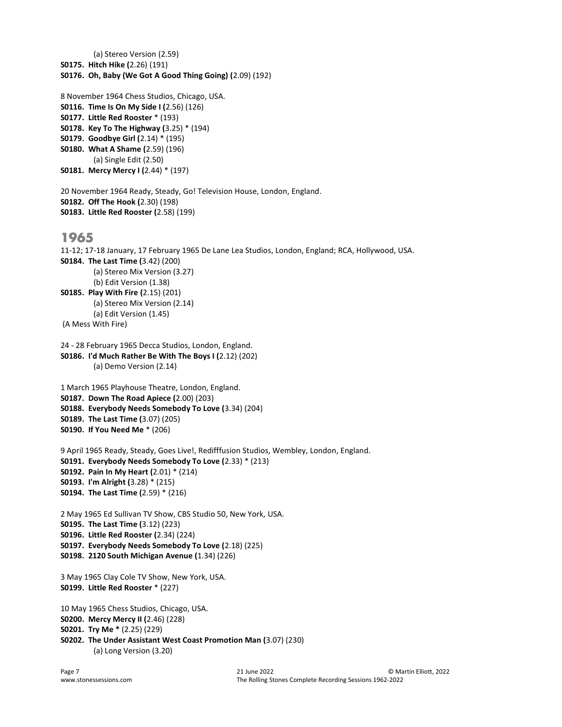```
 (a) Stereo Version (2.59) 
S0175. Hitch Hike (2.26) (191) 
S0176. Oh, Baby (We Got A Good Thing Going) (2.09) (192) 
8 November 1964 Chess Studios, Chicago, USA.
S0116. Time Is On My Side I (2.56) (126) 
S0177. Little Red Rooster * (193) 
S0178. Key To The Highway (3.25) * (194) 
S0179. Goodbye Girl (2.14) * (195) 
S0180. What A Shame (2.59) (196) 
          (a) Single Edit (2.50) 
S0181. Mercy Mercy I (2.44) * (197) 
20 November 1964 Ready, Steady, Go! Television House, London, England.
S0182. Off The Hook (2.30) (198) 
S0183. Little Red Rooster (2.58) (199) 
1965
11-12; 17-18 January, 17 February 1965 De Lane Lea Studios, London, England; RCA, Hollywood, USA.
S0184. The Last Time (3.42) (200) 
          (a) Stereo Mix Version (3.27) 
          (b) Edit Version (1.38) 
S0185. Play With Fire (2.15) (201) 
          (a) Stereo Mix Version (2.14) 
          (a) Edit Version (1.45) 
 (A Mess With Fire) 
24 - 28 February 1965 Decca Studios, London, England.
S0186. I'd Much Rather Be With The Boys I (2.12) (202) 
          (a) Demo Version (2.14) 
1 March 1965 Playhouse Theatre, London, England.
S0187. Down The Road Apiece (2.00) (203) 
S0188. Everybody Needs Somebody To Love (3.34) (204) 
S0189. The Last Time (3.07) (205) 
S0190. If You Need Me * (206) 
9 April 1965 Ready, Steady, Goes Live!, Redifffusion Studios, Wembley, London, England.
S0191. Everybody Needs Somebody To Love (2.33) * (213) 
S0192. Pain In My Heart (2.01) * (214) 
S0193. I'm Alright (3.28) * (215) 
S0194. The Last Time (2.59) * (216) 
2 May 1965 Ed Sullivan TV Show, CBS Studio 50, New York, USA.
S0195. The Last Time (3.12) (223) 
S0196. Little Red Rooster (2.34) (224) 
S0197. Everybody Needs Somebody To Love (2.18) (225) 
S0198. 2120 South Michigan Avenue (1.34) (226) 
3 May 1965 Clay Cole TV Show, New York, USA.
S0199. Little Red Rooster * (227) 
10 May 1965 Chess Studios, Chicago, USA.
S0200. Mercy Mercy II (2.46) (228) 
S0201. Try Me * (2.25) (229) 
S0202. The Under Assistant West Coast Promotion Man (3.07) (230) 
          (a) Long Version (3.20)
```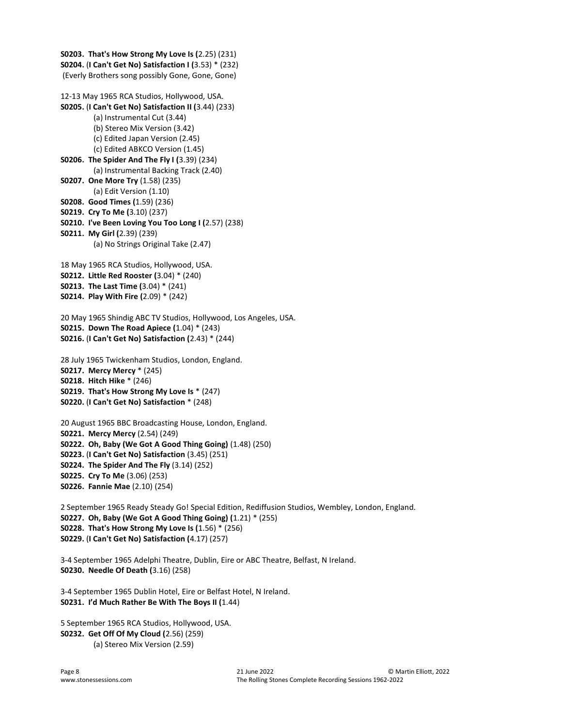```
S0203. That's How Strong My Love Is (2.25) (231) 
S0204. (I Can't Get No) Satisfaction I (3.53) * (232) 
 (Everly Brothers song possibly Gone, Gone, Gone) 
12-13 May 1965 RCA Studios, Hollywood, USA.
S0205. (I Can't Get No) Satisfaction II (3.44) (233) 
          (a) Instrumental Cut (3.44) 
          (b) Stereo Mix Version (3.42) 
          (c) Edited Japan Version (2.45) 
          (c) Edited ABKCO Version (1.45) 
S0206. The Spider And The Fly I (3.39) (234) 
          (a) Instrumental Backing Track (2.40) 
S0207. One More Try (1.58) (235) 
          (a) Edit Version (1.10) 
S0208. Good Times (1.59) (236) 
S0219. Cry To Me (3.10) (237) 
S0210. I've Been Loving You Too Long I (2.57) (238) 
S0211. My Girl (2.39) (239) 
          (a) No Strings Original Take (2.47) 
18 May 1965 RCA Studios, Hollywood, USA.
S0212. Little Red Rooster (3.04) * (240) 
S0213. The Last Time (3.04) * (241) 
S0214. Play With Fire (2.09) * (242) 
20 May 1965 Shindig ABC TV Studios, Hollywood, Los Angeles, USA.
S0215. Down The Road Apiece (1.04) * (243) 
S0216. (I Can't Get No) Satisfaction (2.43) * (244) 
28 July 1965 Twickenham Studios, London, England.
S0217. Mercy Mercy * (245) 
S0218. Hitch Hike * (246) 
S0219. That's How Strong My Love Is * (247) 
S0220. (I Can't Get No) Satisfaction * (248) 
20 August 1965 BBC Broadcasting House, London, England.
S0221. Mercy Mercy (2.54) (249) 
S0222. Oh, Baby (We Got A Good Thing Going) (1.48) (250) 
S0223. (I Can't Get No) Satisfaction (3.45) (251) 
S0224. The Spider And The Fly (3.14) (252) 
S0225. Cry To Me (3.06) (253) 
S0226. Fannie Mae (2.10) (254) 
2 September 1965 Ready Steady Go! Special Edition, Rediffusion Studios, Wembley, London, England.
S0227. Oh, Baby (We Got A Good Thing Going) (1.21) * (255) 
S0228. That's How Strong My Love Is (1.56) * (256) 
S0229. (I Can't Get No) Satisfaction (4.17) (257) 
3-4 September 1965 Adelphi Theatre, Dublin, Eire or ABC Theatre, Belfast, N Ireland.
S0230. Needle Of Death (3.16) (258)
```
3-4 September 1965 Dublin Hotel, Eire or Belfast Hotel, N Ireland. S0231. I'd Much Rather Be With The Boys II (1.44)

5 September 1965 RCA Studios, Hollywood, USA. S0232. Get Off Of My Cloud (2.56) (259) (a) Stereo Mix Version (2.59)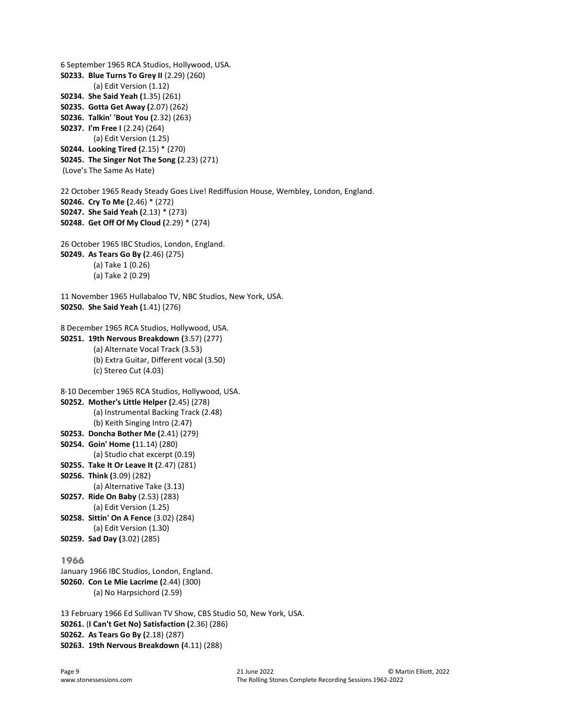```
6 September 1965 RCA Studios, Hollywood, USA.
S0233. Blue Turns To Grey II (2.29) (260) 
          (a) Edit Version (1.12) 
S0234. She Said Yeah (1.35) (261) 
S0235. Gotta Get Away (2.07) (262) 
S0236. Talkin' 'Bout You (2.32) (263) 
S0237. I'm Free I (2.24) (264) 
          (a) Edit Version (1.25) 
S0244. Looking Tired (2.15) * (270) 
S0245. The Singer Not The Song (2.23) (271) 
 (Love's The Same As Hate) 
22 October 1965 Ready Steady Goes Live! Rediffusion House, Wembley, London, England.
S0246. Cry To Me (2.46) * (272) 
S0247. She Said Yeah (2.13) * (273) 
S0248. Get Off Of My Cloud (2.29) * (274) 
26 October 1965 IBC Studios, London, England.
S0249. As Tears Go By (2.46) (275) 
          (a) Take 1 (0.26) 
          (a) Take 2 (0.29) 
11 November 1965 Hullabaloo TV, NBC Studios, New York, USA.
S0250. She Said Yeah (1.41) (276) 
8 December 1965 RCA Studios, Hollywood, USA.
S0251. 19th Nervous Breakdown (3.57) (277) 
          (a) Alternate Vocal Track (3.53) 
          (b) Extra Guitar, Different vocal (3.50) 
          (c) Stereo Cut (4.03) 
8-10 December 1965 RCA Studios, Hollywood, USA.
S0252. Mother's Little Helper (2.45) (278) 
          (a) Instrumental Backing Track (2.48) 
          (b) Keith Singing Intro (2.47) 
S0253. Doncha Bother Me (2.41) (279) 
S0254. Goin' Home (11.14) (280) 
          (a) Studio chat excerpt (0.19) 
S0255. Take It Or Leave It (2.47) (281) 
S0256. Think (3.09) (282) 
          (a) Alternative Take (3.13) 
S0257. Ride On Baby (2.53) (283) 
          (a) Edit Version (1.25) 
S0258. Sittin' On A Fence (3.02) (284) 
          (a) Edit Version (1.30) 
S0259. Sad Day (3.02) (285) 
1966
January 1966 IBC Studios, London, England.
S0260. Con Le Mie Lacrime (2.44) (300) 
          (a) No Harpsichord (2.59) 
13 February 1966 Ed Sullivan TV Show, CBS Studio 50, New York, USA.
S0261. (I Can't Get No) Satisfaction (2.36) (286) 
S0262. As Tears Go By (2.18) (287)
```
S0263. 19th Nervous Breakdown (4.11) (288)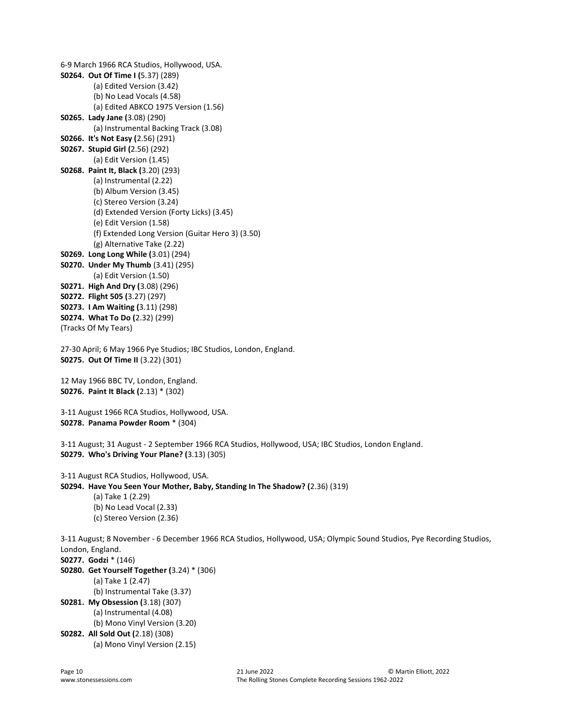6-9 March 1966 RCA Studios, Hollywood, USA. S0264. Out Of Time I (5.37) (289) (a) Edited Version (3.42) (b) No Lead Vocals (4.58) (a) Edited ABKCO 1975 Version (1.56) S0265. Lady Jane (3.08) (290) (a) Instrumental Backing Track (3.08) S0266. It's Not Easy (2.56) (291) S0267. Stupid Girl (2.56) (292) (a) Edit Version (1.45) S0268. Paint It, Black (3.20) (293) (a) Instrumental (2.22) (b) Album Version (3.45) (c) Stereo Version (3.24) (d) Extended Version (Forty Licks) (3.45) (e) Edit Version (1.58) (f) Extended Long Version (Guitar Hero 3) (3.50) (g) Alternative Take (2.22) S0269. Long Long While (3.01) (294) S0270. Under My Thumb (3.41) (295) (a) Edit Version (1.50) S0271. High And Dry (3.08) (296) S0272. Flight 505 (3.27) (297) S0273. I Am Waiting (3.11) (298) S0274. What To Do (2.32) (299) (Tracks Of My Tears) 27-30 April; 6 May 1966 Pye Studios; IBC Studios, London, England. S0275. Out Of Time II (3.22) (301) 12 May 1966 BBC TV, London, England. S0276. Paint It Black (2.13) \* (302) 3-11 August 1966 RCA Studios, Hollywood, USA. S0278. Panama Powder Room \* (304) 3-11 August; 31 August - 2 September 1966 RCA Studios, Hollywood, USA; IBC Studios, London England. S0279. Who's Driving Your Plane? (3.13) (305) 3-11 August RCA Studios, Hollywood, USA. S0294. Have You Seen Your Mother, Baby, Standing In The Shadow? (2.36) (319) (a) Take 1 (2.29) (b) No Lead Vocal (2.33) (c) Stereo Version (2.36) 3-11 August; 8 November - 6 December 1966 RCA Studios, Hollywood, USA; Olympic Sound Studios, Pye Recording Studios, London, England. S0277. Godzi \* (146) S0280. Get Yourself Together (3.24) \* (306) (a) Take 1 (2.47) (b) Instrumental Take (3.37) S0281. My Obsession (3.18) (307) (a) Instrumental (4.08) (b) Mono Vinyl Version (3.20) S0282. All Sold Out (2.18) (308) (a) Mono Vinyl Version (2.15)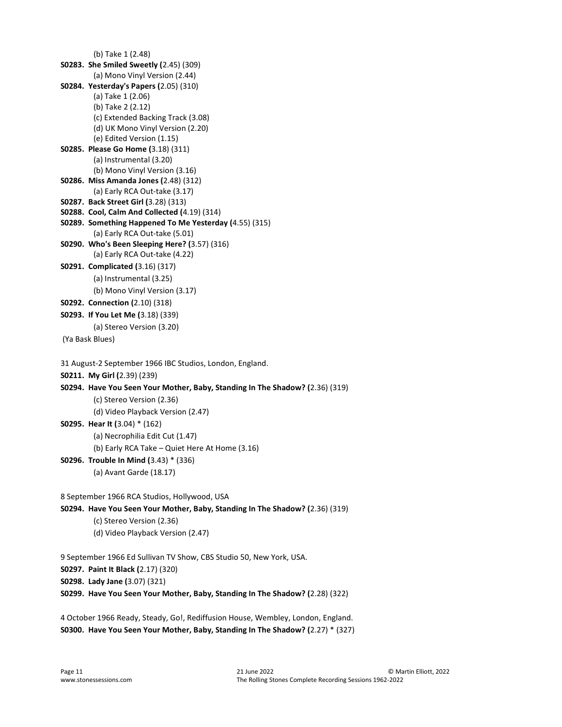```
 (b) Take 1 (2.48) 
S0283. She Smiled Sweetly (2.45) (309) 
          (a) Mono Vinyl Version (2.44) 
S0284. Yesterday's Papers (2.05) (310) 
          (a) Take 1 (2.06) 
          (b) Take 2 (2.12) 
          (c) Extended Backing Track (3.08) 
          (d) UK Mono Vinyl Version (2.20) 
          (e) Edited Version (1.15) 
S0285. Please Go Home (3.18) (311) 
          (a) Instrumental (3.20) 
          (b) Mono Vinyl Version (3.16) 
S0286. Miss Amanda Jones (2.48) (312) 
          (a) Early RCA Out-take (3.17) 
S0287. Back Street Girl (3.28) (313) 
S0288. Cool, Calm And Collected (4.19) (314) 
S0289. Something Happened To Me Yesterday (4.55) (315) 
          (a) Early RCA Out-take (5.01) 
S0290. Who's Been Sleeping Here? (3.57) (316) 
          (a) Early RCA Out-take (4.22) 
S0291. Complicated (3.16) (317) 
          (a) Instrumental (3.25) 
          (b) Mono Vinyl Version (3.17) 
S0292. Connection (2.10) (318) 
S0293. If You Let Me (3.18) (339) 
          (a) Stereo Version (3.20) 
 (Ya Bask Blues) 
31 August-2 September 1966 IBC Studios, London, England.
S0211. My Girl (2.39) (239) 
S0294. Have You Seen Your Mother, Baby, Standing In The Shadow? (2.36) (319) 
          (c) Stereo Version (2.36) 
          (d) Video Playback Version (2.47) 
S0295. Hear It (3.04) * (162) 
          (a) Necrophilia Edit Cut (1.47) 
          (b) Early RCA Take – Quiet Here At Home (3.16) 
S0296. Trouble In Mind (3.43) * (336) 
          (a) Avant Garde (18.17) 
8 September 1966 RCA Studios, Hollywood, USA 
S0294. Have You Seen Your Mother, Baby, Standing In The Shadow? (2.36) (319) 
          (c) Stereo Version (2.36) 
          (d) Video Playback Version (2.47) 
9 September 1966 Ed Sullivan TV Show, CBS Studio 50, New York, USA.
S0297. Paint It Black (2.17) (320) 
S0298. Lady Jane (3.07) (321) 
S0299. Have You Seen Your Mother, Baby, Standing In The Shadow? (2.28) (322)
```
4 October 1966 Ready, Steady, Go!, Rediffusion House, Wembley, London, England. S0300. Have You Seen Your Mother, Baby, Standing In The Shadow? (2.27) \* (327)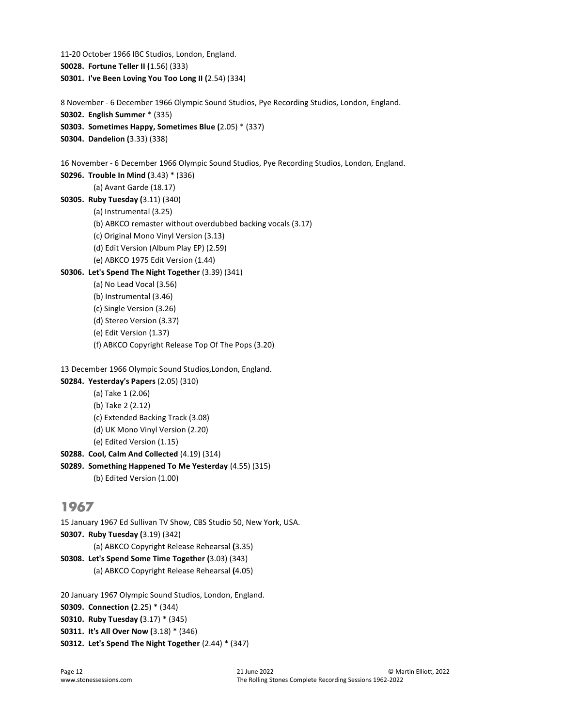```
11-20 October 1966 IBC Studios, London, England.
S0028. Fortune Teller II (1.56) (333) 
S0301. I've Been Loving You Too Long II (2.54) (334) 
8 November - 6 December 1966 Olympic Sound Studios, Pye Recording Studios, London, England.
S0302. English Summer * (335) 
S0303. Sometimes Happy, Sometimes Blue (2.05) * (337) 
S0304. Dandelion (3.33) (338) 
16 November - 6 December 1966 Olympic Sound Studios, Pye Recording Studios, London, England.
S0296. Trouble In Mind (3.43) * (336) 
          (a) Avant Garde (18.17) 
S0305. Ruby Tuesday (3.11) (340) 
          (a) Instrumental (3.25) 
          (b) ABKCO remaster without overdubbed backing vocals (3.17) 
          (c) Original Mono Vinyl Version (3.13) 
          (d) Edit Version (Album Play EP) (2.59) 
          (e) ABKCO 1975 Edit Version (1.44) 
S0306. Let's Spend The Night Together (3.39) (341) 
          (a) No Lead Vocal (3.56) 
          (b) Instrumental (3.46) 
          (c) Single Version (3.26) 
          (d) Stereo Version (3.37) 
          (e) Edit Version (1.37) 
          (f) ABKCO Copyright Release Top Of The Pops (3.20) 
13 December 1966 Olympic Sound Studios,London, England. 
S0284. Yesterday's Papers (2.05) (310) 
          (a) Take 1 (2.06) 
          (b) Take 2 (2.12) 
          (c) Extended Backing Track (3.08) 
          (d) UK Mono Vinyl Version (2.20) 
          (e) Edited Version (1.15) 
S0288. Cool, Calm And Collected (4.19) (314) 
S0289. Something Happened To Me Yesterday (4.55) (315) 
          (b) Edited Version (1.00) 
1967
```

```
15 January 1967 Ed Sullivan TV Show, CBS Studio 50, New York, USA.
S0307. Ruby Tuesday (3.19) (342) 
          (a) ABKCO Copyright Release Rehearsal (3.35) 
S0308. Let's Spend Some Time Together (3.03) (343) 
          (a) ABKCO Copyright Release Rehearsal (4.05)
```

```
20 January 1967 Olympic Sound Studios, London, England.
S0309. Connection (2.25) * (344) 
S0310. Ruby Tuesday (3.17) * (345) 
S0311. It's All Over Now (3.18) * (346) 
S0312. Let's Spend The Night Together (2.44) * (347)
```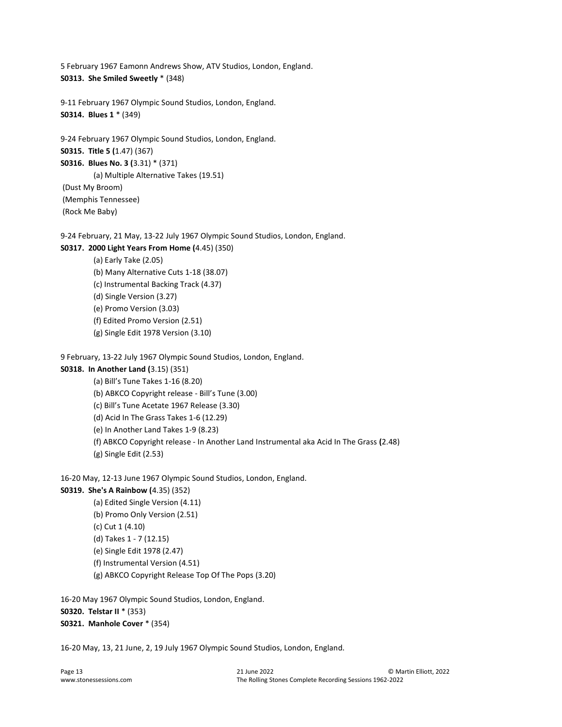5 February 1967 Eamonn Andrews Show, ATV Studios, London, England. S0313. She Smiled Sweetly \* (348)

```
9-11 February 1967 Olympic Sound Studios, London, England.
S0314. Blues 1 * (349)
```

```
9-24 February 1967 Olympic Sound Studios, London, England. 
S0315. Title 5 (1.47) (367) 
S0316. Blues No. 3 (3.31) * (371) 
          (a) Multiple Alternative Takes (19.51) 
 (Dust My Broom)
```
 (Memphis Tennessee) (Rock Me Baby)

9-24 February, 21 May, 13-22 July 1967 Olympic Sound Studios, London, England.

```
S0317. 2000 Light Years From Home (4.45) (350)
```
- (a) Early Take (2.05) (b) Many Alternative Cuts 1-18 (38.07) (c) Instrumental Backing Track (4.37) (d) Single Version (3.27) (e) Promo Version (3.03) (f) Edited Promo Version (2.51) (g) Single Edit 1978 Version (3.10)
- 

9 February, 13-22 July 1967 Olympic Sound Studios, London, England.

```
S0318. In Another Land (3.15) (351)
```

```
 (a) Bill's Tune Takes 1-16 (8.20) 
 (b) ABKCO Copyright release - Bill's Tune (3.00) 
 (c) Bill's Tune Acetate 1967 Release (3.30) 
 (d) Acid In The Grass Takes 1-6 (12.29) 
 (e) In Another Land Takes 1-9 (8.23) 
 (f) ABKCO Copyright release - In Another Land Instrumental aka Acid In The Grass (2.48) 
 (g) Single Edit (2.53)
```
16-20 May, 12-13 June 1967 Olympic Sound Studios, London, England.

#### S0319. She's A Rainbow (4.35) (352)

 (a) Edited Single Version (4.11) (b) Promo Only Version (2.51) (c) Cut 1 (4.10) (d) Takes 1 - 7 (12.15) (e) Single Edit 1978 (2.47) (f) Instrumental Version (4.51) (g) ABKCO Copyright Release Top Of The Pops (3.20)

16-20 May 1967 Olympic Sound Studios, London, England. S0320. Telstar II \* (353) S0321. Manhole Cover \* (354)

16-20 May, 13, 21 June, 2, 19 July 1967 Olympic Sound Studios, London, England.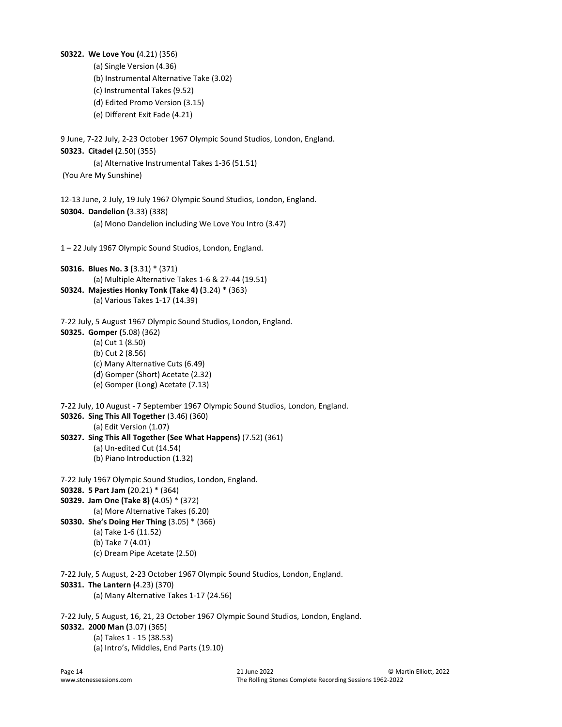```
S0322. We Love You (4.21) (356) 
          (a) Single Version (4.36) 
          (b) Instrumental Alternative Take (3.02) 
          (c) Instrumental Takes (9.52) 
          (d) Edited Promo Version (3.15) 
          (e) Different Exit Fade (4.21) 
9 June, 7-22 July, 2-23 October 1967 Olympic Sound Studios, London, England.
S0323. Citadel (2.50) (355) 
          (a) Alternative Instrumental Takes 1-36 (51.51) 
 (You Are My Sunshine) 
12-13 June, 2 July, 19 July 1967 Olympic Sound Studios, London, England.
S0304. Dandelion (3.33) (338) 
          (a) Mono Dandelion including We Love You Intro (3.47) 
1 – 22 July 1967 Olympic Sound Studios, London, England. 
S0316. Blues No. 3 (3.31) * (371) 
          (a) Multiple Alternative Takes 1-6 & 27-44 (19.51) 
S0324. Majesties Honky Tonk (Take 4) (3.24) * (363) 
          (a) Various Takes 1-17 (14.39) 
7-22 July, 5 August 1967 Olympic Sound Studios, London, England.
S0325. Gomper (5.08) (362) 
          (a) Cut 1 (8.50) 
          (b) Cut 2 (8.56) 
          (c) Many Alternative Cuts (6.49) 
          (d) Gomper (Short) Acetate (2.32) 
          (e) Gomper (Long) Acetate (7.13) 
7-22 July, 10 August - 7 September 1967 Olympic Sound Studios, London, England.
S0326. Sing This All Together (3.46) (360) 
          (a) Edit Version (1.07) 
S0327. Sing This All Together (See What Happens) (7.52) (361) 
          (a) Un-edited Cut (14.54) 
          (b) Piano Introduction (1.32) 
7-22 July 1967 Olympic Sound Studios, London, England.
S0328. 5 Part Jam (20.21) * (364) 
S0329. Jam One (Take 8) (4.05) * (372) 
          (a) More Alternative Takes (6.20) 
S0330. She's Doing Her Thing (3.05) * (366) 
          (a) Take 1-6 (11.52) 
          (b) Take 7 (4.01) 
          (c) Dream Pipe Acetate (2.50) 
7-22 July, 5 August, 2-23 October 1967 Olympic Sound Studios, London, England.
S0331. The Lantern (4.23) (370) 
          (a) Many Alternative Takes 1-17 (24.56) 
7-22 July, 5 August, 16, 21, 23 October 1967 Olympic Sound Studios, London, England. 
S0332. 2000 Man (3.07) (365) 
          (a) Takes 1 - 15 (38.53) 
          (a) Intro's, Middles, End Parts (19.10)
```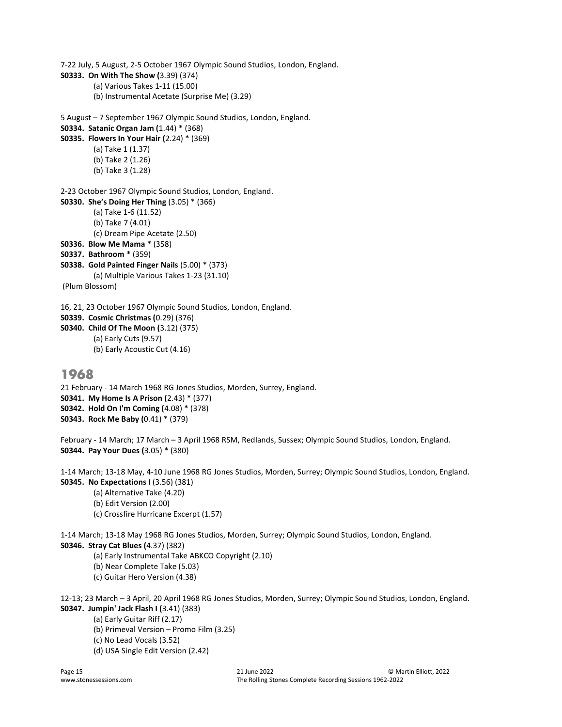```
7-22 July, 5 August, 2-5 October 1967 Olympic Sound Studios, London, England.
S0333. On With The Show (3.39) (374) 
          (a) Various Takes 1-11 (15.00) 
          (b) Instrumental Acetate (Surprise Me) (3.29) 
5 August – 7 September 1967 Olympic Sound Studios, London, England.
S0334. Satanic Organ Jam (1.44) * (368) 
S0335. Flowers In Your Hair (2.24) * (369) 
          (a) Take 1 (1.37) 
          (b) Take 2 (1.26) 
          (b) Take 3 (1.28) 
2-23 October 1967 Olympic Sound Studios, London, England.
S0330. She's Doing Her Thing (3.05) * (366) 
          (a) Take 1-6 (11.52) 
          (b) Take 7 (4.01) 
          (c) Dream Pipe Acetate (2.50) 
S0336. Blow Me Mama * (358) 
S0337. Bathroom * (359) 
S0338. Gold Painted Finger Nails (5.00) * (373) 
          (a) Multiple Various Takes 1-23 (31.10) 
 (Plum Blossom) 
16, 21, 23 October 1967 Olympic Sound Studios, London, England.
S0339. Cosmic Christmas (0.29) (376) 
S0340. Child Of The Moon (3.12) (375)
```
 (a) Early Cuts (9.57) (b) Early Acoustic Cut (4.16)

# 1968

```
21 February - 14 March 1968 RG Jones Studios, Morden, Surrey, England.
S0341. My Home Is A Prison (2.43) * (377) 
S0342. Hold On I'm Coming (4.08) * (378) 
S0343. Rock Me Baby (0.41) * (379)
```
February - 14 March; 17 March – 3 April 1968 RSM, Redlands, Sussex; Olympic Sound Studios, London, England. S0344. Pay Your Dues (3.05) \* (380)

1-14 March; 13-18 May, 4-10 June 1968 RG Jones Studios, Morden, Surrey; Olympic Sound Studios, London, England. S0345. No Expectations I (3.56) (381)

(a) Alternative Take (4.20)

- (b) Edit Version (2.00)
- (c) Crossfire Hurricane Excerpt (1.57)

1-14 March; 13-18 May 1968 RG Jones Studios, Morden, Surrey; Olympic Sound Studios, London, England. S0346. Stray Cat Blues (4.37) (382)

(a) Early Instrumental Take ABKCO Copyright (2.10)

- (b) Near Complete Take (5.03)
- (c) Guitar Hero Version (4.38)

12-13; 23 March – 3 April, 20 April 1968 RG Jones Studios, Morden, Surrey; Olympic Sound Studios, London, England. S0347. Jumpin' Jack Flash I (3.41) (383)

(a) Early Guitar Riff (2.17)

(b) Primeval Version – Promo Film (3.25)

- (c) No Lead Vocals (3.52)
- (d) USA Single Edit Version (2.42)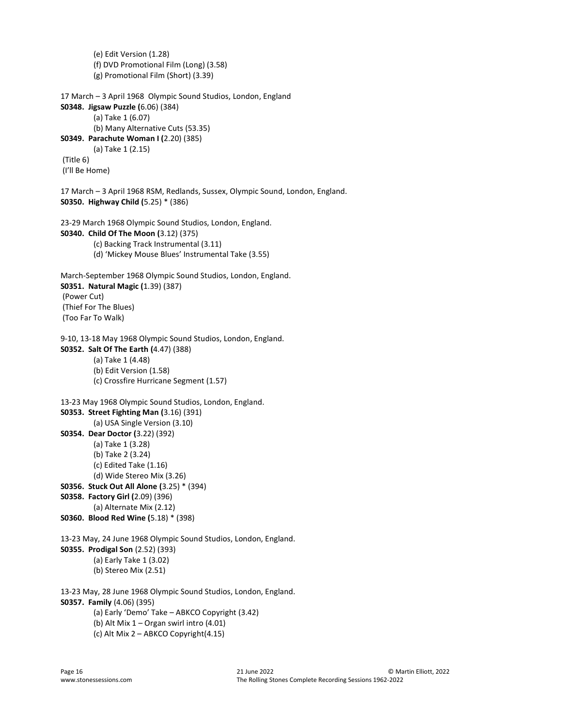```
 (e) Edit Version (1.28) 
          (f) DVD Promotional Film (Long) (3.58) 
          (g) Promotional Film (Short) (3.39) 
17 March – 3 April 1968 Olympic Sound Studios, London, England 
S0348. Jigsaw Puzzle (6.06) (384) 
          (a) Take 1 (6.07) 
          (b) Many Alternative Cuts (53.35) 
S0349. Parachute Woman I (2.20) (385) 
          (a) Take 1 (2.15) 
 (Title 6) 
 (I'll Be Home)
17 March – 3 April 1968 RSM, Redlands, Sussex, Olympic Sound, London, England.
S0350. Highway Child (5.25) * (386) 
23-29 March 1968 Olympic Sound Studios, London, England.
S0340. Child Of The Moon (3.12) (375) 
          (c) Backing Track Instrumental (3.11) 
          (d) 'Mickey Mouse Blues' Instrumental Take (3.55) 
March-September 1968 Olympic Sound Studios, London, England.
S0351. Natural Magic (1.39) (387) 
 (Power Cut) 
 (Thief For The Blues) 
 (Too Far To Walk) 
9-10, 13-18 May 1968 Olympic Sound Studios, London, England. 
S0352. Salt Of The Earth (4.47) (388) 
          (a) Take 1 (4.48) 
          (b) Edit Version (1.58) 
          (c) Crossfire Hurricane Segment (1.57) 
13-23 May 1968 Olympic Sound Studios, London, England.
S0353. Street Fighting Man (3.16) (391) 
          (a) USA Single Version (3.10) 
S0354. Dear Doctor (3.22) (392) 
          (a) Take 1 (3.28) 
          (b) Take 2 (3.24) 
          (c) Edited Take (1.16) 
          (d) Wide Stereo Mix (3.26) 
S0356. Stuck Out All Alone (3.25) * (394) 
S0358. Factory Girl (2.09) (396) 
          (a) Alternate Mix (2.12) 
S0360. Blood Red Wine (5.18) * (398) 
13-23 May, 24 June 1968 Olympic Sound Studios, London, England.
S0355. Prodigal Son (2.52) (393) 
          (a) Early Take 1 (3.02) 
          (b) Stereo Mix (2.51) 
13-23 May, 28 June 1968 Olympic Sound Studios, London, England.
S0357. Family (4.06) (395) 
          (a) Early 'Demo' Take – ABKCO Copyright (3.42) 
          (b) Alt Mix 1 – Organ swirl intro (4.01) 
          (c) Alt Mix 2 – ABKCO Copyright(4.15)
```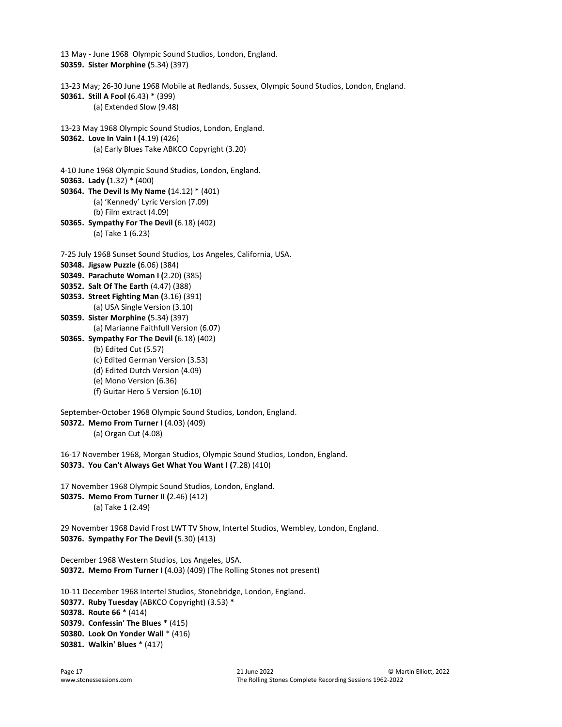```
13 May - June 1968 Olympic Sound Studios, London, England. 
S0359. Sister Morphine (5.34) (397) 
13-23 May; 26-30 June 1968 Mobile at Redlands, Sussex, Olympic Sound Studios, London, England. 
S0361. Still A Fool (6.43) * (399) 
          (a) Extended Slow (9.48) 
13-23 May 1968 Olympic Sound Studios, London, England. 
S0362. Love In Vain I (4.19) (426) 
          (a) Early Blues Take ABKCO Copyright (3.20) 
4-10 June 1968 Olympic Sound Studios, London, England.
S0363. Lady (1.32) * (400) 
S0364. The Devil Is My Name (14.12) * (401) 
          (a) 'Kennedy' Lyric Version (7.09) 
          (b) Film extract (4.09) 
S0365. Sympathy For The Devil (6.18) (402) 
          (a) Take 1 (6.23) 
7-25 July 1968 Sunset Sound Studios, Los Angeles, California, USA.
S0348. Jigsaw Puzzle (6.06) (384) 
S0349. Parachute Woman I (2.20) (385) 
S0352. Salt Of The Earth (4.47) (388) 
S0353. Street Fighting Man (3.16) (391) 
          (a) USA Single Version (3.10) 
S0359. Sister Morphine (5.34) (397) 
          (a) Marianne Faithfull Version (6.07) 
S0365. Sympathy For The Devil (6.18) (402) 
          (b) Edited Cut (5.57) 
          (c) Edited German Version (3.53) 
          (d) Edited Dutch Version (4.09) 
          (e) Mono Version (6.36) 
          (f) Guitar Hero 5 Version (6.10) 
September-October 1968 Olympic Sound Studios, London, England.
S0372. Memo From Turner I (4.03) (409) 
          (a) Organ Cut (4.08) 
16-17 November 1968, Morgan Studios, Olympic Sound Studios, London, England.
S0373. You Can't Always Get What You Want I (7.28) (410) 
17 November 1968 Olympic Sound Studios, London, England.
S0375. Memo From Turner II (2.46) (412) 
          (a) Take 1 (2.49) 
29 November 1968 David Frost LWT TV Show, Intertel Studios, Wembley, London, England.
S0376. Sympathy For The Devil (5.30) (413) 
December 1968 Western Studios, Los Angeles, USA. 
S0372. Memo From Turner I (4.03) (409) (The Rolling Stones not present)
10-11 December 1968 Intertel Studios, Stonebridge, London, England.
S0377. Ruby Tuesday (ABKCO Copyright) (3.53) * 
S0378. Route 66 * (414) 
S0379. Confessin' The Blues * (415) 
S0380. Look On Yonder Wall * (416) 
S0381. Walkin' Blues * (417)
```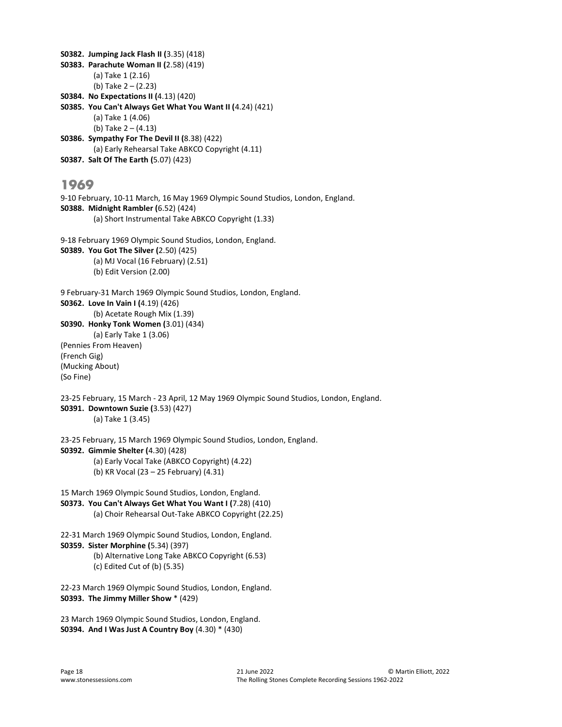```
S0382. Jumping Jack Flash II (3.35) (418) 
S0383. Parachute Woman II (2.58) (419) 
          (a) Take 1 (2.16) 
          (b) Take 2 – (2.23) 
S0384. No Expectations II (4.13) (420) 
S0385. You Can't Always Get What You Want II (4.24) (421) 
          (a) Take 1 (4.06) 
          (b) Take 2 – (4.13) 
S0386. Sympathy For The Devil II (8.38) (422) 
          (a) Early Rehearsal Take ABKCO Copyright (4.11) 
S0387. Salt Of The Earth (5.07) (423)
```
# 1969

```
9-10 February, 10-11 March, 16 May 1969 Olympic Sound Studios, London, England.
S0388. Midnight Rambler (6.52) (424) 
          (a) Short Instrumental Take ABKCO Copyright (1.33) 
9-18 February 1969 Olympic Sound Studios, London, England.
```

```
S0389. You Got The Silver (2.50) (425) 
           (a) MJ Vocal (16 February) (2.51) 
           (b) Edit Version (2.00)
```

```
9 February-31 March 1969 Olympic Sound Studios, London, England.
S0362. Love In Vain I (4.19) (426) 
          (b) Acetate Rough Mix (1.39) 
S0390. Honky Tonk Women (3.01) (434) 
          (a) Early Take 1 (3.06) 
(Pennies From Heaven) 
(French Gig) 
(Mucking About)
```
(So Fine)

23-25 February, 15 March - 23 April, 12 May 1969 Olympic Sound Studios, London, England. S0391. Downtown Suzie (3.53) (427) (a) Take 1 (3.45)

23-25 February, 15 March 1969 Olympic Sound Studios, London, England. S0392. Gimmie Shelter (4.30) (428) (a) Early Vocal Take (ABKCO Copyright) (4.22) (b) KR Vocal (23 – 25 February) (4.31)

```
15 March 1969 Olympic Sound Studios, London, England.
S0373. You Can't Always Get What You Want I (7.28) (410) 
          (a) Choir Rehearsal Out-Take ABKCO Copyright (22.25)
```

```
22-31 March 1969 Olympic Sound Studios, London, England. 
S0359. Sister Morphine (5.34) (397) 
          (b) Alternative Long Take ABKCO Copyright (6.53) 
          (c) Edited Cut of (b) (5.35)
```
22-23 March 1969 Olympic Sound Studios, London, England. S0393. The Jimmy Miller Show \* (429)

23 March 1969 Olympic Sound Studios, London, England. S0394. And I Was Just A Country Boy (4.30) \* (430)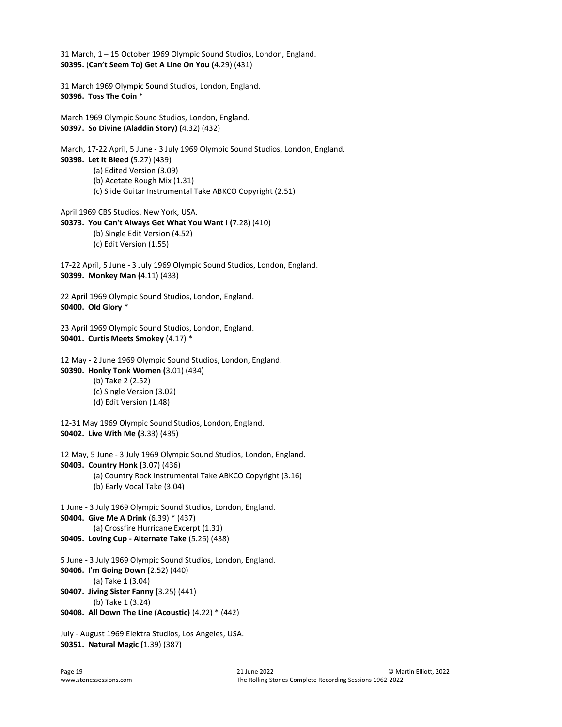31 March, 1 – 15 October 1969 Olympic Sound Studios, London, England. S0395. (Can't Seem To) Get A Line On You (4.29) (431) 31 March 1969 Olympic Sound Studios, London, England. S0396. Toss The Coin \* March 1969 Olympic Sound Studios, London, England. S0397. So Divine (Aladdin Story) (4.32) (432) March, 17-22 April, 5 June - 3 July 1969 Olympic Sound Studios, London, England. S0398. Let It Bleed (5.27) (439) (a) Edited Version (3.09) (b) Acetate Rough Mix (1.31) (c) Slide Guitar Instrumental Take ABKCO Copyright (2.51) April 1969 CBS Studios, New York, USA. S0373. You Can't Always Get What You Want I (7.28) (410) (b) Single Edit Version (4.52) (c) Edit Version (1.55) 17-22 April, 5 June - 3 July 1969 Olympic Sound Studios, London, England. S0399. Monkey Man (4.11) (433) 22 April 1969 Olympic Sound Studios, London, England. S0400. Old Glory \* 23 April 1969 Olympic Sound Studios, London, England. S0401. Curtis Meets Smokey (4.17) \* 12 May - 2 June 1969 Olympic Sound Studios, London, England. S0390. Honky Tonk Women (3.01) (434) (b) Take 2 (2.52) (c) Single Version (3.02) (d) Edit Version (1.48) 12-31 May 1969 Olympic Sound Studios, London, England. S0402. Live With Me (3.33) (435) 12 May, 5 June - 3 July 1969 Olympic Sound Studios, London, England. S0403. Country Honk (3.07) (436) (a) Country Rock Instrumental Take ABKCO Copyright (3.16) (b) Early Vocal Take (3.04) 1 June - 3 July 1969 Olympic Sound Studios, London, England. S0404. Give Me A Drink (6.39) \* (437) (a) Crossfire Hurricane Excerpt (1.31) S0405. Loving Cup - Alternate Take (5.26) (438) 5 June - 3 July 1969 Olympic Sound Studios, London, England. S0406. I'm Going Down (2.52) (440) (a) Take 1 (3.04) S0407. Jiving Sister Fanny (3.25) (441) (b) Take 1 (3.24) S0408. All Down The Line (Acoustic) (4.22) \* (442) July - August 1969 Elektra Studios, Los Angeles, USA. S0351. Natural Magic (1.39) (387)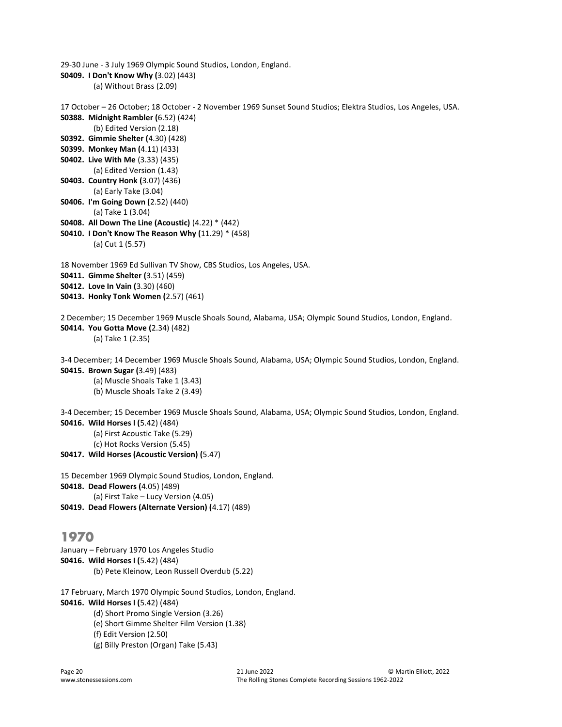```
29-30 June - 3 July 1969 Olympic Sound Studios, London, England.
S0409. I Don't Know Why (3.02) (443) 
          (a) Without Brass (2.09) 
17 October – 26 October; 18 October - 2 November 1969 Sunset Sound Studios; Elektra Studios, Los Angeles, USA.
S0388. Midnight Rambler (6.52) (424) 
          (b) Edited Version (2.18) 
S0392. Gimmie Shelter (4.30) (428) 
S0399. Monkey Man (4.11) (433) 
S0402. Live With Me (3.33) (435) 
          (a) Edited Version (1.43) 
S0403. Country Honk (3.07) (436) 
          (a) Early Take (3.04) 
S0406. I'm Going Down (2.52) (440) 
          (a) Take 1 (3.04) 
S0408. All Down The Line (Acoustic) (4.22) * (442) 
S0410. I Don't Know The Reason Why (11.29) * (458) 
          (a) Cut 1 (5.57) 
18 November 1969 Ed Sullivan TV Show, CBS Studios, Los Angeles, USA.
S0411. Gimme Shelter (3.51) (459) 
S0412. Love In Vain (3.30) (460) 
S0413. Honky Tonk Women (2.57) (461) 
2 December; 15 December 1969 Muscle Shoals Sound, Alabama, USA; Olympic Sound Studios, London, England.
S0414. You Gotta Move (2.34) (482) 
          (a) Take 1 (2.35) 
3-4 December; 14 December 1969 Muscle Shoals Sound, Alabama, USA; Olympic Sound Studios, London, England.
S0415. Brown Sugar (3.49) (483) 
          (a) Muscle Shoals Take 1 (3.43) 
          (b) Muscle Shoals Take 2 (3.49) 
3-4 December; 15 December 1969 Muscle Shoals Sound, Alabama, USA; Olympic Sound Studios, London, England.
S0416. Wild Horses I (5.42) (484) 
          (a) First Acoustic Take (5.29) 
          (c) Hot Rocks Version (5.45) 
S0417. Wild Horses (Acoustic Version) (5.47) 
15 December 1969 Olympic Sound Studios, London, England. 
S0418. Dead Flowers (4.05) (489) 
          (a) First Take – Lucy Version (4.05) 
S0419. Dead Flowers (Alternate Version) (4.17) (489) 
1970
January – February 1970 Los Angeles Studio 
S0416. Wild Horses I (5.42) (484) 
          (b) Pete Kleinow, Leon Russell Overdub (5.22)
```
17 February, March 1970 Olympic Sound Studios, London, England. S0416. Wild Horses I (5.42) (484) (d) Short Promo Single Version (3.26) (e) Short Gimme Shelter Film Version (1.38) (f) Edit Version (2.50) (g) Billy Preston (Organ) Take (5.43)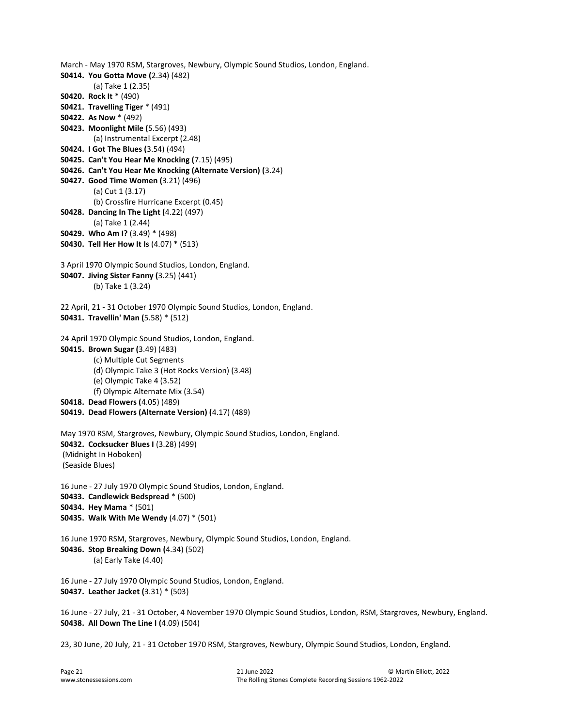March - May 1970 RSM, Stargroves, Newbury, Olympic Sound Studios, London, England. S0414. You Gotta Move (2.34) (482) (a) Take 1 (2.35) S0420. Rock It \* (490) S0421. Travelling Tiger \* (491) S0422. As Now \* (492) S0423. Moonlight Mile (5.56) (493) (a) Instrumental Excerpt (2.48) S0424. I Got The Blues (3.54) (494) S0425. Can't You Hear Me Knocking (7.15) (495) S0426. Can't You Hear Me Knocking (Alternate Version) (3.24) S0427. Good Time Women (3.21) (496) (a) Cut 1 (3.17) (b) Crossfire Hurricane Excerpt (0.45) S0428. Dancing In The Light (4.22) (497) (a) Take 1 (2.44) S0429. Who Am I? (3.49) \* (498) S0430. Tell Her How It Is (4.07) \* (513) 3 April 1970 Olympic Sound Studios, London, England. S0407. Jiving Sister Fanny (3.25) (441) (b) Take 1 (3.24) 22 April, 21 - 31 October 1970 Olympic Sound Studios, London, England. S0431. Travellin' Man (5.58) \* (512) 24 April 1970 Olympic Sound Studios, London, England. S0415. Brown Sugar (3.49) (483) (c) Multiple Cut Segments (d) Olympic Take 3 (Hot Rocks Version) (3.48) (e) Olympic Take 4 (3.52) (f) Olympic Alternate Mix (3.54) S0418. Dead Flowers (4.05) (489) S0419. Dead Flowers (Alternate Version) (4.17) (489) May 1970 RSM, Stargroves, Newbury, Olympic Sound Studios, London, England. S0432. Cocksucker Blues I (3.28) (499) (Midnight In Hoboken) (Seaside Blues) 16 June - 27 July 1970 Olympic Sound Studios, London, England. S0433. Candlewick Bedspread \* (500) S0434. Hey Mama \* (501) S0435. Walk With Me Wendy (4.07) \* (501) 16 June 1970 RSM, Stargroves, Newbury, Olympic Sound Studios, London, England. S0436. Stop Breaking Down (4.34) (502) (a) Early Take (4.40) 16 June - 27 July 1970 Olympic Sound Studios, London, England. S0437. Leather Jacket (3.31) \* (503) 16 June - 27 July, 21 - 31 October, 4 November 1970 Olympic Sound Studios, London, RSM, Stargroves, Newbury, England. S0438. All Down The Line I (4.09) (504)

23, 30 June, 20 July, 21 - 31 October 1970 RSM, Stargroves, Newbury, Olympic Sound Studios, London, England.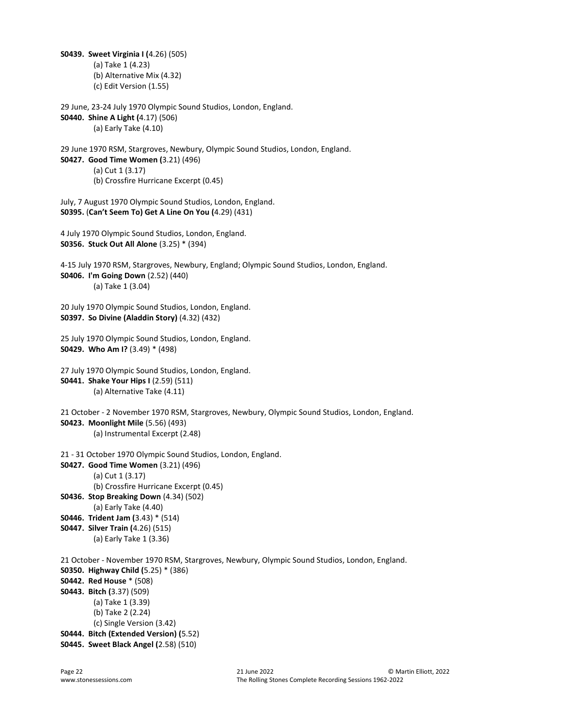S0439. Sweet Virginia I (4.26) (505) (a) Take 1 (4.23) (b) Alternative Mix (4.32) (c) Edit Version (1.55) 29 June, 23-24 July 1970 Olympic Sound Studios, London, England. S0440. Shine A Light (4.17) (506) (a) Early Take (4.10) 29 June 1970 RSM, Stargroves, Newbury, Olympic Sound Studios, London, England. S0427. Good Time Women (3.21) (496) (a) Cut 1 (3.17) (b) Crossfire Hurricane Excerpt (0.45) July, 7 August 1970 Olympic Sound Studios, London, England. S0395. (Can't Seem To) Get A Line On You (4.29) (431) 4 July 1970 Olympic Sound Studios, London, England. S0356. Stuck Out All Alone (3.25) \* (394) 4-15 July 1970 RSM, Stargroves, Newbury, England; Olympic Sound Studios, London, England. S0406. I'm Going Down (2.52) (440) (a) Take 1 (3.04) 20 July 1970 Olympic Sound Studios, London, England. S0397. So Divine (Aladdin Story) (4.32) (432) 25 July 1970 Olympic Sound Studios, London, England. S0429. Who Am I? (3.49) \* (498) 27 July 1970 Olympic Sound Studios, London, England. S0441. Shake Your Hips I (2.59) (511) (a) Alternative Take (4.11) 21 October - 2 November 1970 RSM, Stargroves, Newbury, Olympic Sound Studios, London, England. S0423. Moonlight Mile (5.56) (493) (a) Instrumental Excerpt (2.48) 21 - 31 October 1970 Olympic Sound Studios, London, England. S0427. Good Time Women (3.21) (496) (a) Cut 1 (3.17) (b) Crossfire Hurricane Excerpt (0.45) S0436. Stop Breaking Down (4.34) (502) (a) Early Take (4.40) S0446. Trident Jam (3.43) \* (514) S0447. Silver Train (4.26) (515) (a) Early Take 1 (3.36) 21 October - November 1970 RSM, Stargroves, Newbury, Olympic Sound Studios, London, England. S0350. Highway Child (5.25) \* (386) S0442. Red House \* (508) S0443. Bitch (3.37) (509) (a) Take 1 (3.39) (b) Take 2 (2.24) (c) Single Version (3.42) S0444. Bitch (Extended Version) (5.52) S0445. Sweet Black Angel (2.58) (510)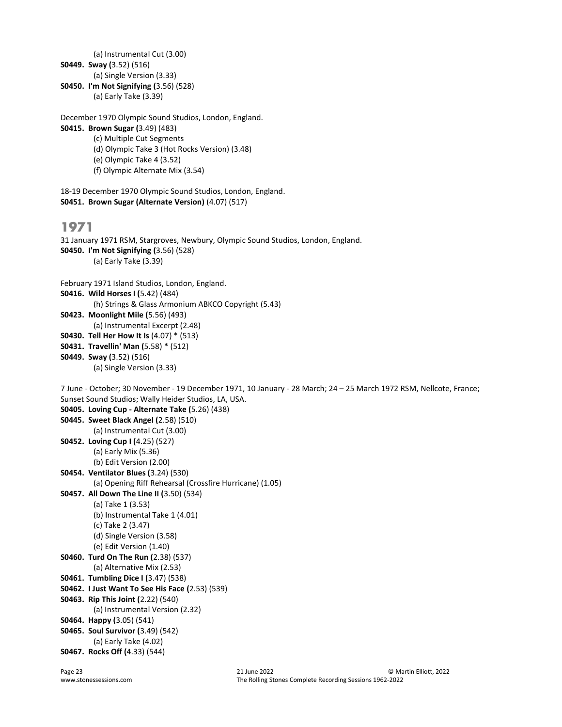```
 (a) Instrumental Cut (3.00) 
S0449. Sway (3.52) (516) 
          (a) Single Version (3.33) 
S0450. I'm Not Signifying (3.56) (528) 
          (a) Early Take (3.39) 
December 1970 Olympic Sound Studios, London, England.
S0415. Brown Sugar (3.49) (483) 
          (c) Multiple Cut Segments 
          (d) Olympic Take 3 (Hot Rocks Version) (3.48) 
          (e) Olympic Take 4 (3.52) 
          (f) Olympic Alternate Mix (3.54) 
18-19 December 1970 Olympic Sound Studios, London, England.
S0451. Brown Sugar (Alternate Version) (4.07) (517) 
1971
31 January 1971 RSM, Stargroves, Newbury, Olympic Sound Studios, London, England. 
S0450. I'm Not Signifying (3.56) (528) 
          (a) Early Take (3.39) 
February 1971 Island Studios, London, England.
S0416. Wild Horses I (5.42) (484) 
          (h) Strings & Glass Armonium ABKCO Copyright (5.43) 
S0423. Moonlight Mile (5.56) (493) 
          (a) Instrumental Excerpt (2.48) 
S0430. Tell Her How It Is (4.07) * (513) 
S0431. Travellin' Man (5.58) * (512) 
S0449. Sway (3.52) (516) 
          (a) Single Version (3.33) 
7 June - October; 30 November - 19 December 1971, 10 January - 28 March; 24 – 25 March 1972 RSM, Nellcote, France; 
Sunset Sound Studios; Wally Heider Studios, LA, USA.
S0405. Loving Cup - Alternate Take (5.26) (438) 
S0445. Sweet Black Angel (2.58) (510) 
          (a) Instrumental Cut (3.00) 
S0452. Loving Cup I (4.25) (527) 
          (a) Early Mix (5.36) 
          (b) Edit Version (2.00) 
S0454. Ventilator Blues (3.24) (530) 
          (a) Opening Riff Rehearsal (Crossfire Hurricane) (1.05) 
S0457. All Down The Line II (3.50) (534) 
          (a) Take 1 (3.53) 
          (b) Instrumental Take 1 (4.01) 
          (c) Take 2 (3.47) 
          (d) Single Version (3.58) 
          (e) Edit Version (1.40) 
S0460. Turd On The Run (2.38) (537) 
          (a) Alternative Mix (2.53) 
S0461. Tumbling Dice I (3.47) (538) 
S0462. I Just Want To See His Face (2.53) (539) 
S0463. Rip This Joint (2.22) (540) 
          (a) Instrumental Version (2.32) 
S0464. Happy (3.05) (541) 
S0465. Soul Survivor (3.49) (542) 
          (a) Early Take (4.02) 
S0467. Rocks Off (4.33) (544)
```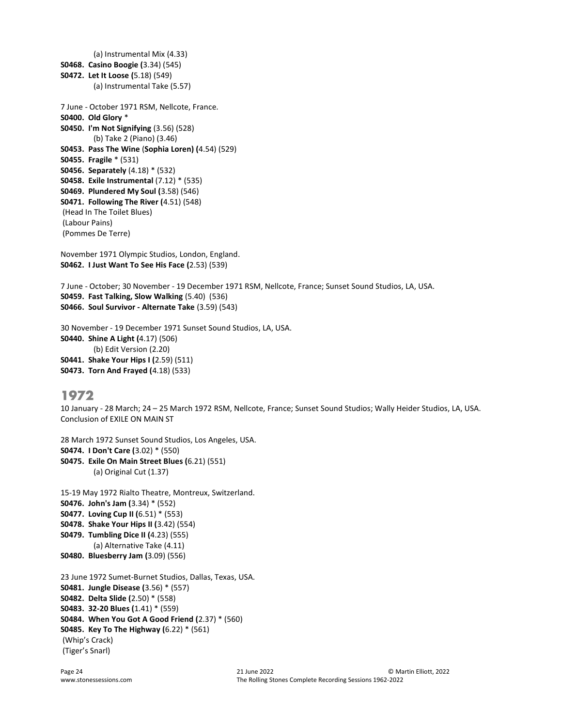S0468. Casino Boogie (3.34) (545) S0472. Let It Loose (5.18) (549) (a) Instrumental Take (5.57) 7 June - October 1971 RSM, Nellcote, France. S0400. Old Glory \* S0450. I'm Not Signifying (3.56) (528) (b) Take 2 (Piano) (3.46) S0453. Pass The Wine (Sophia Loren) (4.54) (529) S0455. Fragile \* (531) S0456. Separately (4.18) \* (532) S0458. Exile Instrumental (7.12) \* (535) S0469. Plundered My Soul (3.58) (546) S0471. Following The River (4.51) (548) (Head In The Toilet Blues) (Labour Pains) (Pommes De Terre)

(a) Instrumental Mix (4.33)

November 1971 Olympic Studios, London, England. S0462. I Just Want To See His Face (2.53) (539)

7 June - October; 30 November - 19 December 1971 RSM, Nellcote, France; Sunset Sound Studios, LA, USA. S0459. Fast Talking, Slow Walking (5.40) (536) S0466. Soul Survivor - Alternate Take (3.59) (543)

30 November - 19 December 1971 Sunset Sound Studios, LA, USA. S0440. Shine A Light (4.17) (506) (b) Edit Version (2.20) S0441. Shake Your Hips I (2.59) (511) S0473. Torn And Frayed (4.18) (533)

### 1972

10 January - 28 March; 24 – 25 March 1972 RSM, Nellcote, France; Sunset Sound Studios; Wally Heider Studios, LA, USA. Conclusion of EXILE ON MAIN ST

28 March 1972 Sunset Sound Studios, Los Angeles, USA. S0474. I Don't Care (3.02) \* (550) S0475. Exile On Main Street Blues (6.21) (551) (a) Original Cut (1.37)

15-19 May 1972 Rialto Theatre, Montreux, Switzerland. S0476. John's Jam (3.34) \* (552) S0477. Loving Cup II (6.51) \* (553) S0478. Shake Your Hips II (3.42) (554) S0479. Tumbling Dice II (4.23) (555) (a) Alternative Take (4.11) S0480. Bluesberry Jam (3.09) (556)

```
23 June 1972 Sumet-Burnet Studios, Dallas, Texas, USA.
S0481. Jungle Disease (3.56) * (557) 
S0482. Delta Slide (2.50) * (558) 
S0483. 32-20 Blues (1.41) * (559) 
S0484. When You Got A Good Friend (2.37) * (560) 
S0485. Key To The Highway (6.22) * (561) 
 (Whip's Crack) 
 (Tiger's Snarl)
```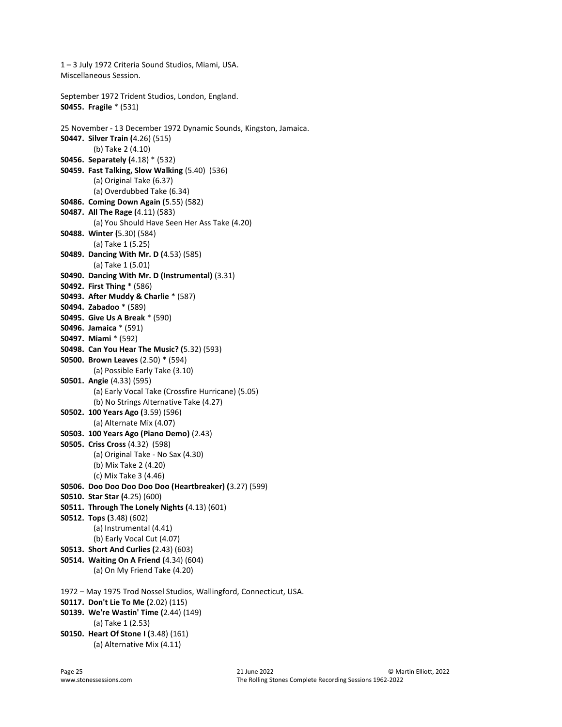```
1 – 3 July 1972 Criteria Sound Studios, Miami, USA. 
Miscellaneous Session. 
September 1972 Trident Studios, London, England. 
S0455. Fragile * (531) 
25 November - 13 December 1972 Dynamic Sounds, Kingston, Jamaica.
S0447. Silver Train (4.26) (515) 
          (b) Take 2 (4.10) 
S0456. Separately (4.18) * (532) 
S0459. Fast Talking, Slow Walking (5.40) (536) 
          (a) Original Take (6.37) 
          (a) Overdubbed Take (6.34) 
S0486. Coming Down Again (5.55) (582) 
S0487. All The Rage (4.11) (583) 
          (a) You Should Have Seen Her Ass Take (4.20) 
S0488. Winter (5.30) (584) 
          (a) Take 1 (5.25) 
S0489. Dancing With Mr. D (4.53) (585) 
          (a) Take 1 (5.01) 
S0490. Dancing With Mr. D (Instrumental) (3.31) 
S0492. First Thing * (586) 
S0493. After Muddy & Charlie * (587) 
S0494. Zabadoo * (589) 
S0495. Give Us A Break * (590) 
S0496. Jamaica * (591) 
S0497. Miami * (592) 
S0498. Can You Hear The Music? (5.32) (593) 
S0500. Brown Leaves (2.50) * (594) 
          (a) Possible Early Take (3.10) 
S0501. Angie (4.33) (595) 
          (a) Early Vocal Take (Crossfire Hurricane) (5.05) 
          (b) No Strings Alternative Take (4.27) 
S0502. 100 Years Ago (3.59) (596) 
          (a) Alternate Mix (4.07) 
S0503. 100 Years Ago (Piano Demo) (2.43) 
S0505. Criss Cross (4.32) (598) 
          (a) Original Take - No Sax (4.30) 
          (b) Mix Take 2 (4.20) 
          (c) Mix Take 3 (4.46) 
S0506. Doo Doo Doo Doo Doo (Heartbreaker) (3.27) (599) 
S0510. Star Star (4.25) (600) 
S0511. Through The Lonely Nights (4.13) (601) 
S0512. Tops (3.48) (602) 
          (a) Instrumental (4.41) 
          (b) Early Vocal Cut (4.07) 
S0513. Short And Curlies (2.43) (603) 
S0514. Waiting On A Friend (4.34) (604) 
          (a) On My Friend Take (4.20) 
1972 – May 1975 Trod Nossel Studios, Wallingford, Connecticut, USA.
S0117. Don't Lie To Me (2.02) (115) 
S0139. We're Wastin' Time (2.44) (149) 
          (a) Take 1 (2.53) 
S0150. Heart Of Stone I (3.48) (161) 
          (a) Alternative Mix (4.11)
```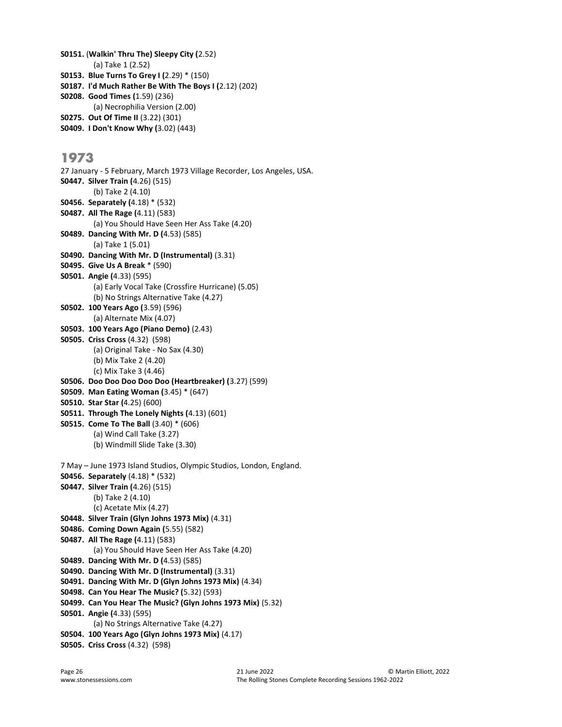S0151. (Walkin' Thru The) Sleepy City (2.52) (a) Take 1 (2.52) S0153. Blue Turns To Grey I (2.29) \* (150) S0187. I'd Much Rather Be With The Boys I (2.12) (202) S0208. Good Times (1.59) (236) (a) Necrophilia Version (2.00) S0275. Out Of Time II (3.22) (301) S0409. I Don't Know Why (3.02) (443)

#### 1973

27 January - 5 February, March 1973 Village Recorder, Los Angeles, USA. S0447. Silver Train (4.26) (515) (b) Take 2 (4.10) S0456. Separately (4.18) \* (532) S0487. All The Rage (4.11) (583) (a) You Should Have Seen Her Ass Take (4.20) S0489. Dancing With Mr. D (4.53) (585) (a) Take 1 (5.01) S0490. Dancing With Mr. D (Instrumental) (3.31) S0495. Give Us A Break \* (590) S0501. Angie (4.33) (595) (a) Early Vocal Take (Crossfire Hurricane) (5.05) (b) No Strings Alternative Take (4.27) S0502. 100 Years Ago (3.59) (596) (a) Alternate Mix (4.07) S0503. 100 Years Ago (Piano Demo) (2.43) S0505. Criss Cross (4.32) (598) (a) Original Take - No Sax (4.30) (b) Mix Take 2 (4.20) (c) Mix Take 3 (4.46) S0506. Doo Doo Doo Doo Doo (Heartbreaker) (3.27) (599) S0509. Man Eating Woman (3.45) \* (647) S0510. Star Star (4.25) (600) S0511. Through The Lonely Nights (4.13) (601) S0515. Come To The Ball (3.40) \* (606) (a) Wind Call Take (3.27) (b) Windmill Slide Take (3.30) 7 May – June 1973 Island Studios, Olympic Studios, London, England. S0456. Separately (4.18) \* (532) S0447. Silver Train (4.26) (515) (b) Take 2 (4.10) (c) Acetate Mix (4.27) S0448. Silver Train (Glyn Johns 1973 Mix) (4.31) S0486. Coming Down Again (5.55) (582) S0487. All The Rage (4.11) (583) (a) You Should Have Seen Her Ass Take (4.20) S0489. Dancing With Mr. D (4.53) (585) S0490. Dancing With Mr. D (Instrumental) (3.31) S0491. Dancing With Mr. D (Glyn Johns 1973 Mix) (4.34) S0498. Can You Hear The Music? (5.32) (593) S0499. Can You Hear The Music? (Glyn Johns 1973 Mix) (5.32) S0501. Angie (4.33) (595) (a) No Strings Alternative Take (4.27) S0504. 100 Years Ago (Glyn Johns 1973 Mix) (4.17) S0505. Criss Cross (4.32) (598)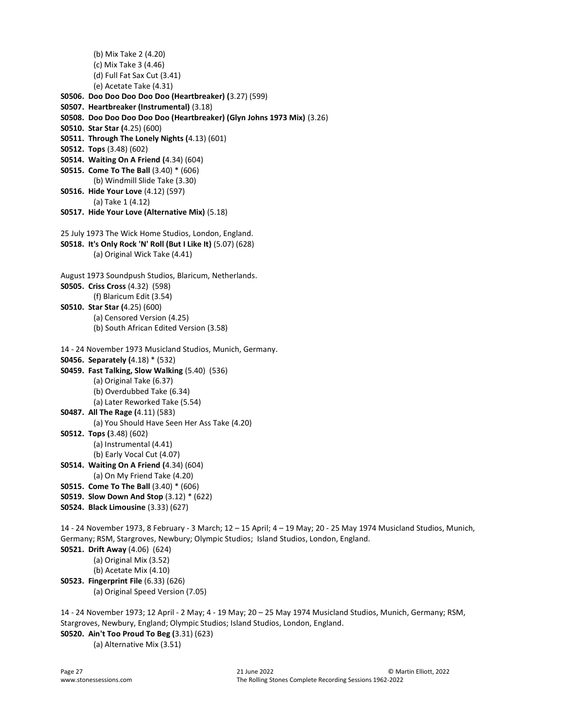```
 (b) Mix Take 2 (4.20) 
          (c) Mix Take 3 (4.46) 
          (d) Full Fat Sax Cut (3.41) 
          (e) Acetate Take (4.31) 
S0506. Doo Doo Doo Doo Doo (Heartbreaker) (3.27) (599) 
S0507. Heartbreaker (Instrumental) (3.18) 
S0508. Doo Doo Doo Doo Doo (Heartbreaker) (Glyn Johns 1973 Mix) (3.26) 
S0510. Star Star (4.25) (600) 
S0511. Through The Lonely Nights (4.13) (601) 
S0512. Tops (3.48) (602) 
S0514. Waiting On A Friend (4.34) (604) 
S0515. Come To The Ball (3.40) * (606) 
          (b) Windmill Slide Take (3.30) 
S0516. Hide Your Love (4.12) (597) 
          (a) Take 1 (4.12) 
S0517. Hide Your Love (Alternative Mix) (5.18) 
25 July 1973 The Wick Home Studios, London, England.
S0518. It's Only Rock 'N' Roll (But I Like It) (5.07) (628) 
          (a) Original Wick Take (4.41) 
August 1973 Soundpush Studios, Blaricum, Netherlands. 
S0505. Criss Cross (4.32) (598) 
          (f) Blaricum Edit (3.54) 
S0510. Star Star (4.25) (600) 
          (a) Censored Version (4.25) 
          (b) South African Edited Version (3.58) 
14 - 24 November 1973 Musicland Studios, Munich, Germany.
S0456. Separately (4.18) * (532) 
S0459. Fast Talking, Slow Walking (5.40) (536) 
          (a) Original Take (6.37) 
          (b) Overdubbed Take (6.34) 
          (a) Later Reworked Take (5.54) 
S0487. All The Rage (4.11) (583) 
          (a) You Should Have Seen Her Ass Take (4.20) 
S0512. Tops (3.48) (602) 
          (a) Instrumental (4.41) 
          (b) Early Vocal Cut (4.07) 
S0514. Waiting On A Friend (4.34) (604) 
          (a) On My Friend Take (4.20) 
S0515. Come To The Ball (3.40) * (606) 
S0519. Slow Down And Stop (3.12) * (622) 
S0524. Black Limousine (3.33) (627) 
14 - 24 November 1973, 8 February - 3 March; 12 – 15 April; 4 – 19 May; 20 - 25 May 1974 Musicland Studios, Munich, 
Germany; RSM, Stargroves, Newbury; Olympic Studios; Island Studios, London, England.
S0521. Drift Away (4.06) (624) 
          (a) Original Mix (3.52) 
          (b) Acetate Mix (4.10)
```
S0523. Fingerprint File (6.33) (626) (a) Original Speed Version (7.05)

14 - 24 November 1973; 12 April - 2 May; 4 - 19 May; 20 – 25 May 1974 Musicland Studios, Munich, Germany; RSM, Stargroves, Newbury, England; Olympic Studios; Island Studios, London, England. S0520. Ain't Too Proud To Beg (3.31) (623) (a) Alternative Mix (3.51)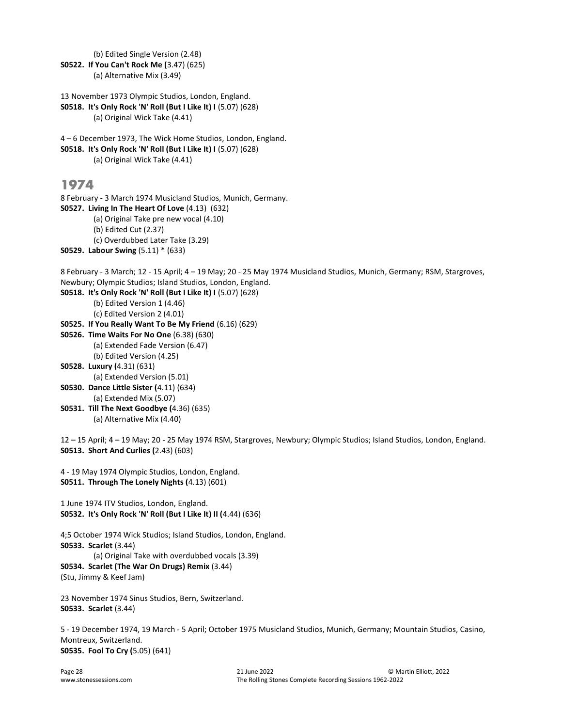```
 (b) Edited Single Version (2.48) 
S0522. If You Can't Rock Me (3.47) (625) 
          (a) Alternative Mix (3.49)
```

```
13 November 1973 Olympic Studios, London, England. 
S0518. It's Only Rock 'N' Roll (But I Like It) I (5.07) (628) 
          (a) Original Wick Take (4.41)
```
4 – 6 December 1973, The Wick Home Studios, London, England. S0518. It's Only Rock 'N' Roll (But I Like It) I (5.07) (628) (a) Original Wick Take (4.41)

#### 1974

8 February - 3 March 1974 Musicland Studios, Munich, Germany. S0527. Living In The Heart Of Love (4.13) (632) (a) Original Take pre new vocal (4.10) (b) Edited Cut (2.37) (c) Overdubbed Later Take (3.29) S0529. Labour Swing (5.11) \* (633)

8 February - 3 March; 12 - 15 April; 4 – 19 May; 20 - 25 May 1974 Musicland Studios, Munich, Germany; RSM, Stargroves, Newbury; Olympic Studios; Island Studios, London, England.

S0518. It's Only Rock 'N' Roll (But I Like It) I (5.07) (628) (b) Edited Version 1 (4.46)

```
 (c) Edited Version 2 (4.01)
```
S0525. If You Really Want To Be My Friend (6.16) (629)

S0526. Time Waits For No One (6.38) (630)

(a) Extended Fade Version (6.47)

- (b) Edited Version (4.25)
- S0528. Luxury (4.31) (631)
- (a) Extended Version (5.01) S0530. Dance Little Sister (4.11) (634)
- (a) Extended Mix (5.07)
- S0531. Till The Next Goodbye (4.36) (635) (a) Alternative Mix (4.40)

12 – 15 April; 4 – 19 May; 20 - 25 May 1974 RSM, Stargroves, Newbury; Olympic Studios; Island Studios, London, England. S0513. Short And Curlies (2.43) (603)

4 - 19 May 1974 Olympic Studios, London, England. S0511. Through The Lonely Nights (4.13) (601)

1 June 1974 ITV Studios, London, England. S0532. It's Only Rock 'N' Roll (But I Like It) II (4.44) (636)

4;5 October 1974 Wick Studios; Island Studios, London, England. S0533. Scarlet (3.44) (a) Original Take with overdubbed vocals (3.39) S0534. Scarlet (The War On Drugs) Remix (3.44) (Stu, Jimmy & Keef Jam)

23 November 1974 Sinus Studios, Bern, Switzerland. S0533. Scarlet (3.44)

5 - 19 December 1974, 19 March - 5 April; October 1975 Musicland Studios, Munich, Germany; Mountain Studios, Casino, Montreux, Switzerland. S0535. Fool To Cry (5.05) (641)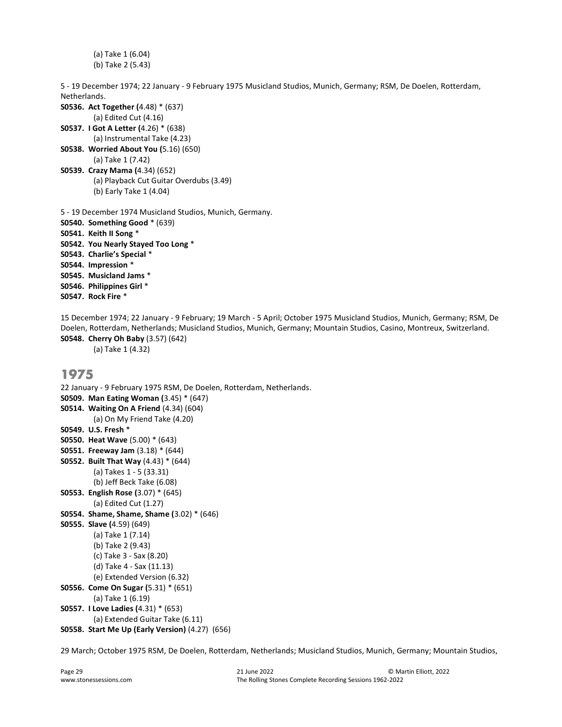```
 (a) Take 1 (6.04) 
 (b) Take 2 (5.43)
```
5 - 19 December 1974; 22 January - 9 February 1975 Musicland Studios, Munich, Germany; RSM, De Doelen, Rotterdam, Netherlands. S0536. Act Together (4.48) \* (637) (a) Edited Cut (4.16) S0537. I Got A Letter (4.26) \* (638) (a) Instrumental Take (4.23) S0538. Worried About You (5.16) (650) (a) Take 1 (7.42) S0539. Crazy Mama (4.34) (652) (a) Playback Cut Guitar Overdubs (3.49) (b) Early Take 1 (4.04) 5 - 19 December 1974 Musicland Studios, Munich, Germany. S0540. Something Good \* (639) S0541. Keith II Song \* S0542. You Nearly Stayed Too Long \* S0543. Charlie's Special \* S0544. Impression \* S0545. Musicland Jams \* S0546. Philippines Girl \*

15 December 1974; 22 January - 9 February; 19 March - 5 April; October 1975 Musicland Studios, Munich, Germany; RSM, De Doelen, Rotterdam, Netherlands; Musicland Studios, Munich, Germany; Mountain Studios, Casino, Montreux, Switzerland. S0548. Cherry Oh Baby (3.57) (642) (a) Take 1 (4.32)

### 1975

S0547. Rock Fire \*

```
22 January - 9 February 1975 RSM, De Doelen, Rotterdam, Netherlands.
S0509. Man Eating Woman (3.45) * (647) 
S0514. Waiting On A Friend (4.34) (604) 
          (a) On My Friend Take (4.20) 
S0549. U.S. Fresh * 
S0550. Heat Wave (5.00) * (643) 
S0551. Freeway Jam (3.18) * (644) 
S0552. Built That Way (4.43) * (644) 
          (a) Takes 1 - 5 (33.31) 
          (b) Jeff Beck Take (6.08) 
S0553. English Rose (3.07) * (645) 
          (a) Edited Cut (1.27) 
S0554. Shame, Shame, Shame (3.02) * (646) 
S0555. Slave (4.59) (649) 
          (a) Take 1 (7.14) 
          (b) Take 2 (9.43) 
          (c) Take 3 - Sax (8.20) 
          (d) Take 4 - Sax (11.13) 
          (e) Extended Version (6.32) 
S0556. Come On Sugar (5.31) * (651) 
          (a) Take 1 (6.19) 
S0557. I Love Ladies (4.31) * (653) 
          (a) Extended Guitar Take (6.11) 
S0558. Start Me Up (Early Version) (4.27) (656)
```
29 March; October 1975 RSM, De Doelen, Rotterdam, Netherlands; Musicland Studios, Munich, Germany; Mountain Studios,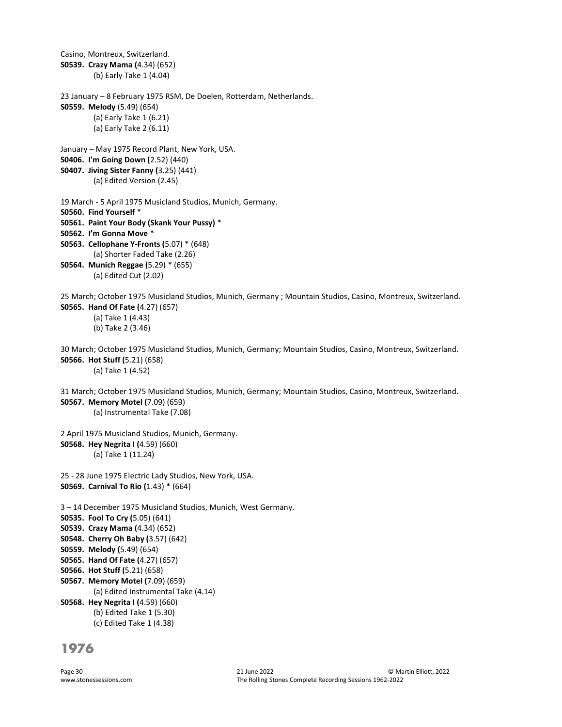```
Casino, Montreux, Switzerland.
S0539. Crazy Mama (4.34) (652) 
          (b) Early Take 1 (4.04) 
23 January – 8 February 1975 RSM, De Doelen, Rotterdam, Netherlands. 
S0559. Melody (5.49) (654) 
          (a) Early Take 1 (6.21) 
          (a) Early Take 2 (6.11) 
January – May 1975 Record Plant, New York, USA. 
S0406. I'm Going Down (2.52) (440) 
S0407. Jiving Sister Fanny (3.25) (441) 
          (a) Edited Version (2.45) 
19 March - 5 April 1975 Musicland Studios, Munich, Germany.
S0560. Find Yourself * 
S0561. Paint Your Body (Skank Your Pussy) * 
S0562. I'm Gonna Move * 
S0563. Cellophane Y-Fronts (5.07) * (648) 
          (a) Shorter Faded Take (2.26) 
S0564. Munich Reggae (5.29) * (655) 
          (a) Edited Cut (2.02) 
25 March; October 1975 Musicland Studios, Munich, Germany ; Mountain Studios, Casino, Montreux, Switzerland.
S0565. Hand Of Fate (4.27) (657) 
          (a) Take 1 (4.43) 
          (b) Take 2 (3.46) 
30 March; October 1975 Musicland Studios, Munich, Germany; Mountain Studios, Casino, Montreux, Switzerland.
S0566. Hot Stuff (5.21) (658) 
          (a) Take 1 (4.52) 
31 March; October 1975 Musicland Studios, Munich, Germany; Mountain Studios, Casino, Montreux, Switzerland.
S0567. Memory Motel (7.09) (659) 
          (a) Instrumental Take (7.08) 
2 April 1975 Musicland Studios, Munich, Germany.
S0568. Hey Negrita I (4.59) (660) 
          (a) Take 1 (11.24) 
25 - 28 June 1975 Electric Lady Studios, New York, USA.
S0569. Carnival To Rio (1.43) * (664) 
3 – 14 December 1975 Musicland Studios, Munich, West Germany. 
S0535. Fool To Cry (5.05) (641) 
S0539. Crazy Mama (4.34) (652) 
S0548. Cherry Oh Baby (3.57) (642) 
S0559. Melody (5.49) (654) 
S0565. Hand Of Fate (4.27) (657) 
S0566. Hot Stuff (5.21) (658) 
S0567. Memory Motel (7.09) (659) 
          (a) Edited Instrumental Take (4.14) 
S0568. Hey Negrita I (4.59) (660) 
          (b) Edited Take 1 (5.30) 
          (c) Edited Take 1 (4.38)
```

```
1976
```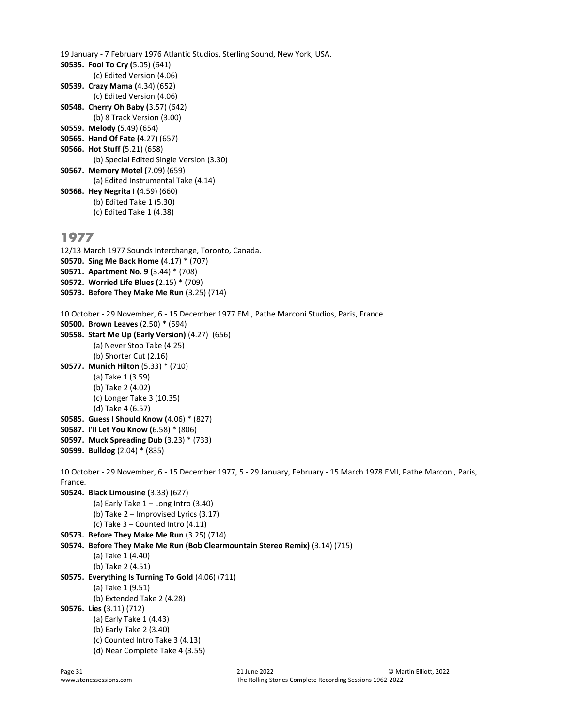19 January - 7 February 1976 Atlantic Studios, Sterling Sound, New York, USA. S0535. Fool To Cry (5.05) (641) (c) Edited Version (4.06) S0539. Crazy Mama (4.34) (652) (c) Edited Version (4.06) S0548. Cherry Oh Baby (3.57) (642) (b) 8 Track Version (3.00) S0559. Melody (5.49) (654) S0565. Hand Of Fate (4.27) (657) S0566. Hot Stuff (5.21) (658) (b) Special Edited Single Version (3.30) S0567. Memory Motel (7.09) (659) (a) Edited Instrumental Take (4.14) S0568. Hey Negrita I (4.59) (660) (b) Edited Take 1 (5.30) (c) Edited Take 1 (4.38) 1977 12/13 March 1977 Sounds Interchange, Toronto, Canada.

```
S0570. Sing Me Back Home (4.17) * (707) 
S0571. Apartment No. 9 (3.44) * (708) 
S0572. Worried Life Blues (2.15) * (709) 
S0573. Before They Make Me Run (3.25) (714) 
10 October - 29 November, 6 - 15 December 1977 EMI, Pathe Marconi Studios, Paris, France.
S0500. Brown Leaves (2.50) * (594) 
S0558. Start Me Up (Early Version) (4.27) (656) 
          (a) Never Stop Take (4.25) 
          (b) Shorter Cut (2.16) 
S0577. Munich Hilton (5.33) * (710) 
          (a) Take 1 (3.59) 
          (b) Take 2 (4.02) 
          (c) Longer Take 3 (10.35) 
          (d) Take 4 (6.57) 
S0585. Guess I Should Know (4.06) * (827) 
S0587. I'll Let You Know (6.58) * (806) 
S0597. Muck Spreading Dub (3.23) * (733) 
S0599. Bulldog (2.04) * (835) 
10 October - 29 November, 6 - 15 December 1977, 5 - 29 January, February - 15 March 1978 EMI, Pathe Marconi, Paris, 
France.
S0524. Black Limousine (3.33) (627) 
         (a) Early Take 1 - Long Intro (3.40)
          (b) Take 2 – Improvised Lyrics (3.17) 
          (c) Take 3 – Counted Intro (4.11) 
S0573. Before They Make Me Run (3.25) (714) 
S0574. Before They Make Me Run (Bob Clearmountain Stereo Remix) (3.14) (715) 
          (a) Take 1 (4.40) 
          (b) Take 2 (4.51) 
S0575. Everything Is Turning To Gold (4.06) (711) 
          (a) Take 1 (9.51) 
          (b) Extended Take 2 (4.28) 
S0576. Lies (3.11) (712) 
          (a) Early Take 1 (4.43) 
          (b) Early Take 2 (3.40) 
          (c) Counted Intro Take 3 (4.13) 
          (d) Near Complete Take 4 (3.55)
```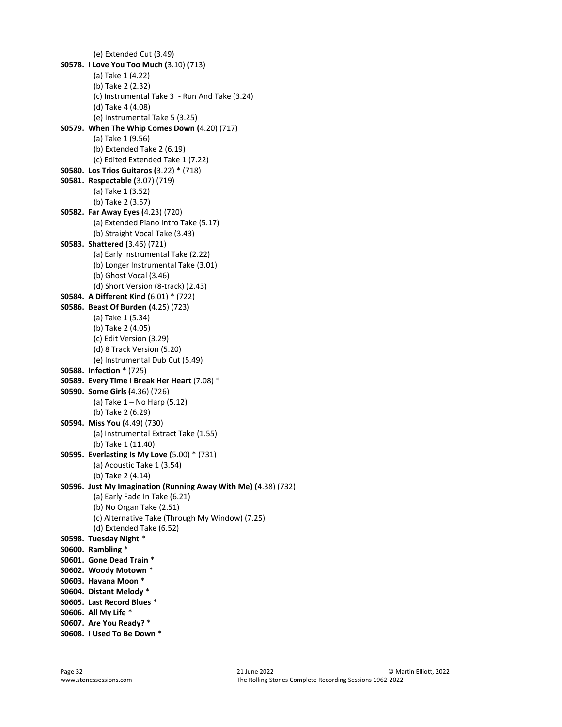```
 (e) Extended Cut (3.49) 
S0578. I Love You Too Much (3.10) (713) 
          (a) Take 1 (4.22) 
          (b) Take 2 (2.32) 
          (c) Instrumental Take 3 - Run And Take (3.24) 
          (d) Take 4 (4.08) 
          (e) Instrumental Take 5 (3.25) 
S0579. When The Whip Comes Down (4.20) (717) 
          (a) Take 1 (9.56) 
          (b) Extended Take 2 (6.19) 
          (c) Edited Extended Take 1 (7.22) 
S0580. Los Trios Guitaros (3.22) * (718) 
S0581. Respectable (3.07) (719) 
          (a) Take 1 (3.52) 
          (b) Take 2 (3.57) 
S0582. Far Away Eyes (4.23) (720) 
          (a) Extended Piano Intro Take (5.17) 
          (b) Straight Vocal Take (3.43) 
S0583. Shattered (3.46) (721) 
          (a) Early Instrumental Take (2.22) 
          (b) Longer Instrumental Take (3.01) 
          (b) Ghost Vocal (3.46) 
          (d) Short Version (8-track) (2.43) 
S0584. A Different Kind (6.01) * (722) 
S0586. Beast Of Burden (4.25) (723) 
          (a) Take 1 (5.34) 
          (b) Take 2 (4.05) 
          (c) Edit Version (3.29) 
          (d) 8 Track Version (5.20) 
          (e) Instrumental Dub Cut (5.49) 
S0588. Infection * (725) 
S0589. Every Time I Break Her Heart (7.08) *
S0590. Some Girls (4.36) (726) 
           (a) Take 1 – No Harp (5.12) 
          (b) Take 2 (6.29) 
S0594. Miss You (4.49) (730) 
          (a) Instrumental Extract Take (1.55) 
          (b) Take 1 (11.40) 
S0595. Everlasting Is My Love (5.00) * (731) 
          (a) Acoustic Take 1 (3.54) 
          (b) Take 2 (4.14) 
S0596. Just My Imagination (Running Away With Me) (4.38) (732) 
          (a) Early Fade In Take (6.21) 
          (b) No Organ Take (2.51) 
          (c) Alternative Take (Through My Window) (7.25) 
          (d) Extended Take (6.52) 
S0598. Tuesday Night * 
S0600. Rambling * 
S0601. Gone Dead Train * 
S0602. Woody Motown * 
S0603. Havana Moon * 
S0604. Distant Melody * 
S0605. Last Record Blues * 
S0606. All My Life * 
S0607. Are You Ready? * 
S0608. I Used To Be Down *
```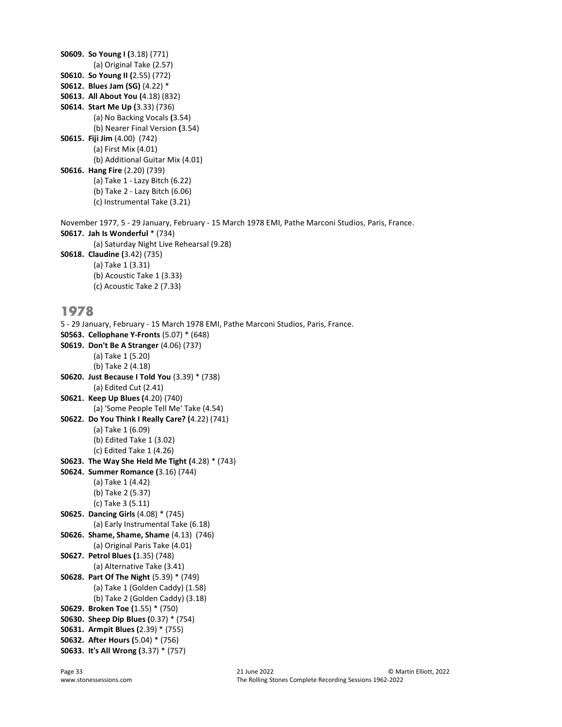```
S0609. So Young I (3.18) (771) 
          (a) Original Take (2.57) 
S0610. So Young II (2.55) (772) 
S0612. Blues Jam (SG) (4.22) * 
S0613. All About You (4.18) (832) 
S0614. Start Me Up (3.33) (736) 
          (a) No Backing Vocals (3.54) 
          (b) Nearer Final Version (3.54) 
S0615. Fiji Jim (4.00) (742) 
          (a) First Mix (4.01) 
           (b) Additional Guitar Mix (4.01) 
S0616. Hang Fire (2.20) (739) 
          (a) Take 1 - Lazy Bitch (6.22) 
          (b) Take 2 - Lazy Bitch (6.06) 
          (c) Instrumental Take (3.21) 
November 1977, 5 - 29 January, February - 15 March 1978 EMI, Pathe Marconi Studios, Paris, France.
S0617. Jah Is Wonderful * (734) 
          (a) Saturday Night Live Rehearsal (9.28) 
S0618. Claudine (3.42) (735) 
          (a) Take 1 (3.31) 
           (b) Acoustic Take 1 (3.33) 
          (c) Acoustic Take 2 (7.33) 
1978
5 - 29 January, February - 15 March 1978 EMI, Pathe Marconi Studios, Paris, France.
S0563. Cellophane Y-Fronts (5.07) * (648) 
S0619. Don't Be A Stranger (4.06) (737) 
          (a) Take 1 (5.20) 
          (b) Take 2 (4.18) 
S0620. Just Because I Told You (3.39) * (738) 
          (a) Edited Cut (2.41) 
S0621. Keep Up Blues (4.20) (740) 
          (a) 'Some People Tell Me' Take (4.54) 
S0622. Do You Think I Really Care? (4.22) (741) 
          (a) Take 1 (6.09) 
          (b) Edited Take 1 (3.02) 
          (c) Edited Take 1 (4.26)
```

```
S0623. The Way She Held Me Tight (4.28) * (743) 
S0624. Summer Romance (3.16) (744) 
          (a) Take 1 (4.42) 
          (b) Take 2 (5.37) 
          (c) Take 3 (5.11) 
S0625. Dancing Girls (4.08) * (745) 
          (a) Early Instrumental Take (6.18) 
S0626. Shame, Shame, Shame (4.13) (746) 
          (a) Original Paris Take (4.01) 
S0627. Petrol Blues (1.35) (748) 
          (a) Alternative Take (3.41) 
S0628. Part Of The Night (5.39) * (749) 
          (a) Take 1 (Golden Caddy) (1.58) 
          (b) Take 2 (Golden Caddy) (3.18) 
S0629. Broken Toe (1.55) * (750) 
S0630. Sheep Dip Blues (0.37) * (754) 
S0631. Armpit Blues (2.39) * (755)
```
S0632. After Hours (5.04) \* (756) S0633. It's All Wrong (3.37) \* (757)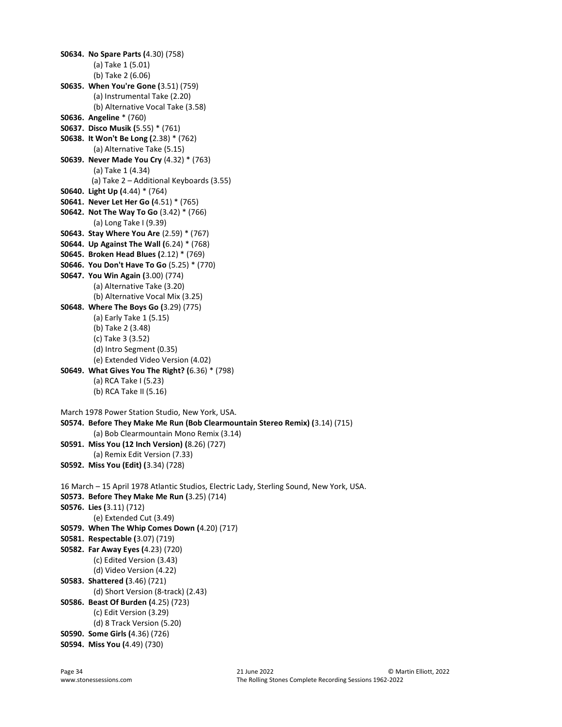```
S0634. No Spare Parts (4.30) (758) 
          (a) Take 1 (5.01) 
          (b) Take 2 (6.06) 
S0635. When You're Gone (3.51) (759) 
          (a) Instrumental Take (2.20) 
          (b) Alternative Vocal Take (3.58) 
S0636. Angeline * (760) 
S0637. Disco Musik (5.55) * (761) 
S0638. It Won't Be Long (2.38) * (762) 
          (a) Alternative Take (5.15) 
S0639. Never Made You Cry (4.32) * (763) 
          (a) Take 1 (4.34) 
          (a) Take 2 – Additional Keyboards (3.55) 
S0640. Light Up (4.44) * (764) 
S0641. Never Let Her Go (4.51) * (765) 
S0642. Not The Way To Go (3.42) * (766) 
          (a) Long Take I (9.39) 
S0643. Stay Where You Are (2.59) * (767) 
S0644. Up Against The Wall (6.24) * (768) 
S0645. Broken Head Blues (2.12) * (769) 
S0646. You Don't Have To Go (5.25) * (770) 
S0647. You Win Again (3.00) (774) 
          (a) Alternative Take (3.20) 
          (b) Alternative Vocal Mix (3.25) 
S0648. Where The Boys Go (3.29) (775) 
          (a) Early Take 1 (5.15) 
          (b) Take 2 (3.48) 
          (c) Take 3 (3.52) 
          (d) Intro Segment (0.35) 
          (e) Extended Video Version (4.02) 
S0649. What Gives You The Right? (6.36) * (798) 
          (a) RCA Take I (5.23) 
          (b) RCA Take II (5.16) 
March 1978 Power Station Studio, New York, USA. 
S0574. Before They Make Me Run (Bob Clearmountain Stereo Remix) (3.14) (715) 
          (a) Bob Clearmountain Mono Remix (3.14) 
S0591. Miss You (12 Inch Version) (8.26) (727) 
          (a) Remix Edit Version (7.33) 
S0592. Miss You (Edit) (3.34) (728) 
16 March – 15 April 1978 Atlantic Studios, Electric Lady, Sterling Sound, New York, USA. 
S0573. Before They Make Me Run (3.25) (714) 
S0576. Lies (3.11) (712) 
          (e) Extended Cut (3.49) 
S0579. When The Whip Comes Down (4.20) (717) 
S0581. Respectable (3.07) (719) 
S0582. Far Away Eyes (4.23) (720) 
          (c) Edited Version (3.43) 
          (d) Video Version (4.22) 
S0583. Shattered (3.46) (721) 
          (d) Short Version (8-track) (2.43) 
S0586. Beast Of Burden (4.25) (723) 
          (c) Edit Version (3.29) 
          (d) 8 Track Version (5.20) 
S0590. Some Girls (4.36) (726) 
S0594. Miss You (4.49) (730)
```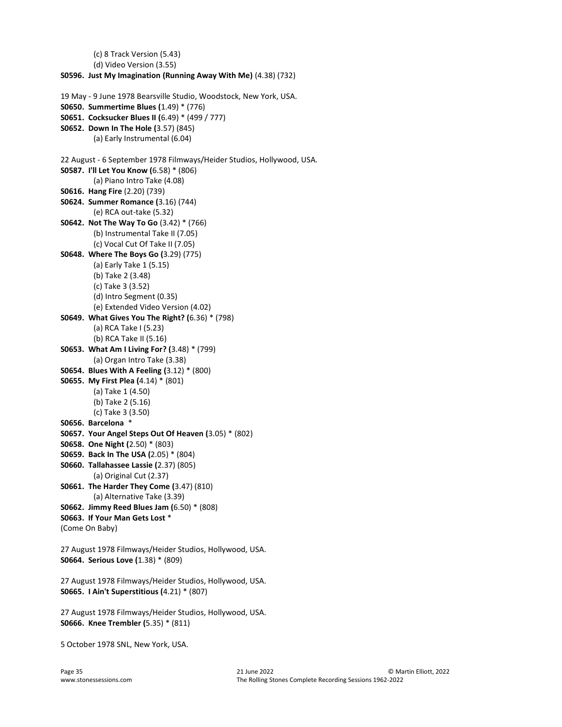(d) Video Version (3.55) S0596. Just My Imagination (Running Away With Me) (4.38) (732) 19 May - 9 June 1978 Bearsville Studio, Woodstock, New York, USA. S0650. Summertime Blues (1.49) \* (776) S0651. Cocksucker Blues II (6.49) \* (499 / 777) S0652. Down In The Hole (3.57) (845) (a) Early Instrumental (6.04) 22 August - 6 September 1978 Filmways/Heider Studios, Hollywood, USA. S0587. I'll Let You Know (6.58) \* (806) (a) Piano Intro Take (4.08) S0616. Hang Fire (2.20) (739) S0624. Summer Romance (3.16) (744) (e) RCA out-take (5.32) S0642. Not The Way To Go (3.42) \* (766) (b) Instrumental Take II (7.05) (c) Vocal Cut Of Take II (7.05) S0648. Where The Boys Go (3.29) (775) (a) Early Take 1 (5.15) (b) Take 2 (3.48) (c) Take 3 (3.52) (d) Intro Segment (0.35) (e) Extended Video Version (4.02) S0649. What Gives You The Right? (6.36) \* (798) (a) RCA Take I (5.23) (b) RCA Take II (5.16) S0653. What Am I Living For? (3.48) \* (799) (a) Organ Intro Take (3.38) S0654. Blues With A Feeling (3.12) \* (800) S0655. My First Plea (4.14) \* (801) (a) Take 1 (4.50) (b) Take 2 (5.16) (c) Take 3 (3.50) S0656. Barcelona \* S0657. Your Angel Steps Out Of Heaven (3.05) \* (802) S0658. One Night (2.50) \* (803) S0659. Back In The USA (2.05) \* (804) S0660. Tallahassee Lassie (2.37) (805) (a) Original Cut (2.37) S0661. The Harder They Come (3.47) (810) (a) Alternative Take (3.39) S0662. Jimmy Reed Blues Jam (6.50) \* (808) S0663. If Your Man Gets Lost \* (Come On Baby) 27 August 1978 Filmways/Heider Studios, Hollywood, USA. S0664. Serious Love (1.38) \* (809)

(c) 8 Track Version (5.43)

27 August 1978 Filmways/Heider Studios, Hollywood, USA. S0665. I Ain't Superstitious (4.21) \* (807)

27 August 1978 Filmways/Heider Studios, Hollywood, USA. S0666. Knee Trembler (5.35) \* (811)

5 October 1978 SNL, New York, USA.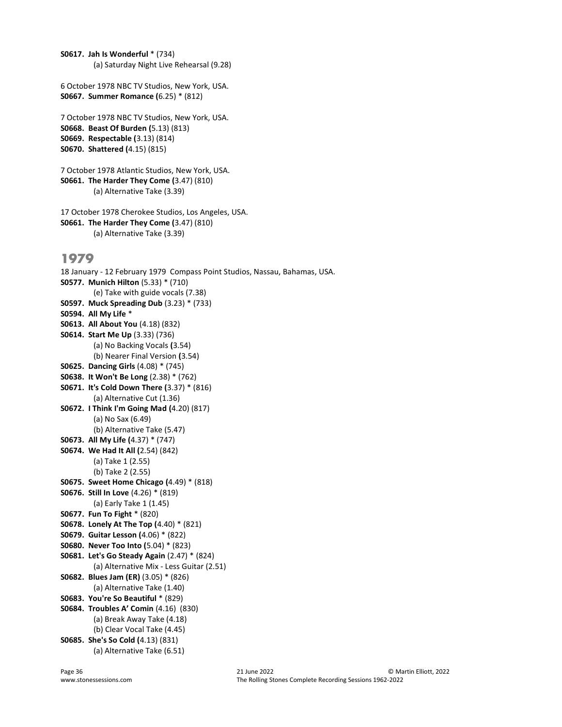```
S0617. Jah Is Wonderful * (734) 
          (a) Saturday Night Live Rehearsal (9.28) 
6 October 1978 NBC TV Studios, New York, USA.
S0667. Summer Romance (6.25) * (812) 
7 October 1978 NBC TV Studios, New York, USA.
S0668. Beast Of Burden (5.13) (813) 
S0669. Respectable (3.13) (814) 
S0670. Shattered (4.15) (815) 
7 October 1978 Atlantic Studios, New York, USA. 
S0661. The Harder They Come (3.47) (810) 
          (a) Alternative Take (3.39) 
17 October 1978 Cherokee Studios, Los Angeles, USA. 
S0661. The Harder They Come (3.47) (810) 
          (a) Alternative Take (3.39) 
1979
18 January - 12 February 1979 Compass Point Studios, Nassau, Bahamas, USA. 
S0577. Munich Hilton (5.33) * (710) 
          (e) Take with guide vocals (7.38) 
S0597. Muck Spreading Dub (3.23) * (733) 
S0594. All My Life * 
S0613. All About You (4.18) (832) 
S0614. Start Me Up (3.33) (736) 
          (a) No Backing Vocals (3.54) 
          (b) Nearer Final Version (3.54) 
S0625. Dancing Girls (4.08) * (745) 
S0638. It Won't Be Long (2.38) * (762) 
S0671. It's Cold Down There (3.37) * (816) 
          (a) Alternative Cut (1.36) 
S0672. I Think I'm Going Mad (4.20) (817) 
          (a) No Sax (6.49) 
          (b) Alternative Take (5.47) 
S0673. All My Life (4.37) * (747) 
S0674. We Had It All (2.54) (842) 
          (a) Take 1 (2.55) 
          (b) Take 2 (2.55) 
S0675. Sweet Home Chicago (4.49) * (818) 
S0676. Still In Love (4.26) * (819) 
          (a) Early Take 1 (1.45) 
S0677. Fun To Fight * (820) 
S0678. Lonely At The Top (4.40) * (821) 
S0679. Guitar Lesson (4.06) * (822) 
S0680. Never Too Into (5.04) * (823) 
S0681. Let's Go Steady Again (2.47) * (824) 
          (a) Alternative Mix - Less Guitar (2.51) 
S0682. Blues Jam (ER) (3.05) * (826) 
          (a) Alternative Take (1.40) 
S0683. You're So Beautiful * (829) 
S0684. Troubles A' Comin (4.16) (830) 
          (a) Break Away Take (4.18) 
          (b) Clear Vocal Take (4.45) 
S0685. She's So Cold (4.13) (831) 
          (a) Alternative Take (6.51)
```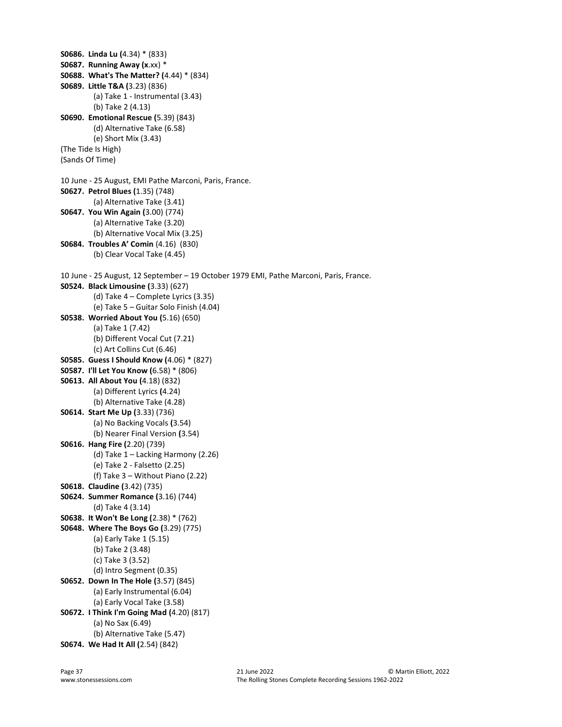```
S0686. Linda Lu (4.34) * (833) 
S0687. Running Away (x.xx) *
S0688. What's The Matter? (4.44) * (834) 
S0689. Little T&A (3.23) (836) 
          (a) Take 1 - Instrumental (3.43) 
          (b) Take 2 (4.13) 
S0690. Emotional Rescue (5.39) (843) 
          (d) Alternative Take (6.58) 
          (e) Short Mix (3.43) 
(The Tide Is High) 
(Sands Of Time) 
10 June - 25 August, EMI Pathe Marconi, Paris, France.
S0627. Petrol Blues (1.35) (748) 
          (a) Alternative Take (3.41) 
S0647. You Win Again (3.00) (774) 
          (a) Alternative Take (3.20) 
          (b) Alternative Vocal Mix (3.25) 
S0684. Troubles A' Comin (4.16) (830) 
          (b) Clear Vocal Take (4.45) 
10 June - 25 August, 12 September – 19 October 1979 EMI, Pathe Marconi, Paris, France.
S0524. Black Limousine (3.33) (627) 
          (d) Take 4 – Complete Lyrics (3.35) 
          (e) Take 5 – Guitar Solo Finish (4.04) 
S0538. Worried About You (5.16) (650) 
          (a) Take 1 (7.42) 
          (b) Different Vocal Cut (7.21) 
          (c) Art Collins Cut (6.46) 
S0585. Guess I Should Know (4.06) * (827) 
S0587. I'll Let You Know (6.58) * (806) 
S0613. All About You (4.18) (832) 
           (a) Different Lyrics (4.24) 
           (b) Alternative Take (4.28) 
S0614. Start Me Up (3.33) (736) 
          (a) No Backing Vocals (3.54) 
          (b) Nearer Final Version (3.54) 
S0616. Hang Fire (2.20) (739) 
          (d) Take 1 – Lacking Harmony (2.26) 
          (e) Take 2 - Falsetto (2.25) 
          (f) Take 3 – Without Piano (2.22) 
S0618. Claudine (3.42) (735) 
S0624. Summer Romance (3.16) (744) 
           (d) Take 4 (3.14) 
S0638. It Won't Be Long (2.38) * (762) 
S0648. Where The Boys Go (3.29) (775) 
          (a) Early Take 1 (5.15) 
          (b) Take 2 (3.48) 
          (c) Take 3 (3.52) 
          (d) Intro Segment (0.35) 
S0652. Down In The Hole (3.57) (845) 
          (a) Early Instrumental (6.04) 
          (a) Early Vocal Take (3.58) 
S0672. I Think I'm Going Mad (4.20) (817) 
          (a) No Sax (6.49) 
          (b) Alternative Take (5.47) 
S0674. We Had It All (2.54) (842)
```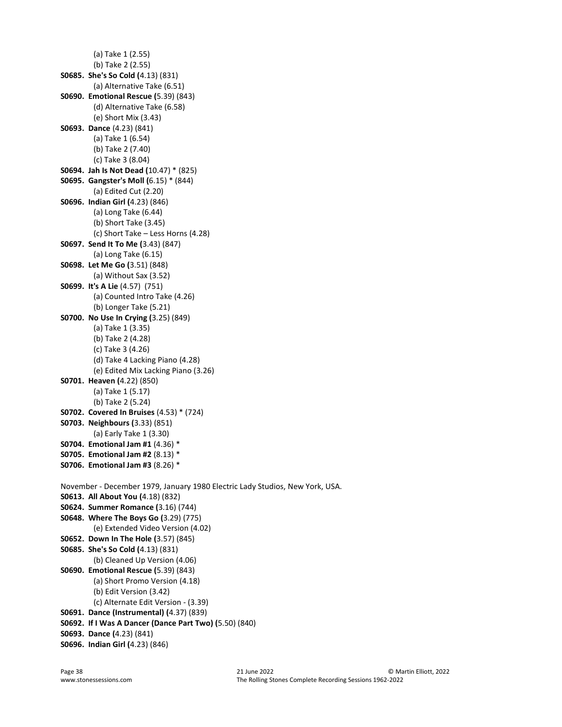```
 (a) Take 1 (2.55) 
          (b) Take 2 (2.55) 
S0685. She's So Cold (4.13) (831) 
          (a) Alternative Take (6.51) 
S0690. Emotional Rescue (5.39) (843) 
          (d) Alternative Take (6.58) 
          (e) Short Mix (3.43) 
S0693. Dance (4.23) (841) 
          (a) Take 1 (6.54) 
          (b) Take 2 (7.40) 
          (c) Take 3 (8.04) 
S0694. Jah Is Not Dead (10.47) * (825) 
S0695. Gangster's Moll (6.15) * (844) 
          (a) Edited Cut (2.20) 
S0696. Indian Girl (4.23) (846) 
          (a) Long Take (6.44) 
          (b) Short Take (3.45) 
          (c) Short Take – Less Horns (4.28) 
S0697. Send It To Me (3.43) (847) 
          (a) Long Take (6.15) 
S0698. Let Me Go (3.51) (848) 
          (a) Without Sax (3.52) 
S0699. It's A Lie (4.57) (751) 
          (a) Counted Intro Take (4.26) 
          (b) Longer Take (5.21) 
S0700. No Use In Crying (3.25) (849) 
          (a) Take 1 (3.35) 
          (b) Take 2 (4.28) 
          (c) Take 3 (4.26) 
          (d) Take 4 Lacking Piano (4.28) 
          (e) Edited Mix Lacking Piano (3.26) 
S0701. Heaven (4.22) (850) 
          (a) Take 1 (5.17) 
          (b) Take 2 (5.24) 
S0702. Covered In Bruises (4.53) * (724) 
S0703. Neighbours (3.33) (851) 
          (a) Early Take 1 (3.30) 
S0704. Emotional Jam #1 (4.36) * 
S0705. Emotional Jam #2 (8.13) *
S0706. Emotional Jam #3 (8.26) *
November - December 1979, January 1980 Electric Lady Studios, New York, USA.
S0613. All About You (4.18) (832) 
S0624. Summer Romance (3.16) (744) 
S0648. Where The Boys Go (3.29) (775) 
           (e) Extended Video Version (4.02) 
S0652. Down In The Hole (3.57) (845) 
S0685. She's So Cold (4.13) (831) 
          (b) Cleaned Up Version (4.06) 
S0690. Emotional Rescue (5.39) (843) 
          (a) Short Promo Version (4.18) 
          (b) Edit Version (3.42) 
          (c) Alternate Edit Version - (3.39) 
S0691. Dance (Instrumental) (4.37) (839) 
S0692. If I Was A Dancer (Dance Part Two) (5.50) (840) 
S0693. Dance (4.23) (841) 
S0696. Indian Girl (4.23) (846)
```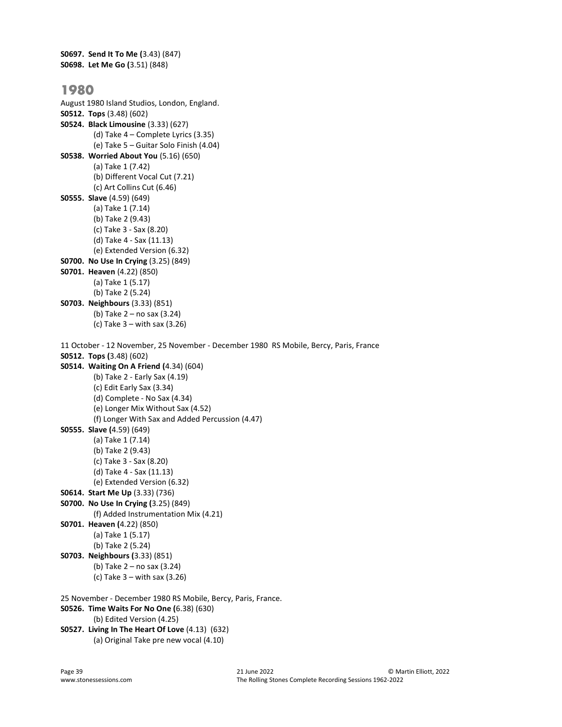S0697. Send It To Me (3.43) (847) S0698. Let Me Go (3.51) (848)

# 1980

```
August 1980 Island Studios, London, England. 
S0512. Tops (3.48) (602) 
S0524. Black Limousine (3.33) (627) 
          (d) Take 4 – Complete Lyrics (3.35) 
          (e) Take 5 – Guitar Solo Finish (4.04) 
S0538. Worried About You (5.16) (650) 
          (a) Take 1 (7.42) 
          (b) Different Vocal Cut (7.21) 
          (c) Art Collins Cut (6.46) 
S0555. Slave (4.59) (649) 
          (a) Take 1 (7.14) 
          (b) Take 2 (9.43) 
          (c) Take 3 - Sax (8.20) 
          (d) Take 4 - Sax (11.13) 
          (e) Extended Version (6.32) 
S0700. No Use In Crying (3.25) (849) 
S0701. Heaven (4.22) (850) 
          (a) Take 1 (5.17) 
          (b) Take 2 (5.24) 
S0703. Neighbours (3.33) (851) 
           (b) Take 2 – no sax (3.24) 
         (c) Take 3 - with sax (3.26)11 October - 12 November, 25 November - December 1980 RS Mobile, Bercy, Paris, France
S0512. Tops (3.48) (602) 
S0514. Waiting On A Friend (4.34) (604) 
          (b) Take 2 - Early Sax (4.19) 
          (c) Edit Early Sax (3.34) 
          (d) Complete - No Sax (4.34) 
          (e) Longer Mix Without Sax (4.52) 
          (f) Longer With Sax and Added Percussion (4.47) 
S0555. Slave (4.59) (649) 
          (a) Take 1 (7.14) 
          (b) Take 2 (9.43) 
          (c) Take 3 - Sax (8.20) 
          (d) Take 4 - Sax (11.13) 
          (e) Extended Version (6.32) 
S0614. Start Me Up (3.33) (736) 
S0700. No Use In Crying (3.25) (849) 
          (f) Added Instrumentation Mix (4.21) 
S0701. Heaven (4.22) (850) 
          (a) Take 1 (5.17) 
          (b) Take 2 (5.24) 
S0703. Neighbours (3.33) (851) 
           (b) Take 2 – no sax (3.24) 
         (c) Take 3 - with sax (3.26)25 November - December 1980 RS Mobile, Bercy, Paris, France.
S0526. Time Waits For No One (6.38) (630) 
           (b) Edited Version (4.25) 
S0527. Living In The Heart Of Love (4.13) (632) 
          (a) Original Take pre new vocal (4.10)
```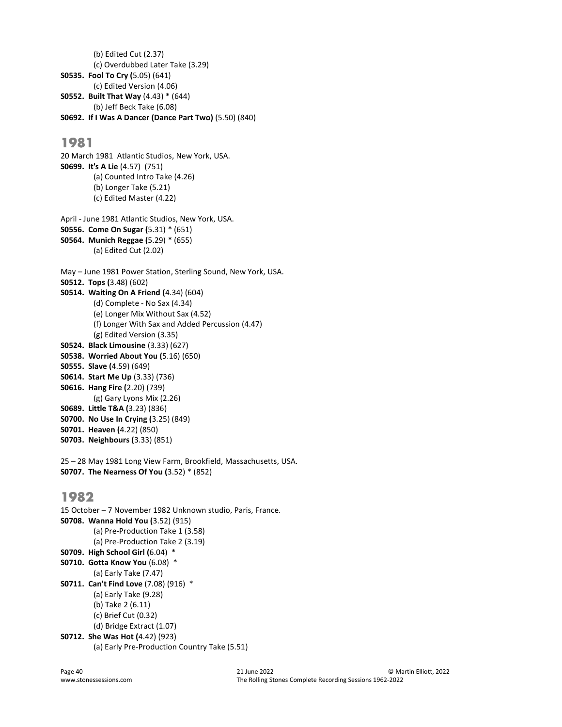```
 (b) Edited Cut (2.37) 
          (c) Overdubbed Later Take (3.29) 
S0535. Fool To Cry (5.05) (641) 
          (c) Edited Version (4.06) 
S0552. Built That Way (4.43) * (644) 
          (b) Jeff Beck Take (6.08) 
S0692. If I Was A Dancer (Dance Part Two) (5.50) (840)
```
#### 1981

20 March 1981 Atlantic Studios, New York, USA. S0699. It's A Lie (4.57) (751) (a) Counted Intro Take (4.26) (b) Longer Take (5.21) (c) Edited Master (4.22) April - June 1981 Atlantic Studios, New York, USA. S0556. Come On Sugar (5.31) \* (651) S0564. Munich Reggae (5.29) \* (655) (a) Edited Cut (2.02) May – June 1981 Power Station, Sterling Sound, New York, USA. S0512. Tops (3.48) (602) S0514. Waiting On A Friend (4.34) (604) (d) Complete - No Sax (4.34) (e) Longer Mix Without Sax (4.52) (f) Longer With Sax and Added Percussion (4.47) (g) Edited Version (3.35) S0524. Black Limousine (3.33) (627) S0538. Worried About You (5.16) (650) S0555. Slave (4.59) (649) S0614. Start Me Up (3.33) (736) S0616. Hang Fire (2.20) (739) (g) Gary Lyons Mix (2.26) S0689. Little T&A (3.23) (836)

S0700. No Use In Crying (3.25) (849)

S0701. Heaven (4.22) (850)

S0703. Neighbours (3.33) (851)

25 – 28 May 1981 Long View Farm, Brookfield, Massachusetts, USA. S0707. The Nearness Of You (3.52) \* (852)

# 1982

```
15 October – 7 November 1982 Unknown studio, Paris, France. 
S0708. Wanna Hold You (3.52) (915) 
          (a) Pre-Production Take 1 (3.58) 
          (a) Pre-Production Take 2 (3.19) 
S0709. High School Girl (6.04) *
S0710. Gotta Know You (6.08) *
          (a) Early Take (7.47) 
S0711. Can't Find Love (7.08) (916) * 
          (a) Early Take (9.28) 
          (b) Take 2 (6.11) 
          (c) Brief Cut (0.32) 
          (d) Bridge Extract (1.07) 
S0712. She Was Hot (4.42) (923) 
          (a) Early Pre-Production Country Take (5.51)
```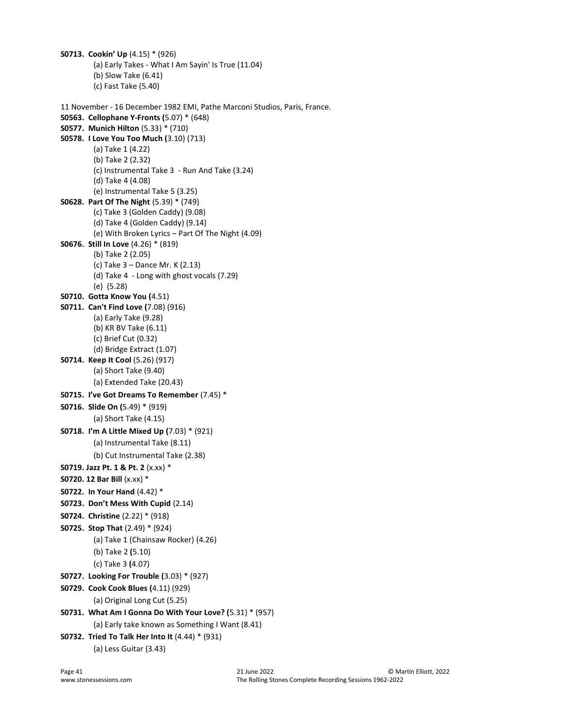```
S0713. Cookin' Up (4.15) * (926) 
          (a) Early Takes - What I Am Sayin' Is True (11.04) 
          (b) Slow Take (6.41) 
          (c) Fast Take (5.40) 
11 November - 16 December 1982 EMI, Pathe Marconi Studios, Paris, France. 
S0563. Cellophane Y-Fronts (5.07) * (648) 
S0577. Munich Hilton (5.33) * (710) 
S0578. I Love You Too Much (3.10) (713) 
          (a) Take 1 (4.22) 
          (b) Take 2 (2.32) 
          (c) Instrumental Take 3 - Run And Take (3.24) 
          (d) Take 4 (4.08) 
          (e) Instrumental Take 5 (3.25) 
S0628. Part Of The Night (5.39) * (749) 
          (c) Take 3 (Golden Caddy) (9.08) 
          (d) Take 4 (Golden Caddy) (9.14) 
          (e) With Broken Lyrics – Part Of The Night (4.09) 
S0676. Still In Love (4.26) * (819) 
          (b) Take 2 (2.05) 
          (c) Take 3 – Dance Mr. K (2.13) 
          (d) Take 4 - Long with ghost vocals (7.29) 
          (e) (5.28) 
S0710. Gotta Know You (4.51) 
S0711. Can't Find Love (7.08) (916) 
          (a) Early Take (9.28) 
          (b) KR BV Take (6.11) 
          (c) Brief Cut (0.32) 
          (d) Bridge Extract (1.07) 
S0714. Keep It Cool (5.26) (917) 
          (a) Short Take (9.40) 
          (a) Extended Take (20.43) 
S0715. I've Got Dreams To Remember (7.45) * 
S0716. Slide On (5.49) * (919) 
          (a) Short Take (4.15) 
S0718. I'm A Little Mixed Up (7.03) * (921) 
          (a) Instrumental Take (8.11) 
          (b) Cut Instrumental Take (2.38) 
S0719. Jazz Pt. 1 & Pt. 2 (x.xx) * 
S0720. 12 Bar Bill (x.xx) * 
S0722. In Your Hand (4.42) * 
S0723. Don't Mess With Cupid (2.14)
S0724. Christine (2.22) * (918) 
S0725. Stop That (2.49) * (924) 
          (a) Take 1 (Chainsaw Rocker) (4.26) 
          (b) Take 2 (5.10) 
          (c) Take 3 (4.07) 
S0727. Looking For Trouble (3.03) * (927) 
S0729. Cook Cook Blues (4.11) (929) 
           (a) Original Long Cut (5.25) 
S0731. What Am I Gonna Do With Your Love? (5.31) * (957) 
           (a) Early take known as Something I Want (8.41) 
S0732. Tried To Talk Her Into It (4.44) * (931) 
          (a) Less Guitar (3.43)
```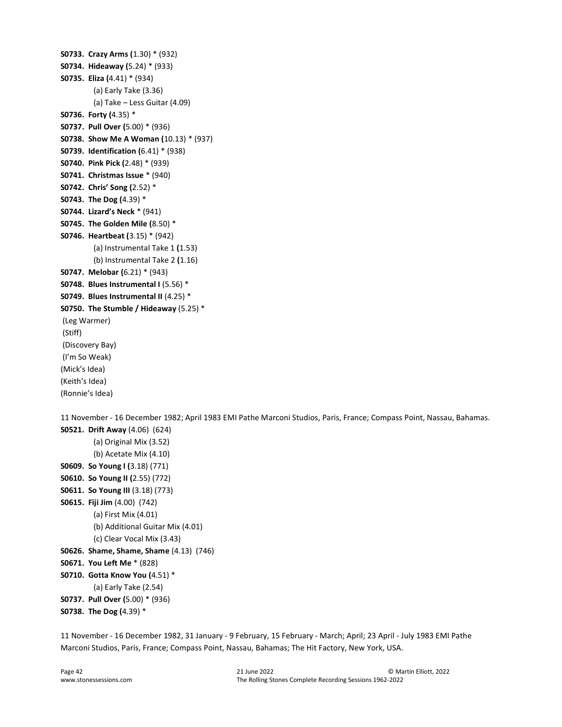```
S0733. Crazy Arms (1.30) * (932) 
S0734. Hideaway (5.24) * (933) 
S0735. Eliza (4.41) * (934) 
          (a) Early Take (3.36) 
          (a) Take – Less Guitar (4.09) 
S0736. Forty (4.35) * 
S0737. Pull Over (5.00) * (936) 
S0738. Show Me A Woman (10.13) * (937) 
S0739. Identification (6.41) * (938) 
S0740. Pink Pick (2.48) * (939) 
S0741. Christmas Issue * (940) 
S0742. Chris' Song (2.52) *
S0743. The Dog (4.39) *
S0744. Lizard's Neck * (941) 
S0745. The Golden Mile (8.50) * 
S0746. Heartbeat (3.15) * (942) 
          (a) Instrumental Take 1 (1.53) 
          (b) Instrumental Take 2 (1.16) 
S0747. Melobar (6.21) * (943) 
S0748. Blues Instrumental I (5.56) * 
S0749. Blues Instrumental II (4.25) * 
S0750. The Stumble / Hideaway (5.25) *
 (Leg Warmer) 
 (Stiff) 
 (Discovery Bay) 
 (I'm So Weak) 
(Mick's Idea) 
(Keith's Idea) 
(Ronnie's Idea) 
11 November - 16 December 1982; April 1983 EMI Pathe Marconi Studios, Paris, France; Compass Point, Nassau, Bahamas. 
S0521. Drift Away (4.06) (624) 
          (a) Original Mix (3.52) 
          (b) Acetate Mix (4.10) 
S0609. So Young I (3.18) (771) 
S0610. So Young II (2.55) (772) 
S0611. So Young III (3.18) (773) 
S0615. Fiji Jim (4.00) (742) 
          (a) First Mix (4.01) 
          (b) Additional Guitar Mix (4.01) 
          (c) Clear Vocal Mix (3.43) 
S0626. Shame, Shame, Shame (4.13) (746) 
S0671. You Left Me * (828) 
S0710. Gotta Know You (4.51) *
          (a) Early Take (2.54) 
S0737. Pull Over (5.00) * (936) 
S0738. The Dog (4.39) *
```
11 November - 16 December 1982, 31 January - 9 February, 15 February - March; April; 23 April - July 1983 EMI Pathe Marconi Studios, Paris, France; Compass Point, Nassau, Bahamas; The Hit Factory, New York, USA.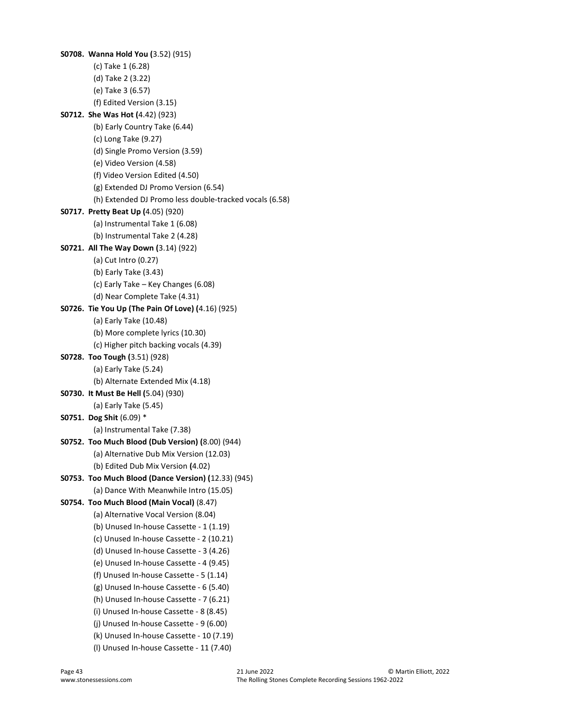```
S0708. Wanna Hold You (3.52) (915) 
          (c) Take 1 (6.28) 
          (d) Take 2 (3.22) 
          (e) Take 3 (6.57) 
          (f) Edited Version (3.15) 
S0712. She Was Hot (4.42) (923) 
          (b) Early Country Take (6.44) 
          (c) Long Take (9.27) 
          (d) Single Promo Version (3.59) 
          (e) Video Version (4.58) 
          (f) Video Version Edited (4.50) 
          (g) Extended DJ Promo Version (6.54) 
          (h) Extended DJ Promo less double-tracked vocals (6.58) 
S0717. Pretty Beat Up (4.05) (920) 
          (a) Instrumental Take 1 (6.08) 
          (b) Instrumental Take 2 (4.28) 
S0721. All The Way Down (3.14) (922) 
          (a) Cut Intro (0.27) 
          (b) Early Take (3.43) 
          (c) Early Take – Key Changes (6.08) 
          (d) Near Complete Take (4.31) 
S0726. Tie You Up (The Pain Of Love) (4.16) (925) 
          (a) Early Take (10.48) 
          (b) More complete lyrics (10.30) 
          (c) Higher pitch backing vocals (4.39) 
S0728. Too Tough (3.51) (928) 
          (a) Early Take (5.24) 
          (b) Alternate Extended Mix (4.18) 
S0730. It Must Be Hell (5.04) (930) 
          (a) Early Take (5.45) 
S0751. Dog Shit (6.09) * 
          (a) Instrumental Take (7.38) 
S0752. Too Much Blood (Dub Version) (8.00) (944) 
          (a) Alternative Dub Mix Version (12.03) 
          (b) Edited Dub Mix Version (4.02) 
S0753. Too Much Blood (Dance Version) (12.33) (945) 
          (a) Dance With Meanwhile Intro (15.05) 
S0754. Too Much Blood (Main Vocal) (8.47) 
          (a) Alternative Vocal Version (8.04) 
          (b) Unused In-house Cassette - 1 (1.19) 
          (c) Unused In-house Cassette - 2 (10.21) 
          (d) Unused In-house Cassette - 3 (4.26) 
          (e) Unused In-house Cassette - 4 (9.45) 
          (f) Unused In-house Cassette - 5 (1.14) 
          (g) Unused In-house Cassette - 6 (5.40) 
          (h) Unused In-house Cassette - 7 (6.21) 
          (i) Unused In-house Cassette - 8 (8.45) 
          (j) Unused In-house Cassette - 9 (6.00) 
          (k) Unused In-house Cassette - 10 (7.19) 
          (l) Unused In-house Cassette - 11 (7.40)
```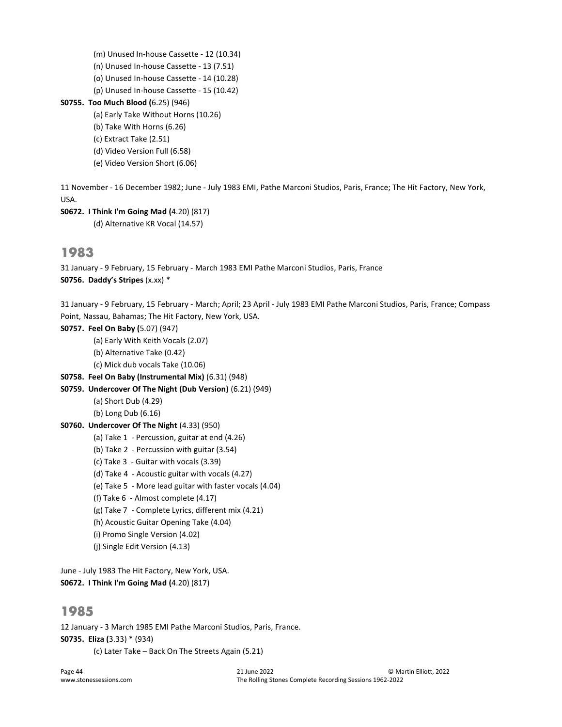```
 (m) Unused In-house Cassette - 12 (10.34)
```
(n) Unused In-house Cassette - 13 (7.51)

- (o) Unused In-house Cassette 14 (10.28)
- (p) Unused In-house Cassette 15 (10.42)

```
S0755. Too Much Blood (6.25) (946)
```
- (a) Early Take Without Horns (10.26)
- (b) Take With Horns (6.26)
- (c) Extract Take (2.51)
- (d) Video Version Full (6.58)
- (e) Video Version Short (6.06)

11 November - 16 December 1982; June - July 1983 EMI, Pathe Marconi Studios, Paris, France; The Hit Factory, New York, USA.

S0672. I Think I'm Going Mad (4.20) (817)

(d) Alternative KR Vocal (14.57)

# 1983

31 January - 9 February, 15 February - March 1983 EMI Pathe Marconi Studios, Paris, France S0756. Daddy's Stripes (x.xx) \*

31 January - 9 February, 15 February - March; April; 23 April - July 1983 EMI Pathe Marconi Studios, Paris, France; Compass Point, Nassau, Bahamas; The Hit Factory, New York, USA.

- S0757. Feel On Baby (5.07) (947)
	- (a) Early With Keith Vocals (2.07)
	- (b) Alternative Take (0.42)
	- (c) Mick dub vocals Take (10.06)
- S0758. Feel On Baby (Instrumental Mix) (6.31) (948)
- S0759. Undercover Of The Night (Dub Version) (6.21) (949)
	- (a) Short Dub (4.29)

(b) Long Dub (6.16)

```
S0760. Undercover Of The Night (4.33) (950)
```
- (a) Take 1 Percussion, guitar at end (4.26)
- (b) Take 2 Percussion with guitar (3.54)
- (c) Take 3 Guitar with vocals (3.39)
- (d) Take 4 Acoustic guitar with vocals (4.27)
- (e) Take 5 More lead guitar with faster vocals (4.04)
- (f) Take 6 Almost complete (4.17)
- (g) Take 7 Complete Lyrics, different mix (4.21)
- (h) Acoustic Guitar Opening Take (4.04)
- (i) Promo Single Version (4.02)
- (j) Single Edit Version (4.13)

June - July 1983 The Hit Factory, New York, USA. S0672. I Think I'm Going Mad (4.20) (817)

# 1985

12 January - 3 March 1985 EMI Pathe Marconi Studios, Paris, France. S0735. Eliza (3.33) \* (934)

(c) Later Take – Back On The Streets Again (5.21)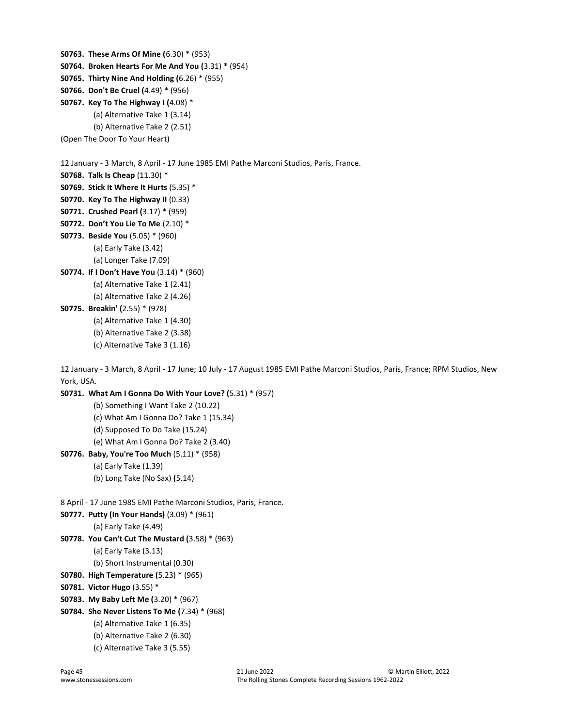```
S0763. These Arms Of Mine (6.30) * (953) 
S0764. Broken Hearts For Me And You (3.31) * (954) 
S0765. Thirty Nine And Holding (6.26) * (955) 
S0766. Don't Be Cruel (4.49) * (956) 
S0767. Key To The Highway I (4.08) * (a) Alternative Take 1 (3.14) 
          (b) Alternative Take 2 (2.51)
(Open The Door To Your Heart)
```
12 January - 3 March, 8 April - 17 June 1985 EMI Pathe Marconi Studios, Paris, France.

S0768. Talk Is Cheap (11.30) \*

```
S0769. Stick It Where It Hurts (5.35) *
```
S0770. Key To The Highway II (0.33)

```
S0771. Crushed Pearl (3.17) * (959)
```
S0772. Don't You Lie To Me (2.10) \*

```
S0773. Beside You (5.05) * (960)
```
(a) Early Take (3.42)

```
 (a) Longer Take (7.09)
```

```
S0774. If I Don't Have You (3.14) * (960)
```
(a) Alternative Take 1 (2.41)

(a) Alternative Take 2 (4.26)

```
S0775. Breakin' (2.55) * (978)
```

```
 (a) Alternative Take 1 (4.30)
```
(b) Alternative Take 2 (3.38)

```
 (c) Alternative Take 3 (1.16)
```
12 January - 3 March, 8 April - 17 June; 10 July - 17 August 1985 EMI Pathe Marconi Studios, Paris, France; RPM Studios, New York, USA.

```
S0731. What Am I Gonna Do With Your Love? (5.31) * (957)
```

```
 (b) Something I Want Take 2 (10.22)
```

```
 (c) What Am I Gonna Do? Take 1 (15.34)
```

```
 (d) Supposed To Do Take (15.24)
```
(e) What Am I Gonna Do? Take 2 (3.40)

- S0776. Baby, You're Too Much (5.11) \* (958)
	- (a) Early Take (1.39)

```
 (b) Long Take (No Sax) (5.14)
```

```
8 April - 17 June 1985 EMI Pathe Marconi Studios, Paris, France.
```

```
S0777. Putty (In Your Hands) (3.09) * (961)
```
(a) Early Take (4.49)

```
S0778. You Can't Cut The Mustard (3.58) * (963) 
          (a) Early Take (3.13)
```
(b) Short Instrumental (0.30)

```
S0780. High Temperature (5.23) * (965)
```

```
S0781. Victor Hugo (3.55) *
```

```
S0783. My Baby Left Me (3.20) * (967)
```

```
S0784. She Never Listens To Me (7.34) * (968)
```

```
 (a) Alternative Take 1 (6.35)
```

```
 (b) Alternative Take 2 (6.30)
```

```
 (c) Alternative Take 3 (5.55)
```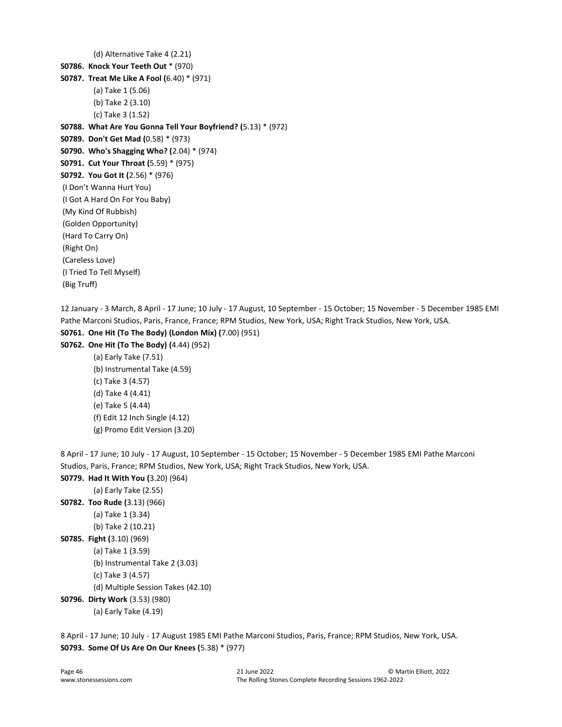```
 (d) Alternative Take 4 (2.21) 
S0786. Knock Your Teeth Out * (970) 
S0787. Treat Me Like A Fool (6.40) * (971) 
          (a) Take 1 (5.06) 
          (b) Take 2 (3.10) 
          (c) Take 3 (1.52) 
S0788. What Are You Gonna Tell Your Boyfriend? (5.13) * (972) 
S0789. Don't Get Mad (0.58) * (973) 
S0790. Who's Shagging Who? (2.04) * (974) 
S0791. Cut Your Throat (5.59) * (975) 
S0792. You Got It (2.56) * (976) 
 (I Don't Wanna Hurt You) 
 (I Got A Hard On For You Baby) 
 (My Kind Of Rubbish) 
 (Golden Opportunity) 
 (Hard To Carry On) 
 (Right On) 
 (Careless Love) 
 (I Tried To Tell Myself) 
 (Big Truff)
```
12 January - 3 March, 8 April - 17 June; 10 July - 17 August, 10 September - 15 October; 15 November - 5 December 1985 EMI Pathe Marconi Studios, Paris, France, France; RPM Studios, New York, USA; Right Track Studios, New York, USA.

```
S0761. One Hit (To The Body) (London Mix) (7.00) (951) 
S0762. One Hit (To The Body) (4.44) (952) 
           (a) Early Take (7.51) 
           (b) Instrumental Take (4.59) 
           (c) Take 3 (4.57) 
           (d) Take 4 (4.41) 
           (e) Take 5 (4.44) 
           (f) Edit 12 Inch Single (4.12) 
           (g) Promo Edit Version (3.20)
```
8 April - 17 June; 10 July - 17 August, 10 September - 15 October; 15 November - 5 December 1985 EMI Pathe Marconi Studios, Paris, France; RPM Studios, New York, USA; Right Track Studios, New York, USA.

```
S0779. Had It With You (3.20) (964)
```

```
 (a) Early Take (2.55) 
S0782. Too Rude (3.13) (966) 
           (a) Take 1 (3.34) 
           (b) Take 2 (10.21) 
S0785. Fight (3.10) (969) 
           (a) Take 1 (3.59) 
           (b) Instrumental Take 2 (3.03) 
           (c) Take 3 (4.57) 
           (d) Multiple Session Takes (42.10) 
S0796. Dirty Work (3.53) (980)
```

```
 (a) Early Take (4.19)
```
8 April - 17 June; 10 July - 17 August 1985 EMI Pathe Marconi Studios, Paris, France; RPM Studios, New York, USA. S0793. Some Of Us Are On Our Knees (5.38) \* (977)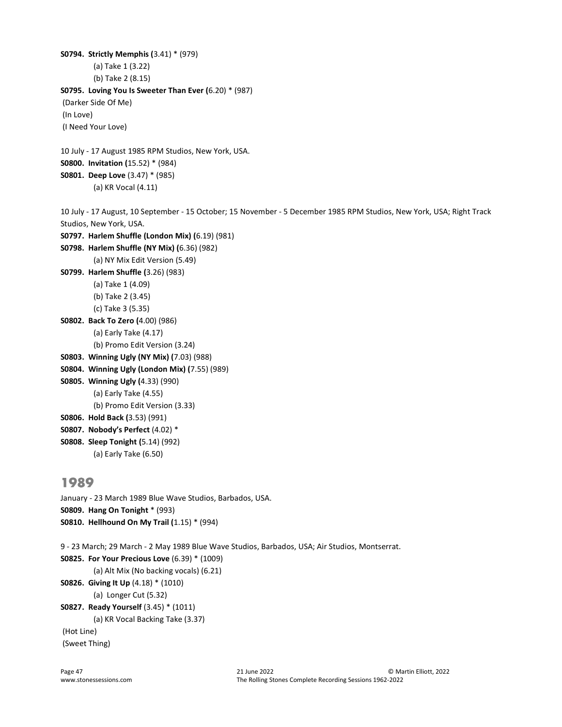```
S0794. Strictly Memphis (3.41) * (979) 
          (a) Take 1 (3.22) 
          (b) Take 2 (8.15) 
S0795. Loving You Is Sweeter Than Ever (6.20) * (987) 
 (Darker Side Of Me) 
 (In Love) 
 (I Need Your Love) 
10 July - 17 August 1985 RPM Studios, New York, USA.
S0800. Invitation (15.52) * (984) 
S0801. Deep Love (3.47) * (985) 
          (a) KR Vocal (4.11) 
10 July - 17 August, 10 September - 15 October; 15 November - 5 December 1985 RPM Studios, New York, USA; Right Track 
Studios, New York, USA.
S0797. Harlem Shuffle (London Mix) (6.19) (981) 
S0798. Harlem Shuffle (NY Mix) (6.36) (982) 
          (a) NY Mix Edit Version (5.49) 
S0799. Harlem Shuffle (3.26) (983) 
          (a) Take 1 (4.09) 
          (b) Take 2 (3.45) 
          (c) Take 3 (5.35) 
S0802. Back To Zero (4.00) (986) 
          (a) Early Take (4.17) 
          (b) Promo Edit Version (3.24) 
S0803. Winning Ugly (NY Mix) (7.03) (988) 
S0804. Winning Ugly (London Mix) (7.55) (989) 
S0805. Winning Ugly (4.33) (990) 
          (a) Early Take (4.55) 
          (b) Promo Edit Version (3.33) 
S0806. Hold Back (3.53) (991) 
S0807. Nobody's Perfect (4.02) * 
S0808. Sleep Tonight (5.14) (992) 
          (a) Early Take (6.50) 
1989
January - 23 March 1989 Blue Wave Studios, Barbados, USA.
S0809. Hang On Tonight * (993) 
S0810. Hellhound On My Trail (1.15) * (994) 
9 - 23 March; 29 March - 2 May 1989 Blue Wave Studios, Barbados, USA; Air Studios, Montserrat.
S0825. For Your Precious Love (6.39) * (1009) 
          (a) Alt Mix (No backing vocals) (6.21) 
S0826. Giving It Up (4.18) * (1010) 
          (a) Longer Cut (5.32) 
S0827. Ready Yourself (3.45) * (1011) 
          (a) KR Vocal Backing Take (3.37) 
 (Hot Line) 
 (Sweet Thing)
```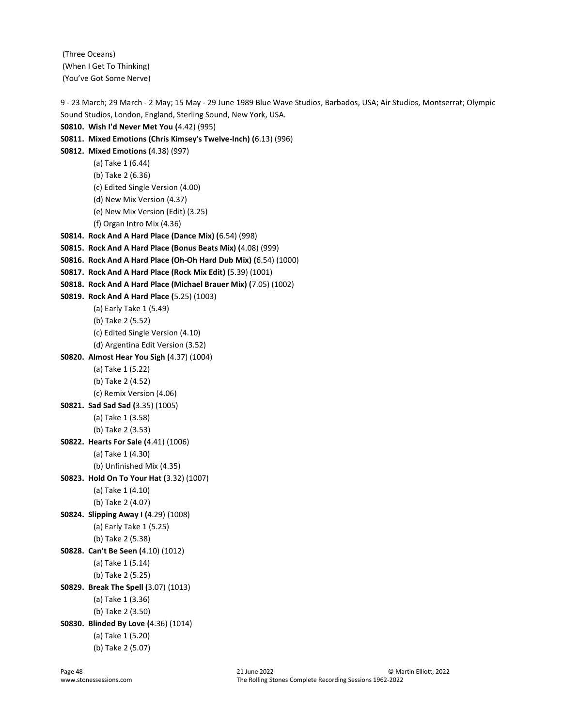(Three Oceans) (When I Get To Thinking) (You've Got Some Nerve)

9 - 23 March; 29 March - 2 May; 15 May - 29 June 1989 Blue Wave Studios, Barbados, USA; Air Studios, Montserrat; Olympic Sound Studios, London, England, Sterling Sound, New York, USA.

```
S0810. Wish I'd Never Met You (4.42) (995)
```

```
S0811. Mixed Emotions (Chris Kimsey's Twelve-Inch) (6.13) (996)
```

```
S0812. Mixed Emotions (4.38) (997)
```
(a) Take 1 (6.44)

(b) Take 2 (6.36)

(c) Edited Single Version (4.00)

(d) New Mix Version (4.37)

(e) New Mix Version (Edit) (3.25)

```
 (f) Organ Intro Mix (4.36)
```

```
S0814. Rock And A Hard Place (Dance Mix) (6.54) (998)
```

```
S0815. Rock And A Hard Place (Bonus Beats Mix) (4.08) (999)
```

```
S0816. Rock And A Hard Place (Oh-Oh Hard Dub Mix) (6.54) (1000)
```

```
S0817. Rock And A Hard Place (Rock Mix Edit) (5.39) (1001)
```

```
S0818. Rock And A Hard Place (Michael Brauer Mix) (7.05) (1002)
```

```
S0819. Rock And A Hard Place (5.25) (1003)
```

```
 (a) Early Take 1 (5.49)
```

```
 (b) Take 2 (5.52)
```

```
 (c) Edited Single Version (4.10)
```

```
 (d) Argentina Edit Version (3.52)
```

```
S0820. Almost Hear You Sigh (4.37) (1004)
```

```
 (a) Take 1 (5.22)
```

```
 (b) Take 2 (4.52)
```

```
 (c) Remix Version (4.06)
```

```
S0821. Sad Sad Sad (3.35) (1005)
```

```
 (a) Take 1 (3.58)
```
(b) Take 2 (3.53)

```
S0822. Hearts For Sale (4.41) (1006)
```

```
 (a) Take 1 (4.30)
```

```
 (b) Unfinished Mix (4.35)
```

```
S0823. Hold On To Your Hat (3.32) (1007)
```

```
 (a) Take 1 (4.10)
```

```
 (b) Take 2 (4.07)
```

```
S0824. Slipping Away I (4.29) (1008) 
           (a) Early Take 1 (5.25)
```
(b) Take 2 (5.38)

```
S0828. Can't Be Seen (4.10) (1012)
```
(a) Take 1 (5.14)

```
 (b) Take 2 (5.25)
```

```
S0829. Break The Spell (3.07) (1013)
```

```
 (a) Take 1 (3.36)
```
(b) Take 2 (3.50)

```
S0830. Blinded By Love (4.36) (1014)
```

```
 (a) Take 1 (5.20)
```
(b) Take 2 (5.07)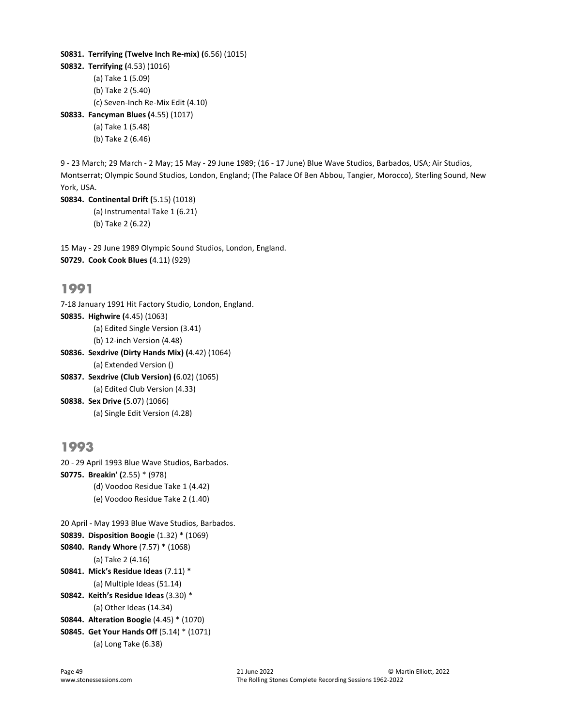#### S0831. Terrifying (Twelve Inch Re-mix) (6.56) (1015)

```
S0832. Terrifying (4.53) (1016) 
           (a) Take 1 (5.09) 
           (b) Take 2 (5.40)
```
(c) Seven-Inch Re-Mix Edit (4.10)

S0833. Fancyman Blues (4.55) (1017)

(a) Take 1 (5.48)

(b) Take 2 (6.46)

9 - 23 March; 29 March - 2 May; 15 May - 29 June 1989; (16 - 17 June) Blue Wave Studios, Barbados, USA; Air Studios, Montserrat; Olympic Sound Studios, London, England; (The Palace Of Ben Abbou, Tangier, Morocco), Sterling Sound, New York, USA.

S0834. Continental Drift (5.15) (1018)

 (a) Instrumental Take 1 (6.21) (b) Take 2 (6.22)

15 May - 29 June 1989 Olympic Sound Studios, London, England. S0729. Cook Cook Blues (4.11) (929)

### 1991

```
7-18 January 1991 Hit Factory Studio, London, England.
S0835. Highwire (4.45) (1063) 
          (a) Edited Single Version (3.41) 
          (b) 12-inch Version (4.48) 
S0836. Sexdrive (Dirty Hands Mix) (4.42) (1064) 
          (a) Extended Version () 
S0837. Sexdrive (Club Version) (6.02) (1065) 
          (a) Edited Club Version (4.33) 
S0838. Sex Drive (5.07) (1066) 
          (a) Single Edit Version (4.28)
```
# 1993

```
20 - 29 April 1993 Blue Wave Studios, Barbados.
S0775. Breakin' (2.55) * (978) 
          (d) Voodoo Residue Take 1 (4.42) 
          (e) Voodoo Residue Take 2 (1.40)
```

```
20 April - May 1993 Blue Wave Studios, Barbados.
S0839. Disposition Boogie (1.32) * (1069) 
S0840. Randy Whore (7.57) * (1068) 
          (a) Take 2 (4.16) 
S0841. Mick's Residue Ideas (7.11) * 
          (a) Multiple Ideas (51.14) 
S0842. Keith's Residue Ideas (3.30) * 
          (a) Other Ideas (14.34) 
S0844. Alteration Boogie (4.45) * (1070) 
S0845. Get Your Hands Off (5.14) * (1071)
```
(a) Long Take (6.38)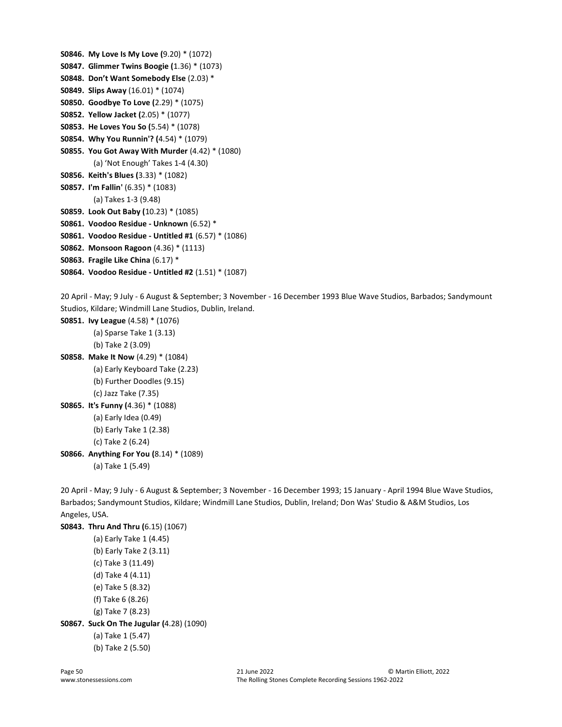```
S0846. My Love Is My Love (9.20) * (1072) 
S0847. Glimmer Twins Boogie (1.36) * (1073) 
S0848. Don't Want Somebody Else (2.03) * 
S0849. Slips Away (16.01) * (1074) 
S0850. Goodbye To Love (2.29) * (1075) 
S0852. Yellow Jacket (2.05) * (1077) 
S0853. He Loves You So (5.54) * (1078) 
S0854. Why You Runnin'? (4.54) * (1079) 
S0855. You Got Away With Murder (4.42) * (1080) 
          (a) 'Not Enough' Takes 1-4 (4.30)
S0856. Keith's Blues (3.33) * (1082) 
S0857. I'm Fallin' (6.35) * (1083) 
          (a) Takes 1-3 (9.48)
S0859. Look Out Baby (10.23) * (1085) 
S0861. Voodoo Residue - Unknown (6.52) * 
S0861. Voodoo Residue - Untitled #1 (6.57) * (1086) 
S0862. Monsoon Ragoon (4.36) * (1113) 
S0863. Fragile Like China (6.17) * 
S0864. Voodoo Residue - Untitled #2 (1.51) * (1087) 
20 April - May; 9 July - 6 August & September; 3 November - 16 December 1993 Blue Wave Studios, Barbados; Sandymount 
Studios, Kildare; Windmill Lane Studios, Dublin, Ireland.
S0851. Ivy League (4.58) * (1076)
```

```
 (a) Sparse Take 1 (3.13) 
 (b) Take 2 (3.09)
```
- S0858. Make It Now (4.29) \* (1084)
	- (a) Early Keyboard Take (2.23)
	- (b) Further Doodles (9.15)

```
 (c) Jazz Take (7.35)
```

```
S0865. It's Funny (4.36) * (1088) 
           (a) Early Idea (0.49) 
           (b) Early Take 1 (2.38) 
           (c) Take 2 (6.24)
```

```
S0866. Anything For You (8.14) * (1089)
```

```
 (a) Take 1 (5.49)
```
20 April - May; 9 July - 6 August & September; 3 November - 16 December 1993; 15 January - April 1994 Blue Wave Studios, Barbados; Sandymount Studios, Kildare; Windmill Lane Studios, Dublin, Ireland; Don Was' Studio & A&M Studios, Los Angeles, USA.

```
S0843. Thru And Thru (6.15) (1067) 
           (a) Early Take 1 (4.45) 
           (b) Early Take 2 (3.11) 
           (c) Take 3 (11.49) 
           (d) Take 4 (4.11) 
           (e) Take 5 (8.32) 
           (f) Take 6 (8.26) 
           (g) Take 7 (8.23) 
S0867. Suck On The Jugular (4.28) (1090) 
           (a) Take 1 (5.47) 
           (b) Take 2 (5.50)
```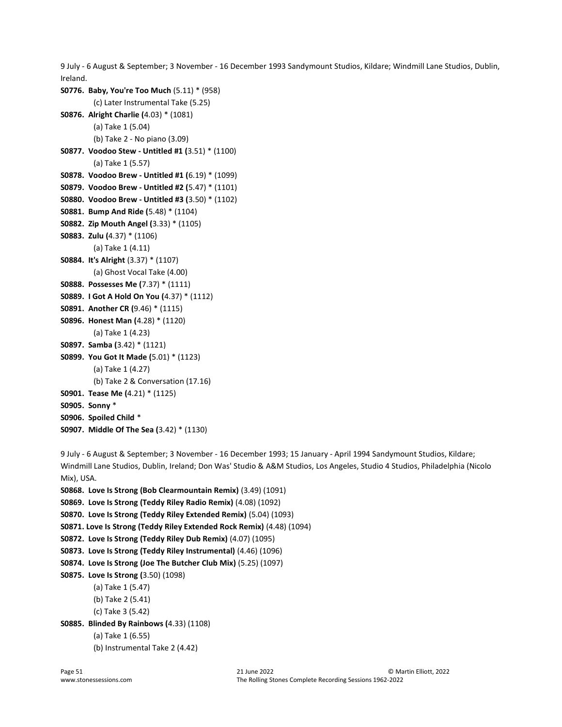```
9 July - 6 August & September; 3 November - 16 December 1993 Sandymount Studios, Kildare; Windmill Lane Studios, Dublin, 
Ireland.
S0776. Baby, You're Too Much (5.11) * (958) 
          (c) Later Instrumental Take (5.25) 
S0876. Alright Charlie (4.03) * (1081) 
          (a) Take 1 (5.04) 
          (b) Take 2 - No piano (3.09) 
S0877. Voodoo Stew - Untitled #1 (3.51) * (1100) 
          (a) Take 1 (5.57) 
S0878. Voodoo Brew - Untitled #1 (6.19) * (1099) 
S0879. Voodoo Brew - Untitled #2 (5.47) * (1101) 
S0880. Voodoo Brew - Untitled #3 (3.50) * (1102) 
S0881. Bump And Ride (5.48) * (1104) 
S0882. Zip Mouth Angel (3.33) * (1105) 
S0883. Zulu (4.37) * (1106) 
          (a) Take 1 (4.11) 
S0884. It's Alright (3.37) * (1107) 
          (a) Ghost Vocal Take (4.00) 
S0888. Possesses Me (7.37) * (1111) 
S0889. I Got A Hold On You (4.37) * (1112) 
S0891. Another CR (9.46) * (1115) 
S0896. Honest Man (4.28) * (1120) 
          (a) Take 1 (4.23) 
S0897. Samba (3.42) * (1121) 
S0899. You Got It Made (5.01) * (1123) 
          (a) Take 1 (4.27) 
          (b) Take 2 & Conversation (17.16) 
S0901. Tease Me (4.21) * (1125) 
S0905. Sonny * 
S0906. Spoiled Child * 
S0907. Middle Of The Sea (3.42) * (1130) 
9 July - 6 August & September; 3 November - 16 December 1993; 15 January - April 1994 Sandymount Studios, Kildare;
```
Windmill Lane Studios, Dublin, Ireland; Don Was' Studio & A&M Studios, Los Angeles, Studio 4 Studios, Philadelphia (Nicolo Mix), USA.

```
S0868. Love Is Strong (Bob Clearmountain Remix) (3.49) (1091)
```

```
S0869. Love Is Strong (Teddy Riley Radio Remix) (4.08) (1092)
```

```
S0870. Love Is Strong (Teddy Riley Extended Remix) (5.04) (1093)
```

```
S0871. Love Is Strong (Teddy Riley Extended Rock Remix) (4.48) (1094)
```

```
S0872. Love Is Strong (Teddy Riley Dub Remix) (4.07) (1095)
```

```
S0873. Love Is Strong (Teddy Riley Instrumental) (4.46) (1096)
```

```
S0874. Love Is Strong (Joe The Butcher Club Mix) (5.25) (1097)
```

```
S0875. Love Is Strong (3.50) (1098)
```

```
 (a) Take 1 (5.47)
```

```
 (b) Take 2 (5.41)
```

```
 (c) Take 3 (5.42)
```

```
S0885. Blinded By Rainbows (4.33) (1108)
```

```
 (a) Take 1 (6.55)
```

```
 (b) Instrumental Take 2 (4.42)
```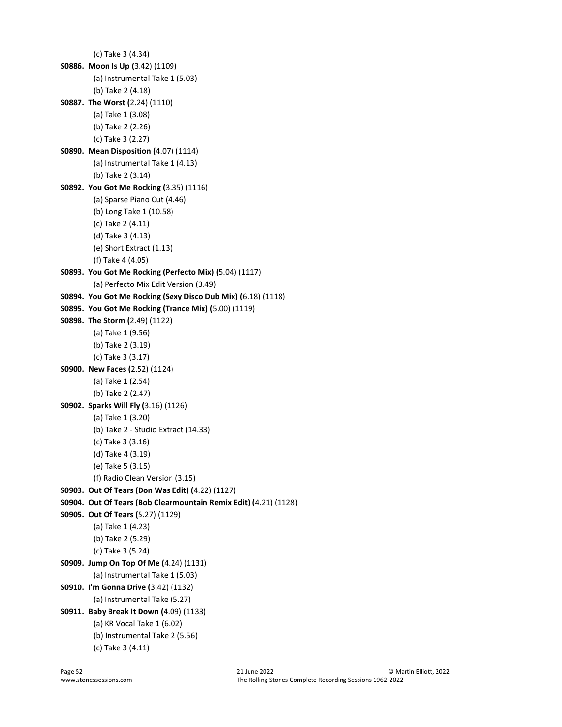```
 (c) Take 3 (4.34) 
S0886. Moon Is Up (3.42) (1109) 
          (a) Instrumental Take 1 (5.03) 
           (b) Take 2 (4.18) 
S0887. The Worst (2.24) (1110) 
          (a) Take 1 (3.08) 
           (b) Take 2 (2.26) 
           (c) Take 3 (2.27) 
S0890. Mean Disposition (4.07) (1114) 
          (a) Instrumental Take 1 (4.13) 
           (b) Take 2 (3.14) 
S0892. You Got Me Rocking (3.35) (1116) 
          (a) Sparse Piano Cut (4.46) 
           (b) Long Take 1 (10.58) 
           (c) Take 2 (4.11) 
           (d) Take 3 (4.13) 
           (e) Short Extract (1.13) 
           (f) Take 4 (4.05) 
S0893. You Got Me Rocking (Perfecto Mix) (5.04) (1117) 
           (a) Perfecto Mix Edit Version (3.49) 
S0894. You Got Me Rocking (Sexy Disco Dub Mix) (6.18) (1118) 
S0895. You Got Me Rocking (Trance Mix) (5.00) (1119) 
S0898. The Storm (2.49) (1122) 
           (a) Take 1 (9.56) 
           (b) Take 2 (3.19) 
          (c) Take 3 (3.17) 
S0900. New Faces (2.52) (1124) 
          (a) Take 1 (2.54) 
           (b) Take 2 (2.47) 
S0902. Sparks Will Fly (3.16) (1126) 
          (a) Take 1 (3.20) 
           (b) Take 2 - Studio Extract (14.33) 
           (c) Take 3 (3.16) 
           (d) Take 4 (3.19) 
          (e) Take 5 (3.15) 
           (f) Radio Clean Version (3.15) 
S0903. Out Of Tears (Don Was Edit) (4.22) (1127) 
S0904. Out Of Tears (Bob Clearmountain Remix Edit) (4.21) (1128) 
S0905. Out Of Tears (5.27) (1129) 
           (a) Take 1 (4.23) 
           (b) Take 2 (5.29) 
          (c) Take 3 (5.24) 
S0909. Jump On Top Of Me (4.24) (1131) 
           (a) Instrumental Take 1 (5.03) 
S0910. I'm Gonna Drive (3.42) (1132) 
           (a) Instrumental Take (5.27) 
S0911. Baby Break It Down (4.09) (1133) 
           (a) KR Vocal Take 1 (6.02) 
           (b) Instrumental Take 2 (5.56) 
           (c) Take 3 (4.11)
```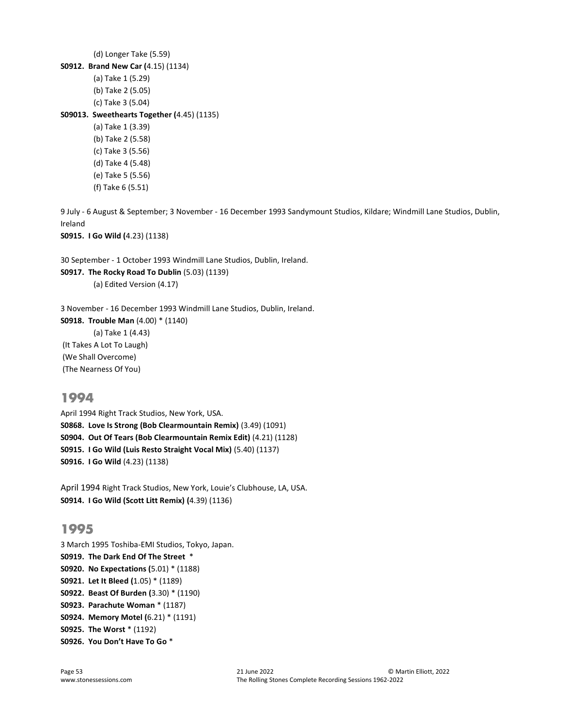```
 (d) Longer Take (5.59) 
S0912. Brand New Car (4.15) (1134) 
          (a) Take 1 (5.29) 
          (b) Take 2 (5.05) 
          (c) Take 3 (5.04) 
S09013. Sweethearts Together (4.45) (1135) 
          (a) Take 1 (3.39) 
          (b) Take 2 (5.58) 
          (c) Take 3 (5.56) 
          (d) Take 4 (5.48) 
          (e) Take 5 (5.56) 
          (f) Take 6 (5.51) 
9 July - 6 August & September; 3 November - 16 December 1993 Sandymount Studios, Kildare; Windmill Lane Studios, Dublin, 
Ireland
S0915. I Go Wild (4.23) (1138) 
30 September - 1 October 1993 Windmill Lane Studios, Dublin, Ireland.
S0917. The Rocky Road To Dublin (5.03) (1139) 
          (a) Edited Version (4.17) 
3 November - 16 December 1993 Windmill Lane Studios, Dublin, Ireland.
S0918. Trouble Man (4.00) * (1140) 
          (a) Take 1 (4.43) 
 (It Takes A Lot To Laugh) 
 (We Shall Overcome) 
 (The Nearness Of You) 
1994
April 1994 Right Track Studios, New York, USA. 
S0868. Love Is Strong (Bob Clearmountain Remix) (3.49) (1091) 
S0904. Out Of Tears (Bob Clearmountain Remix Edit) (4.21) (1128) 
S0915. I Go Wild (Luis Resto Straight Vocal Mix) (5.40) (1137) 
S0916. I Go Wild (4.23) (1138) 
April 1994 Right Track Studios, New York, Louie's Clubhouse, LA, USA.
S0914. I Go Wild (Scott Litt Remix) (4.39) (1136)
```
#### 1995

3 March 1995 Toshiba-EMI Studios, Tokyo, Japan. S0919. The Dark End Of The Street \* S0920. No Expectations (5.01) \* (1188) S0921. Let It Bleed (1.05) \* (1189) S0922. Beast Of Burden (3.30) \* (1190) S0923. Parachute Woman \* (1187) S0924. Memory Motel (6.21) \* (1191) S0925. The Worst \* (1192) S0926. You Don't Have To Go \*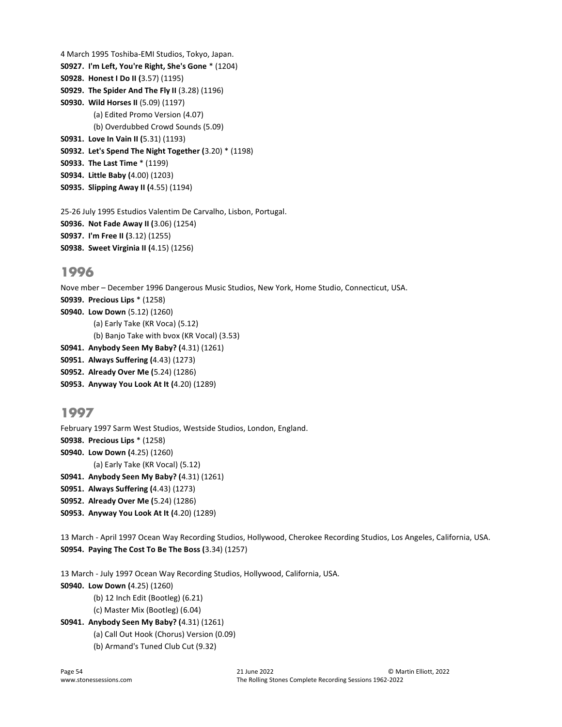```
4 March 1995 Toshiba-EMI Studios, Tokyo, Japan.
S0927. I'm Left, You're Right, She's Gone * (1204) 
S0928. Honest I Do II (3.57) (1195) 
S0929. The Spider And The Fly II (3.28) (1196) 
S0930. Wild Horses II (5.09) (1197) 
          (a) Edited Promo Version (4.07) 
          (b) Overdubbed Crowd Sounds (5.09) 
S0931. Love In Vain II (5.31) (1193) 
S0932. Let's Spend The Night Together (3.20) * (1198) 
S0933. The Last Time * (1199) 
S0934. Little Baby (4.00) (1203) 
S0935. Slipping Away II (4.55) (1194) 
25-26 July 1995 Estudios Valentim De Carvalho, Lisbon, Portugal.
```
S0936. Not Fade Away II (3.06) (1254) S0937. I'm Free II (3.12) (1255) S0938. Sweet Virginia II (4.15) (1256)

# 1996

Nove mber – December 1996 Dangerous Music Studios, New York, Home Studio, Connecticut, USA. S0939. Precious Lips \* (1258) S0940. Low Down (5.12) (1260) (a) Early Take (KR Voca) (5.12) (b) Banjo Take with bvox (KR Vocal) (3.53) S0941. Anybody Seen My Baby? (4.31) (1261) S0951. Always Suffering (4.43) (1273) S0952. Already Over Me (5.24) (1286)

S0953. Anyway You Look At It (4.20) (1289)

# 1997

February 1997 Sarm West Studios, Westside Studios, London, England. S0938. Precious Lips \* (1258) S0940. Low Down (4.25) (1260) (a) Early Take (KR Vocal) (5.12) S0941. Anybody Seen My Baby? (4.31) (1261) S0951. Always Suffering (4.43) (1273) S0952. Already Over Me (5.24) (1286) S0953. Anyway You Look At It (4.20) (1289)

13 March - April 1997 Ocean Way Recording Studios, Hollywood, Cherokee Recording Studios, Los Angeles, California, USA. S0954. Paying The Cost To Be The Boss (3.34) (1257)

```
13 March - July 1997 Ocean Way Recording Studios, Hollywood, California, USA. 
S0940. Low Down (4.25) (1260) 
          (b) 12 Inch Edit (Bootleg) (6.21) 
          (c) Master Mix (Bootleg) (6.04) 
S0941. Anybody Seen My Baby? (4.31) (1261)
```
(a) Call Out Hook (Chorus) Version (0.09)

```
 (b) Armand's Tuned Club Cut (9.32)
```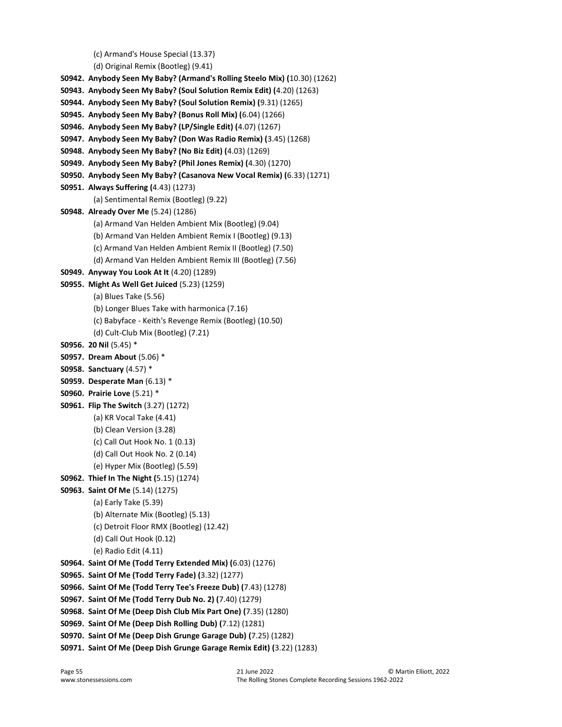```
 (c) Armand's House Special (13.37) 
          (d) Original Remix (Bootleg) (9.41) 
S0942. Anybody Seen My Baby? (Armand's Rolling Steelo Mix) (10.30) (1262) 
S0943. Anybody Seen My Baby? (Soul Solution Remix Edit) (4.20) (1263) 
S0944. Anybody Seen My Baby? (Soul Solution Remix) (9.31) (1265) 
S0945. Anybody Seen My Baby? (Bonus Roll Mix) (6.04) (1266) 
S0946. Anybody Seen My Baby? (LP/Single Edit) (4.07) (1267) 
S0947. Anybody Seen My Baby? (Don Was Radio Remix) (3.45) (1268) 
S0948. Anybody Seen My Baby? (No Biz Edit) (4.03) (1269) 
S0949. Anybody Seen My Baby? (Phil Jones Remix) (4.30) (1270) 
S0950. Anybody Seen My Baby? (Casanova New Vocal Remix) (6.33) (1271) 
S0951. Always Suffering (4.43) (1273) 
          (a) Sentimental Remix (Bootleg) (9.22) 
S0948. Already Over Me (5.24) (1286) 
          (a) Armand Van Helden Ambient Mix (Bootleg) (9.04) 
          (b) Armand Van Helden Ambient Remix I (Bootleg) (9.13) 
          (c) Armand Van Helden Ambient Remix II (Bootleg) (7.50) 
          (d) Armand Van Helden Ambient Remix III (Bootleg) (7.56) 
S0949. Anyway You Look At It (4.20) (1289) 
S0955. Might As Well Get Juiced (5.23) (1259) 
          (a) Blues Take (5.56) 
          (b) Longer Blues Take with harmonica (7.16) 
          (c) Babyface - Keith's Revenge Remix (Bootleg) (10.50) 
          (d) Cult-Club Mix (Bootleg) (7.21) 
S0956. 20 Nil (5.45) * 
S0957. Dream About (5.06) * 
S0958. Sanctuary (4.57) * 
S0959. Desperate Man (6.13) * 
S0960. Prairie Love (5.21) * 
S0961. Flip The Switch (3.27) (1272) 
          (a) KR Vocal Take (4.41) 
          (b) Clean Version (3.28) 
          (c) Call Out Hook No. 1 (0.13) 
          (d) Call Out Hook No. 2 (0.14) 
          (e) Hyper Mix (Bootleg) (5.59) 
S0962. Thief In The Night (5.15) (1274) 
S0963. Saint Of Me (5.14) (1275) 
          (a) Early Take (5.39) 
          (b) Alternate Mix (Bootleg) (5.13) 
          (c) Detroit Floor RMX (Bootleg) (12.42) 
          (d) Call Out Hook (0.12) 
          (e) Radio Edit (4.11) 
S0964. Saint Of Me (Todd Terry Extended Mix) (6.03) (1276) 
S0965. Saint Of Me (Todd Terry Fade) (3.32) (1277) 
S0966. Saint Of Me (Todd Terry Tee's Freeze Dub) (7.43) (1278) 
S0967. Saint Of Me (Todd Terry Dub No. 2) (7.40) (1279) 
S0968. Saint Of Me (Deep Dish Club Mix Part One) (7.35) (1280) 
S0969. Saint Of Me (Deep Dish Rolling Dub) (7.12) (1281)
```
- S0970. Saint Of Me (Deep Dish Grunge Garage Dub) (7.25) (1282)
- S0971. Saint Of Me (Deep Dish Grunge Garage Remix Edit) (3.22) (1283)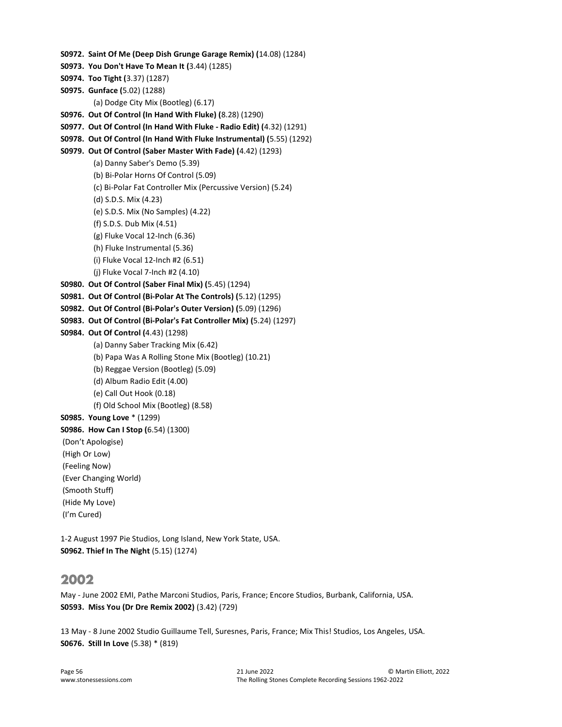S0972. Saint Of Me (Deep Dish Grunge Garage Remix) (14.08) (1284) S0973. You Don't Have To Mean It (3.44) (1285) S0974. Too Tight (3.37) (1287) S0975. Gunface (5.02) (1288) (a) Dodge City Mix (Bootleg) (6.17) S0976. Out Of Control (In Hand With Fluke) (8.28) (1290) S0977. Out Of Control (In Hand With Fluke - Radio Edit) (4.32) (1291) S0978. Out Of Control (In Hand With Fluke Instrumental) (5.55) (1292) S0979. Out Of Control (Saber Master With Fade) (4.42) (1293) (a) Danny Saber's Demo (5.39) (b) Bi-Polar Horns Of Control (5.09) (c) Bi-Polar Fat Controller Mix (Percussive Version) (5.24) (d) S.D.S. Mix (4.23) (e) S.D.S. Mix (No Samples) (4.22) (f) S.D.S. Dub Mix (4.51) (g) Fluke Vocal 12-Inch (6.36) (h) Fluke Instrumental (5.36) (i) Fluke Vocal 12-Inch #2 (6.51) (j) Fluke Vocal 7-Inch #2 (4.10) S0980. Out Of Control (Saber Final Mix) (5.45) (1294) S0981. Out Of Control (Bi-Polar At The Controls) (5.12) (1295) S0982. Out Of Control (Bi-Polar's Outer Version) (5.09) (1296) S0983. Out Of Control (Bi-Polar's Fat Controller Mix) (5.24) (1297) S0984. Out Of Control (4.43) (1298) (a) Danny Saber Tracking Mix (6.42) (b) Papa Was A Rolling Stone Mix (Bootleg) (10.21) (b) Reggae Version (Bootleg) (5.09) (d) Album Radio Edit (4.00) (e) Call Out Hook (0.18) (f) Old School Mix (Bootleg) (8.58) S0985. Young Love \* (1299) S0986. How Can I Stop (6.54) (1300) (Don't Apologise) (High Or Low) (Feeling Now) (Ever Changing World) (Smooth Stuff) (Hide My Love) (I'm Cured)

1-2 August 1997 Pie Studios, Long Island, New York State, USA. S0962. Thief In The Night (5.15) (1274)

# 2002

May - June 2002 EMI, Pathe Marconi Studios, Paris, France; Encore Studios, Burbank, California, USA. S0593. Miss You (Dr Dre Remix 2002) (3.42) (729)

13 May - 8 June 2002 Studio Guillaume Tell, Suresnes, Paris, France; Mix This! Studios, Los Angeles, USA. S0676. Still In Love (5.38) \* (819)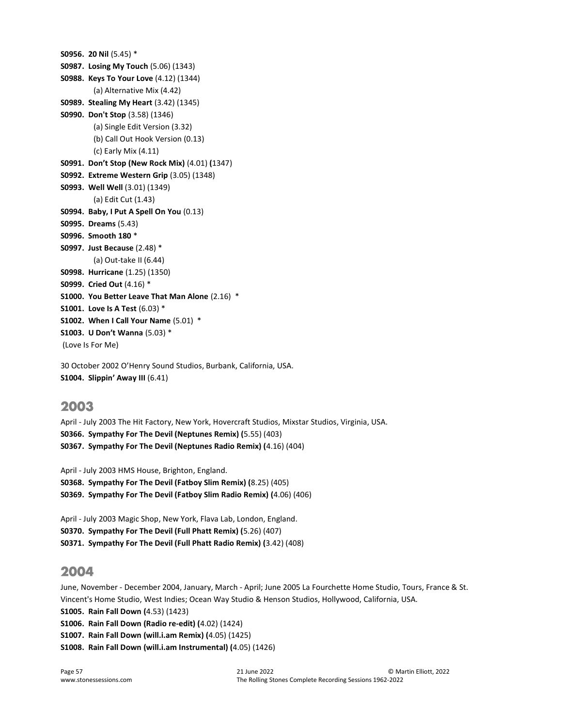S0956. 20 Nil (5.45) \* S0987. Losing My Touch (5.06) (1343) S0988. Keys To Your Love (4.12) (1344) (a) Alternative Mix (4.42) S0989. Stealing My Heart (3.42) (1345) S0990. Don't Stop (3.58) (1346) (a) Single Edit Version (3.32) (b) Call Out Hook Version (0.13) (c) Early Mix (4.11) S0991. Don't Stop (New Rock Mix) (4.01) (1347) S0992. Extreme Western Grip (3.05) (1348) S0993. Well Well (3.01) (1349) (a) Edit Cut (1.43) S0994. Baby, I Put A Spell On You (0.13) S0995. Dreams (5.43) S0996. Smooth 180 \* S0997. Just Because (2.48) \* (a) Out-take II (6.44) S0998. Hurricane (1.25) (1350) S0999. Cried Out (4.16) \* S1000. You Better Leave That Man Alone (2.16) \* S1001. Love Is A Test (6.03) \* S1002. When I Call Your Name (5.01) \* S1003. U Don't Wanna (5.03) \* (Love Is For Me)

30 October 2002 O'Henry Sound Studios, Burbank, California, USA. S1004. Slippin' Away III (6.41)

# 2003

April - July 2003 The Hit Factory, New York, Hovercraft Studios, Mixstar Studios, Virginia, USA. S0366. Sympathy For The Devil (Neptunes Remix) (5.55) (403) S0367. Sympathy For The Devil (Neptunes Radio Remix) (4.16) (404)

April - July 2003 HMS House, Brighton, England. S0368. Sympathy For The Devil (Fatboy Slim Remix) (8.25) (405) S0369. Sympathy For The Devil (Fatboy Slim Radio Remix) (4.06) (406)

April - July 2003 Magic Shop, New York, Flava Lab, London, England. S0370. Sympathy For The Devil (Full Phatt Remix) (5.26) (407) S0371. Sympathy For The Devil (Full Phatt Radio Remix) (3.42) (408)

# 2004

June, November - December 2004, January, March - April; June 2005 La Fourchette Home Studio, Tours, France & St. Vincent's Home Studio, West Indies; Ocean Way Studio & Henson Studios, Hollywood, California, USA.

S1005. Rain Fall Down (4.53) (1423)

S1006. Rain Fall Down (Radio re-edit) (4.02) (1424)

S1007. Rain Fall Down (will.i.am Remix) (4.05) (1425)

S1008. Rain Fall Down (will.i.am Instrumental) (4.05) (1426)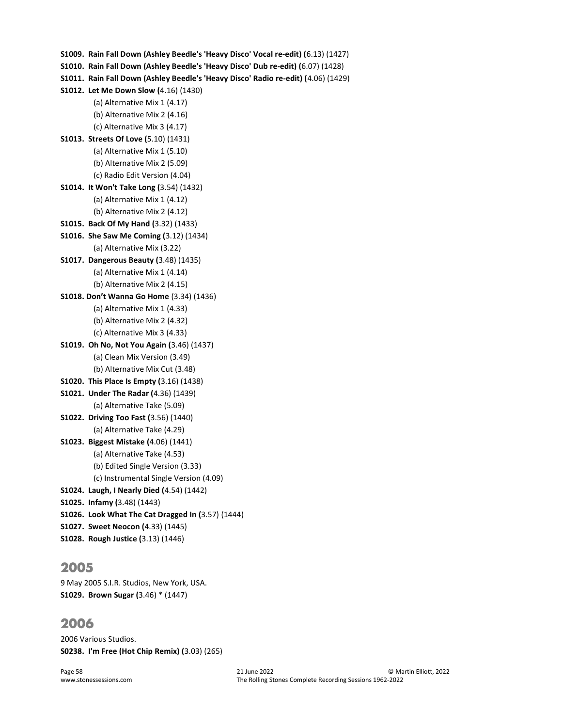```
S1009. Rain Fall Down (Ashley Beedle's 'Heavy Disco' Vocal re-edit) (6.13) (1427) 
S1010. Rain Fall Down (Ashley Beedle's 'Heavy Disco' Dub re-edit) (6.07) (1428) 
S1011. Rain Fall Down (Ashley Beedle's 'Heavy Disco' Radio re-edit) (4.06) (1429) 
S1012. Let Me Down Slow (4.16) (1430) 
          (a) Alternative Mix 1 (4.17) 
          (b) Alternative Mix 2 (4.16) 
          (c) Alternative Mix 3 (4.17) 
S1013. Streets Of Love (5.10) (1431) 
          (a) Alternative Mix 1 (5.10) 
          (b) Alternative Mix 2 (5.09) 
          (c) Radio Edit Version (4.04) 
S1014. It Won't Take Long (3.54) (1432) 
          (a) Alternative Mix 1 (4.12) 
          (b) Alternative Mix 2 (4.12) 
S1015. Back Of My Hand (3.32) (1433) 
S1016. She Saw Me Coming (3.12) (1434) 
          (a) Alternative Mix (3.22) 
S1017. Dangerous Beauty (3.48) (1435) 
          (a) Alternative Mix 1 (4.14) 
          (b) Alternative Mix 2 (4.15) 
S1018. Don't Wanna Go Home (3.34) (1436) 
          (a) Alternative Mix 1 (4.33) 
          (b) Alternative Mix 2 (4.32) 
          (c) Alternative Mix 3 (4.33) 
S1019. Oh No, Not You Again (3.46) (1437) 
          (a) Clean Mix Version (3.49) 
          (b) Alternative Mix Cut (3.48) 
S1020. This Place Is Empty (3.16) (1438) 
S1021. Under The Radar (4.36) (1439) 
          (a) Alternative Take (5.09) 
S1022. Driving Too Fast (3.56) (1440) 
          (a) Alternative Take (4.29) 
S1023. Biggest Mistake (4.06) (1441) 
          (a) Alternative Take (4.53) 
          (b) Edited Single Version (3.33) 
          (c) Instrumental Single Version (4.09) 
S1024. Laugh, I Nearly Died (4.54) (1442) 
S1025. Infamy (3.48) (1443) 
S1026. Look What The Cat Dragged In (3.57) (1444) 
S1027. Sweet Neocon (4.33) (1445) 
S1028. Rough Justice (3.13) (1446)
```
# 2005

9 May 2005 S.I.R. Studios, New York, USA. S1029. Brown Sugar (3.46) \* (1447)

# 2006

2006 Various Studios. S0238. I'm Free (Hot Chip Remix) (3.03) (265)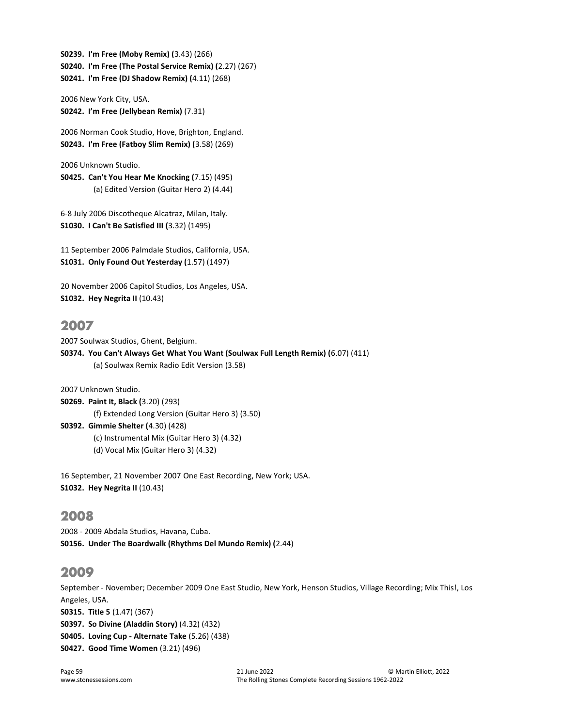S0239. I'm Free (Moby Remix) (3.43) (266) S0240. I'm Free (The Postal Service Remix) (2.27) (267) S0241. I'm Free (DJ Shadow Remix) (4.11) (268)

2006 New York City, USA. S0242. I'm Free (Jellybean Remix) (7.31)

2006 Norman Cook Studio, Hove, Brighton, England. S0243. I'm Free (Fatboy Slim Remix) (3.58) (269)

2006 Unknown Studio. S0425. Can't You Hear Me Knocking (7.15) (495) (a) Edited Version (Guitar Hero 2) (4.44)

6-8 July 2006 Discotheque Alcatraz, Milan, Italy. S1030. I Can't Be Satisfied III (3.32) (1495)

11 September 2006 Palmdale Studios, California, USA. S1031. Only Found Out Yesterday (1.57) (1497)

20 November 2006 Capitol Studios, Los Angeles, USA. S1032. Hey Negrita II (10.43)

# 2007

2007 Soulwax Studios, Ghent, Belgium. S0374. You Can't Always Get What You Want (Soulwax Full Length Remix) (6.07) (411) (a) Soulwax Remix Radio Edit Version (3.58)

2007 Unknown Studio.

S0269. Paint It, Black (3.20) (293) (f) Extended Long Version (Guitar Hero 3) (3.50) S0392. Gimmie Shelter (4.30) (428) (c) Instrumental Mix (Guitar Hero 3) (4.32) (d) Vocal Mix (Guitar Hero 3) (4.32)

16 September, 21 November 2007 One East Recording, New York; USA. S1032. Hey Negrita II (10.43)

# 2008

2008 - 2009 Abdala Studios, Havana, Cuba. S0156. Under The Boardwalk (Rhythms Del Mundo Remix) (2.44)

# 2009

September - November; December 2009 One East Studio, New York, Henson Studios, Village Recording; Mix This!, Los Angeles, USA. S0315. Title 5 (1.47) (367) S0397. So Divine (Aladdin Story) (4.32) (432) S0405. Loving Cup - Alternate Take (5.26) (438) S0427. Good Time Women (3.21) (496)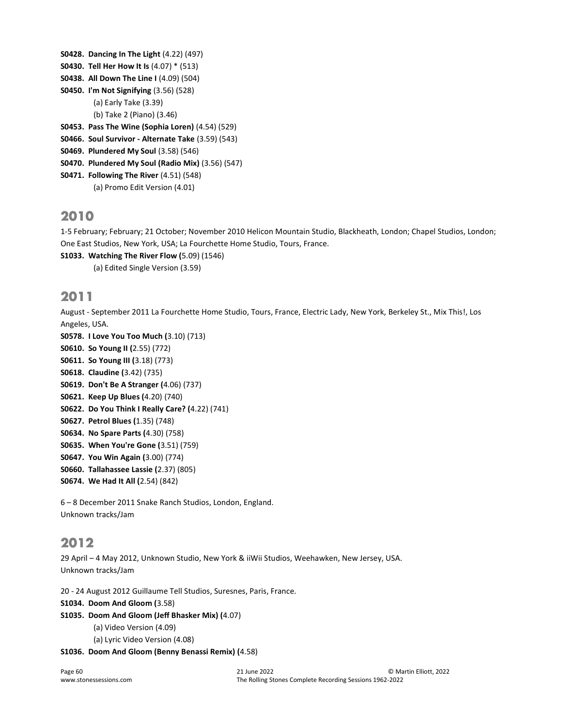S0428. Dancing In The Light (4.22) (497) S0430. Tell Her How It Is (4.07) \* (513) S0438. All Down The Line I (4.09) (504) S0450. I'm Not Signifying (3.56) (528) (a) Early Take (3.39) (b) Take 2 (Piano) (3.46) S0453. Pass The Wine (Sophia Loren) (4.54) (529) S0466. Soul Survivor - Alternate Take (3.59) (543) S0469. Plundered My Soul (3.58) (546) S0470. Plundered My Soul (Radio Mix) (3.56) (547) S0471. Following The River (4.51) (548)

(a) Promo Edit Version (4.01)

# 2010

1-5 February; February; 21 October; November 2010 Helicon Mountain Studio, Blackheath, London; Chapel Studios, London; One East Studios, New York, USA; La Fourchette Home Studio, Tours, France.

S1033. Watching The River Flow (5.09) (1546) (a) Edited Single Version (3.59)

### 2011

August - September 2011 La Fourchette Home Studio, Tours, France, Electric Lady, New York, Berkeley St., Mix This!, Los Angeles, USA. S0578. I Love You Too Much (3.10) (713) S0610. So Young II (2.55) (772) S0611. So Young III (3.18) (773) S0618. Claudine (3.42) (735)

S0619. Don't Be A Stranger (4.06) (737)

S0621. Keep Up Blues (4.20) (740)

S0622. Do You Think I Really Care? (4.22) (741)

S0627. Petrol Blues (1.35) (748)

S0634. No Spare Parts (4.30) (758)

S0635. When You're Gone (3.51) (759)

S0647. You Win Again (3.00) (774)

S0660. Tallahassee Lassie (2.37) (805)

S0674. We Had It All (2.54) (842)

6 – 8 December 2011 Snake Ranch Studios, London, England. Unknown tracks/Jam

# 2012

29 April – 4 May 2012, Unknown Studio, New York & iiWii Studios, Weehawken, New Jersey, USA. Unknown tracks/Jam

20 - 24 August 2012 Guillaume Tell Studios, Suresnes, Paris, France.

S1034. Doom And Gloom (3.58)

S1035. Doom And Gloom (Jeff Bhasker Mix) (4.07)

 (a) Video Version (4.09) (a) Lyric Video Version (4.08)

S1036. Doom And Gloom (Benny Benassi Remix) (4.58)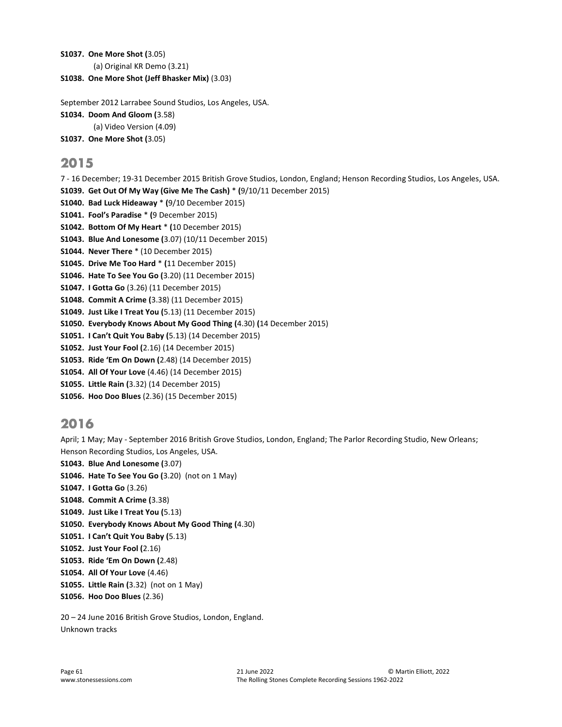S1037. One More Shot (3.05)

(a) Original KR Demo (3.21)

```
S1038. One More Shot (Jeff Bhasker Mix) (3.03)
```

```
September 2012 Larrabee Sound Studios, Los Angeles, USA. 
S1034. Doom And Gloom (3.58) 
          (a) Video Version (4.09) 
S1037. One More Shot (3.05)
```
# 2015

7 - 16 December; 19-31 December 2015 British Grove Studios, London, England; Henson Recording Studios, Los Angeles, USA. S1039. Get Out Of My Way (Give Me The Cash) \* (9/10/11 December 2015) S1040. Bad Luck Hideaway \* (9/10 December 2015) S1041. Fool's Paradise \* (9 December 2015) S1042. Bottom Of My Heart \* (10 December 2015) S1043. Blue And Lonesome (3.07) (10/11 December 2015) S1044. Never There \* (10 December 2015) S1045. Drive Me Too Hard \* (11 December 2015) S1046. Hate To See You Go (3.20) (11 December 2015) S1047. I Gotta Go (3.26) (11 December 2015) S1048. Commit A Crime (3.38) (11 December 2015) S1049. Just Like I Treat You (5.13) (11 December 2015) S1050. Everybody Knows About My Good Thing (4.30) (14 December 2015) S1051. I Can't Quit You Baby (5.13) (14 December 2015) S1052. Just Your Fool (2.16) (14 December 2015) S1053. Ride 'Em On Down (2.48) (14 December 2015) S1054. All Of Your Love (4.46) (14 December 2015) S1055. Little Rain (3.32) (14 December 2015) S1056. Hoo Doo Blues (2.36) (15 December 2015)

# 2016

April; 1 May; May - September 2016 British Grove Studios, London, England; The Parlor Recording Studio, New Orleans; Henson Recording Studios, Los Angeles, USA.

- S1043. Blue And Lonesome (3.07)
- S1046. Hate To See You Go (3.20) (not on 1 May)
- S1047. I Gotta Go (3.26)
- S1048. Commit A Crime (3.38)
- S1049. Just Like I Treat You (5.13)
- S1050. Everybody Knows About My Good Thing (4.30)
- S1051. I Can't Quit You Baby (5.13)
- S1052. Just Your Fool (2.16)
- S1053. Ride 'Em On Down (2.48)
- S1054. All Of Your Love (4.46)
- S1055. Little Rain (3.32) (not on 1 May)
- S1056. Hoo Doo Blues (2.36)

20 – 24 June 2016 British Grove Studios, London, England. Unknown tracks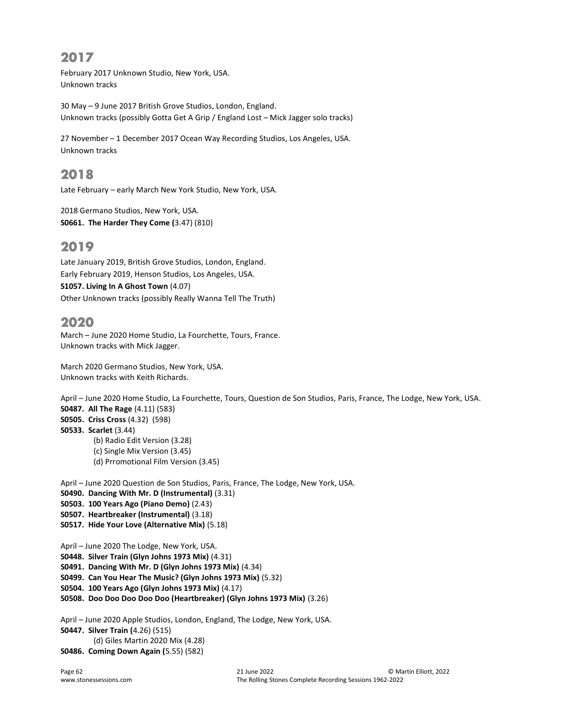# 2017

February 2017 Unknown Studio, New York, USA. Unknown tracks

30 May – 9 June 2017 British Grove Studios, London, England. Unknown tracks (possibly Gotta Get A Grip / England Lost – Mick Jagger solo tracks)

27 November – 1 December 2017 Ocean Way Recording Studios, Los Angeles, USA. Unknown tracks

### 2018

Late February – early March New York Studio, New York, USA.

2018 Germano Studios, New York, USA. S0661. The Harder They Come (3.47) (810)

# 2019

Late January 2019, British Grove Studios, London, England. Early February 2019, Henson Studios, Los Angeles, USA. S1057. Living In A Ghost Town (4.07) Other Unknown tracks (possibly Really Wanna Tell The Truth)

# 2020

March – June 2020 Home Studio, La Fourchette, Tours, France. Unknown tracks with Mick Jagger.

March 2020 Germano Studios, New York, USA. Unknown tracks with Keith Richards.

April – June 2020 Home Studio, La Fourchette, Tours, Question de Son Studios, Paris, France, The Lodge, New York, USA. S0487. All The Rage (4.11) (583) S0505. Criss Cross (4.32) (598) S0533. Scarlet (3.44) (b) Radio Edit Version (3.28) (c) Single Mix Version (3.45) (d) Prromotional Film Version (3.45)

April – June 2020 Question de Son Studios, Paris, France, The Lodge, New York, USA. S0490. Dancing With Mr. D (Instrumental) (3.31) S0503. 100 Years Ago (Piano Demo) (2.43) S0507. Heartbreaker (Instrumental) (3.18) S0517. Hide Your Love (Alternative Mix) (5.18)

April – June 2020 The Lodge, New York, USA. S0448. Silver Train (Glyn Johns 1973 Mix) (4.31) S0491. Dancing With Mr. D (Glyn Johns 1973 Mix) (4.34) S0499. Can You Hear The Music? (Glyn Johns 1973 Mix) (5.32) S0504. 100 Years Ago (Glyn Johns 1973 Mix) (4.17) S0508. Doo Doo Doo Doo Doo (Heartbreaker) (Glyn Johns 1973 Mix) (3.26) April – June 2020 Apple Studios, London, England, The Lodge, New York, USA. S0447. Silver Train (4.26) (515)

```
 (d) Giles Martin 2020 Mix (4.28) 
S0486. Coming Down Again (5.55) (582)
```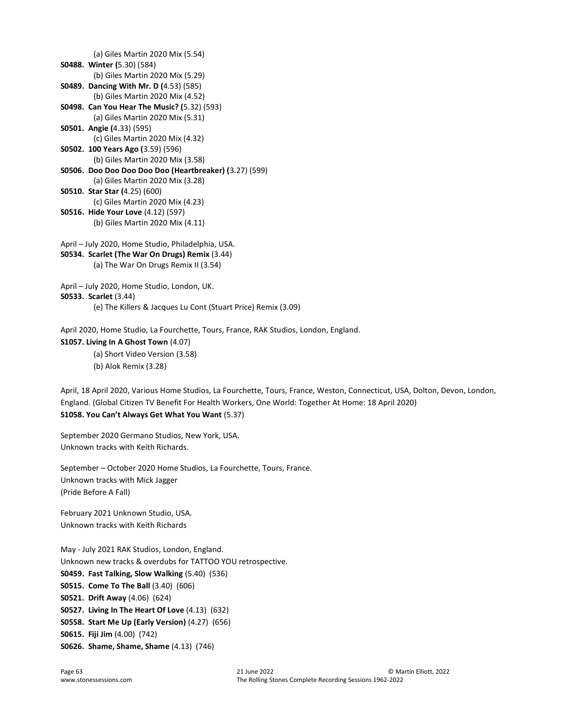```
 (a) Giles Martin 2020 Mix (5.54) 
S0488. Winter (5.30) (584) 
          (b) Giles Martin 2020 Mix (5.29) 
S0489. Dancing With Mr. D (4.53) (585) 
          (b) Giles Martin 2020 Mix (4.52) 
S0498. Can You Hear The Music? (5.32) (593) 
          (a) Giles Martin 2020 Mix (5.31) 
S0501. Angie (4.33) (595) 
          (c) Giles Martin 2020 Mix (4.32) 
S0502. 100 Years Ago (3.59) (596) 
          (b) Giles Martin 2020 Mix (3.58) 
S0506. Doo Doo Doo Doo Doo (Heartbreaker) (3.27) (599) 
          (a) Giles Martin 2020 Mix (3.28) 
S0510. Star Star (4.25) (600) 
          (c) Giles Martin 2020 Mix (4.23) 
S0516. Hide Your Love (4.12) (597) 
          (b) Giles Martin 2020 Mix (4.11) 
April – July 2020, Home Studio, Philadelphia, USA. 
S0534. Scarlet (The War On Drugs) Remix (3.44) 
          (a) The War On Drugs Remix II (3.54) 
April – July 2020, Home Studio, London, UK. 
S0533. Scarlet (3.44) 
          (e) The Killers & Jacques Lu Cont (Stuart Price) Remix (3.09) 
April 2020, Home Studio, La Fourchette, Tours, France, RAK Studios, London, England.
```

```
S1057. Living In A Ghost Town (4.07)
```
(a) Short Video Version (3.58)

(b) Alok Remix (3.28)

April, 18 April 2020, Various Home Studios, La Fourchette, Tours, France, Weston, Connecticut, USA, Dolton, Devon, London, England. (Global Citizen TV Benefit For Health Workers, One World: Together At Home: 18 April 2020) S1058. You Can't Always Get What You Want (5.37)

September 2020 Germano Studios, New York, USA. Unknown tracks with Keith Richards.

September – October 2020 Home Studios, La Fourchette, Tours, France. Unknown tracks with Mick Jagger (Pride Before A Fall)

February 2021 Unknown Studio, USA. Unknown tracks with Keith Richards

May - July 2021 RAK Studios, London, England. Unknown new tracks & overdubs for TATTOO YOU retrospective. S0459. Fast Talking, Slow Walking (5.40) (536) S0515. Come To The Ball (3.40) (606) S0521. Drift Away (4.06) (624) S0527. Living In The Heart Of Love (4.13) (632) S0558. Start Me Up (Early Version) (4.27) (656) S0615. Fiji Jim (4.00) (742) S0626. Shame, Shame, Shame (4.13) (746)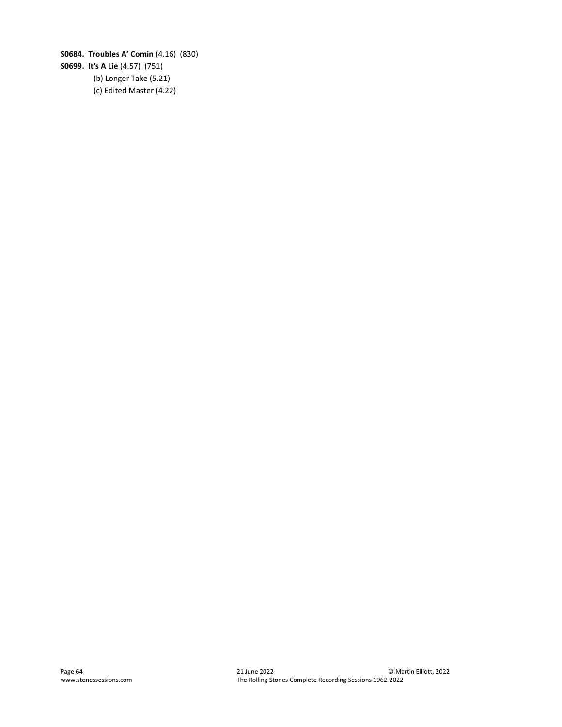S0684. Troubles A' Comin (4.16) (830) S0699. It's A Lie (4.57) (751) (b) Longer Take (5.21) (c) Edited Master (4.22)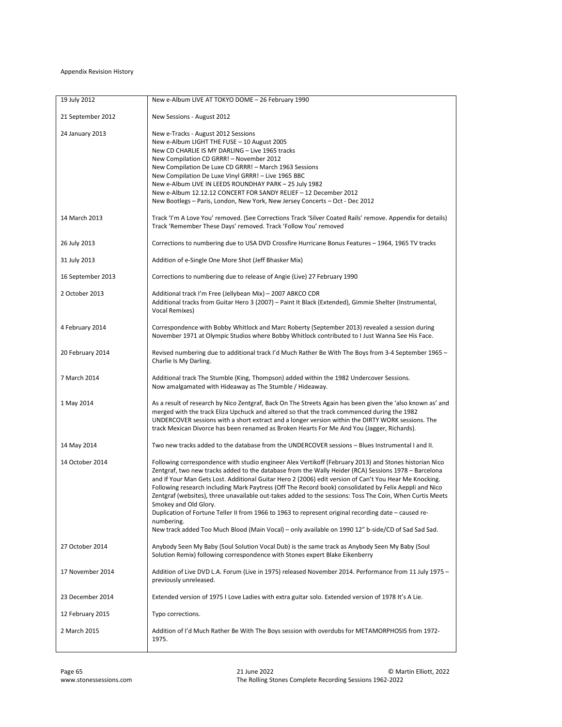#### Appendix Revision History

| 19 July 2012      | New e-Album LIVE AT TOKYO DOME - 26 February 1990                                                                                                                                                                                                                                                                                                                                                                                                                                                                                                                                                                                                                                                                                                                                                   |
|-------------------|-----------------------------------------------------------------------------------------------------------------------------------------------------------------------------------------------------------------------------------------------------------------------------------------------------------------------------------------------------------------------------------------------------------------------------------------------------------------------------------------------------------------------------------------------------------------------------------------------------------------------------------------------------------------------------------------------------------------------------------------------------------------------------------------------------|
| 21 September 2012 | New Sessions - August 2012                                                                                                                                                                                                                                                                                                                                                                                                                                                                                                                                                                                                                                                                                                                                                                          |
| 24 January 2013   | New e-Tracks - August 2012 Sessions<br>New e-Album LIGHT THE FUSE - 10 August 2005<br>New CD CHARLIE IS MY DARLING - Live 1965 tracks<br>New Compilation CD GRRR! - November 2012<br>New Compilation De Luxe CD GRRR! - March 1963 Sessions<br>New Compilation De Luxe Vinyl GRRR! - Live 1965 BBC<br>New e-Album LIVE IN LEEDS ROUNDHAY PARK - 25 July 1982<br>New e-Album 12.12.12 CONCERT FOR SANDY RELIEF - 12 December 2012<br>New Bootlegs - Paris, London, New York, New Jersey Concerts - Oct - Dec 2012                                                                                                                                                                                                                                                                                    |
| 14 March 2013     | Track 'I'm A Love You' removed. (See Corrections Track 'Silver Coated Rails' remove. Appendix for details)<br>Track 'Remember These Days' removed. Track 'Follow You' removed                                                                                                                                                                                                                                                                                                                                                                                                                                                                                                                                                                                                                       |
| 26 July 2013      | Corrections to numbering due to USA DVD Crossfire Hurricane Bonus Features - 1964, 1965 TV tracks                                                                                                                                                                                                                                                                                                                                                                                                                                                                                                                                                                                                                                                                                                   |
| 31 July 2013      | Addition of e-Single One More Shot (Jeff Bhasker Mix)                                                                                                                                                                                                                                                                                                                                                                                                                                                                                                                                                                                                                                                                                                                                               |
| 16 September 2013 | Corrections to numbering due to release of Angie (Live) 27 February 1990                                                                                                                                                                                                                                                                                                                                                                                                                                                                                                                                                                                                                                                                                                                            |
| 2 October 2013    | Additional track I'm Free (Jellybean Mix) - 2007 ABKCO CDR<br>Additional tracks from Guitar Hero 3 (2007) - Paint It Black (Extended), Gimmie Shelter (Instrumental,<br>Vocal Remixes)                                                                                                                                                                                                                                                                                                                                                                                                                                                                                                                                                                                                              |
| 4 February 2014   | Correspondence with Bobby Whitlock and Marc Roberty (September 2013) revealed a session during<br>November 1971 at Olympic Studios where Bobby Whitlock contributed to I Just Wanna See His Face.                                                                                                                                                                                                                                                                                                                                                                                                                                                                                                                                                                                                   |
| 20 February 2014  | Revised numbering due to additional track I'd Much Rather Be With The Boys from 3-4 September 1965 -<br>Charlie Is My Darling.                                                                                                                                                                                                                                                                                                                                                                                                                                                                                                                                                                                                                                                                      |
| 7 March 2014      | Additional track The Stumble (King, Thompson) added within the 1982 Undercover Sessions.<br>Now amalgamated with Hideaway as The Stumble / Hideaway.                                                                                                                                                                                                                                                                                                                                                                                                                                                                                                                                                                                                                                                |
| 1 May 2014        | As a result of research by Nico Zentgraf, Back On The Streets Again has been given the 'also known as' and<br>merged with the track Eliza Upchuck and altered so that the track commenced during the 1982<br>UNDERCOVER sessions with a short extract and a longer version within the DIRTY WORK sessions. The<br>track Mexican Divorce has been renamed as Broken Hearts For Me And You (Jagger, Richards).                                                                                                                                                                                                                                                                                                                                                                                        |
| 14 May 2014       | Two new tracks added to the database from the UNDERCOVER sessions - Blues Instrumental I and II.                                                                                                                                                                                                                                                                                                                                                                                                                                                                                                                                                                                                                                                                                                    |
| 14 October 2014   | Following correspondence with studio engineer Alex Vertikoff (February 2013) and Stones historian Nico<br>Zentgraf, two new tracks added to the database from the Wally Heider (RCA) Sessions 1978 – Barcelona<br>and If Your Man Gets Lost. Additional Guitar Hero 2 (2006) edit version of Can't You Hear Me Knocking.<br>Following research including Mark Paytress (Off The Record book) consolidated by Felix Aeppli and Nico<br>Zentgraf (websites), three unavailable out-takes added to the sessions: Toss The Coin, When Curtis Meets<br>Smokey and Old Glory.<br>Duplication of Fortune Teller II from 1966 to 1963 to represent original recording date - caused re-<br>numbering.<br>New track added Too Much Blood (Main Vocal) – only available on 1990 12" b-side/CD of Sad Sad Sad. |
| 27 October 2014   | Anybody Seen My Baby (Soul Solution Vocal Dub) is the same track as Anybody Seen My Baby (Soul<br>Solution Remix) following correspondence with Stones expert Blake Eikenberry                                                                                                                                                                                                                                                                                                                                                                                                                                                                                                                                                                                                                      |
| 17 November 2014  | Addition of Live DVD L.A. Forum (Live in 1975) released November 2014. Performance from 11 July 1975 -<br>previously unreleased.                                                                                                                                                                                                                                                                                                                                                                                                                                                                                                                                                                                                                                                                    |
| 23 December 2014  | Extended version of 1975 I Love Ladies with extra guitar solo. Extended version of 1978 It's A Lie.                                                                                                                                                                                                                                                                                                                                                                                                                                                                                                                                                                                                                                                                                                 |
| 12 February 2015  | Typo corrections.                                                                                                                                                                                                                                                                                                                                                                                                                                                                                                                                                                                                                                                                                                                                                                                   |
| 2 March 2015      | Addition of I'd Much Rather Be With The Boys session with overdubs for METAMORPHOSIS from 1972-<br>1975.                                                                                                                                                                                                                                                                                                                                                                                                                                                                                                                                                                                                                                                                                            |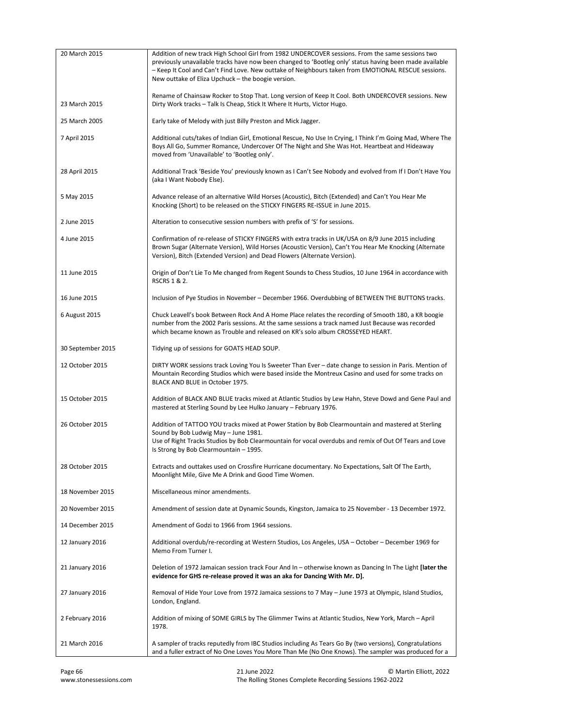| 20 March 2015     | Addition of new track High School Girl from 1982 UNDERCOVER sessions. From the same sessions two<br>previously unavailable tracks have now been changed to 'Bootleg only' status having been made available<br>- Keep It Cool and Can't Find Love. New outtake of Neighbours taken from EMOTIONAL RESCUE sessions.<br>New outtake of Eliza Upchuck - the boogie version. |
|-------------------|--------------------------------------------------------------------------------------------------------------------------------------------------------------------------------------------------------------------------------------------------------------------------------------------------------------------------------------------------------------------------|
| 23 March 2015     | Rename of Chainsaw Rocker to Stop That. Long version of Keep It Cool. Both UNDERCOVER sessions. New<br>Dirty Work tracks - Talk Is Cheap, Stick It Where It Hurts, Victor Hugo.                                                                                                                                                                                          |
| 25 March 2005     | Early take of Melody with just Billy Preston and Mick Jagger.                                                                                                                                                                                                                                                                                                            |
| 7 April 2015      | Additional cuts/takes of Indian Girl, Emotional Rescue, No Use In Crying, I Think I'm Going Mad, Where The<br>Boys All Go, Summer Romance, Undercover Of The Night and She Was Hot. Heartbeat and Hideaway<br>moved from 'Unavailable' to 'Bootleg only'.                                                                                                                |
| 28 April 2015     | Additional Track 'Beside You' previously known as I Can't See Nobody and evolved from If I Don't Have You<br>(aka I Want Nobody Else).                                                                                                                                                                                                                                   |
| 5 May 2015        | Advance release of an alternative Wild Horses (Acoustic), Bitch (Extended) and Can't You Hear Me<br>Knocking (Short) to be released on the STICKY FINGERS RE-ISSUE in June 2015.                                                                                                                                                                                         |
| 2 June 2015       | Alteration to consecutive session numbers with prefix of 'S' for sessions.                                                                                                                                                                                                                                                                                               |
| 4 June 2015       | Confirmation of re-release of STICKY FINGERS with extra tracks in UK/USA on 8/9 June 2015 including<br>Brown Sugar (Alternate Version), Wild Horses (Acoustic Version), Can't You Hear Me Knocking (Alternate<br>Version), Bitch (Extended Version) and Dead Flowers (Alternate Version).                                                                                |
| 11 June 2015      | Origin of Don't Lie To Me changed from Regent Sounds to Chess Studios, 10 June 1964 in accordance with<br><b>RSCRS 1 &amp; 2.</b>                                                                                                                                                                                                                                        |
| 16 June 2015      | Inclusion of Pye Studios in November - December 1966. Overdubbing of BETWEEN THE BUTTONS tracks.                                                                                                                                                                                                                                                                         |
| 6 August 2015     | Chuck Leavell's book Between Rock And A Home Place relates the recording of Smooth 180, a KR boogie<br>number from the 2002 Paris sessions. At the same sessions a track named Just Because was recorded<br>which became known as Trouble and released on KR's solo album CROSSEYED HEART.                                                                               |
| 30 September 2015 | Tidying up of sessions for GOATS HEAD SOUP.                                                                                                                                                                                                                                                                                                                              |
| 12 October 2015   | DIRTY WORK sessions track Loving You Is Sweeter Than Ever - date change to session in Paris. Mention of<br>Mountain Recording Studios which were based inside the Montreux Casino and used for some tracks on<br>BLACK AND BLUE in October 1975.                                                                                                                         |
| 15 October 2015   | Addition of BLACK AND BLUE tracks mixed at Atlantic Studios by Lew Hahn, Steve Dowd and Gene Paul and<br>mastered at Sterling Sound by Lee Hulko January - February 1976.                                                                                                                                                                                                |
| 26 October 2015   | Addition of TATTOO YOU tracks mixed at Power Station by Bob Clearmountain and mastered at Sterling<br>Sound by Bob Ludwig May - June 1981.<br>Use of Right Tracks Studios by Bob Clearmountain for vocal overdubs and remix of Out Of Tears and Love<br>Is Strong by Bob Clearmountain - 1995.                                                                           |
| 28 October 2015   | Extracts and outtakes used on Crossfire Hurricane documentary. No Expectations, Salt Of The Earth,<br>Moonlight Mile, Give Me A Drink and Good Time Women.                                                                                                                                                                                                               |
| 18 November 2015  | Miscellaneous minor amendments.                                                                                                                                                                                                                                                                                                                                          |
| 20 November 2015  | Amendment of session date at Dynamic Sounds, Kingston, Jamaica to 25 November - 13 December 1972.                                                                                                                                                                                                                                                                        |
| 14 December 2015  | Amendment of Godzi to 1966 from 1964 sessions.                                                                                                                                                                                                                                                                                                                           |
| 12 January 2016   | Additional overdub/re-recording at Western Studios, Los Angeles, USA – October – December 1969 for<br>Memo From Turner I.                                                                                                                                                                                                                                                |
| 21 January 2016   | Deletion of 1972 Jamaican session track Four And In - otherwise known as Dancing In The Light [later the<br>evidence for GHS re-release proved it was an aka for Dancing With Mr. D].                                                                                                                                                                                    |
| 27 January 2016   | Removal of Hide Your Love from 1972 Jamaica sessions to 7 May - June 1973 at Olympic, Island Studios,<br>London, England.                                                                                                                                                                                                                                                |
| 2 February 2016   | Addition of mixing of SOME GIRLS by The Glimmer Twins at Atlantic Studios, New York, March - April<br>1978.                                                                                                                                                                                                                                                              |
| 21 March 2016     | A sampler of tracks reputedly from IBC Studios including As Tears Go By (two versions), Congratulations<br>and a fuller extract of No One Loves You More Than Me (No One Knows). The sampler was produced for a                                                                                                                                                          |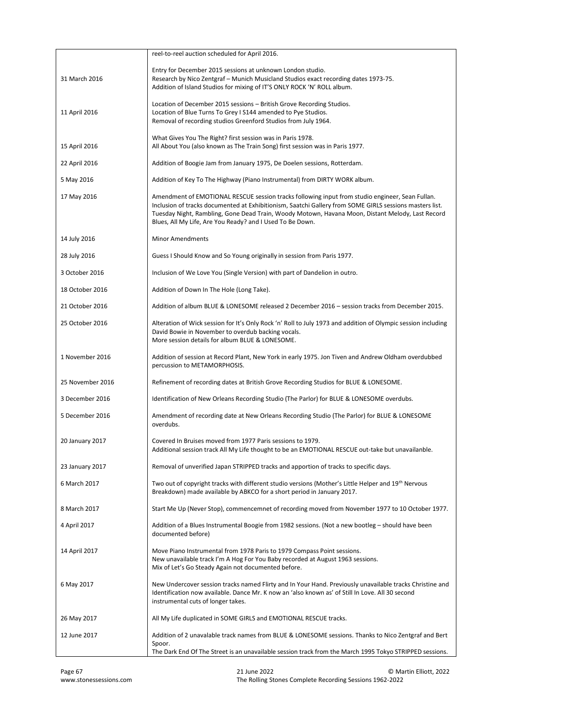|                  | reel-to-reel auction scheduled for April 2016.                                                                                                                                                                                                                                                                                                                              |
|------------------|-----------------------------------------------------------------------------------------------------------------------------------------------------------------------------------------------------------------------------------------------------------------------------------------------------------------------------------------------------------------------------|
| 31 March 2016    | Entry for December 2015 sessions at unknown London studio.<br>Research by Nico Zentgraf - Munich Musicland Studios exact recording dates 1973-75.<br>Addition of Island Studios for mixing of IT'S ONLY ROCK 'N' ROLL album.                                                                                                                                                |
| 11 April 2016    | Location of December 2015 sessions - British Grove Recording Studios.<br>Location of Blue Turns To Grey I S144 amended to Pye Studios.<br>Removal of recording studios Greenford Studios from July 1964.                                                                                                                                                                    |
| 15 April 2016    | What Gives You The Right? first session was in Paris 1978.<br>All About You (also known as The Train Song) first session was in Paris 1977.                                                                                                                                                                                                                                 |
| 22 April 2016    | Addition of Boogie Jam from January 1975, De Doelen sessions, Rotterdam.                                                                                                                                                                                                                                                                                                    |
| 5 May 2016       | Addition of Key To The Highway (Piano Instrumental) from DIRTY WORK album.                                                                                                                                                                                                                                                                                                  |
| 17 May 2016      | Amendment of EMOTIONAL RESCUE session tracks following input from studio engineer, Sean Fullan.<br>Inclusion of tracks documented at Exhibitionism, Saatchi Gallery from SOME GIRLS sessions masters list.<br>Tuesday Night, Rambling, Gone Dead Train, Woody Motown, Havana Moon, Distant Melody, Last Record<br>Blues, All My Life, Are You Ready? and I Used To Be Down. |
| 14 July 2016     | <b>Minor Amendments</b>                                                                                                                                                                                                                                                                                                                                                     |
| 28 July 2016     | Guess I Should Know and So Young originally in session from Paris 1977.                                                                                                                                                                                                                                                                                                     |
| 3 October 2016   | Inclusion of We Love You (Single Version) with part of Dandelion in outro.                                                                                                                                                                                                                                                                                                  |
| 18 October 2016  | Addition of Down In The Hole (Long Take).                                                                                                                                                                                                                                                                                                                                   |
| 21 October 2016  | Addition of album BLUE & LONESOME released 2 December 2016 - session tracks from December 2015.                                                                                                                                                                                                                                                                             |
| 25 October 2016  | Alteration of Wick session for It's Only Rock 'n' Roll to July 1973 and addition of Olympic session including<br>David Bowie in November to overdub backing vocals.<br>More session details for album BLUE & LONESOME.                                                                                                                                                      |
| 1 November 2016  | Addition of session at Record Plant, New York in early 1975. Jon Tiven and Andrew Oldham overdubbed<br>percussion to METAMORPHOSIS.                                                                                                                                                                                                                                         |
| 25 November 2016 | Refinement of recording dates at British Grove Recording Studios for BLUE & LONESOME.                                                                                                                                                                                                                                                                                       |
| 3 December 2016  | Identification of New Orleans Recording Studio (The Parlor) for BLUE & LONESOME overdubs.                                                                                                                                                                                                                                                                                   |
| 5 December 2016  | Amendment of recording date at New Orleans Recording Studio (The Parlor) for BLUE & LONESOME<br>overdubs.                                                                                                                                                                                                                                                                   |
| 20 January 2017  | Covered In Bruises moved from 1977 Paris sessions to 1979.<br>Additional session track All My Life thought to be an EMOTIONAL RESCUE out-take but unavailanble.                                                                                                                                                                                                             |
| 23 January 2017  | Removal of unverified Japan STRIPPED tracks and apportion of tracks to specific days.                                                                                                                                                                                                                                                                                       |
| 6 March 2017     | Two out of copyright tracks with different studio versions (Mother's Little Helper and 19 <sup>th</sup> Nervous<br>Breakdown) made available by ABKCO for a short period in January 2017.                                                                                                                                                                                   |
| 8 March 2017     | Start Me Up (Never Stop), commencemnet of recording moved from November 1977 to 10 October 1977.                                                                                                                                                                                                                                                                            |
| 4 April 2017     | Addition of a Blues Instrumental Boogie from 1982 sessions. (Not a new bootleg - should have been<br>documented before)                                                                                                                                                                                                                                                     |
| 14 April 2017    | Move Piano Instrumental from 1978 Paris to 1979 Compass Point sessions.<br>New unavailable track I'm A Hog For You Baby recorded at August 1963 sessions.<br>Mix of Let's Go Steady Again not documented before.                                                                                                                                                            |
| 6 May 2017       | New Undercover session tracks named Flirty and In Your Hand. Previously unavailable tracks Christine and<br>Identification now available. Dance Mr. K now an 'also known as' of Still In Love. All 30 second<br>instrumental cuts of longer takes.                                                                                                                          |
| 26 May 2017      | All My Life duplicated in SOME GIRLS and EMOTIONAL RESCUE tracks.                                                                                                                                                                                                                                                                                                           |
| 12 June 2017     | Addition of 2 unavalable track names from BLUE & LONESOME sessions. Thanks to Nico Zentgraf and Bert<br>Spoor.<br>The Dark End Of The Street is an unavailable session track from the March 1995 Tokyo STRIPPED sessions.                                                                                                                                                   |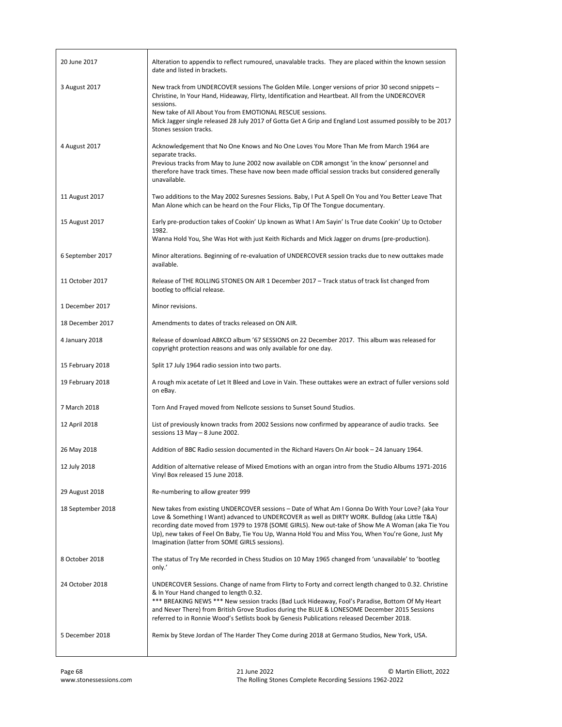| 20 June 2017      | Alteration to appendix to reflect rumoured, unavalable tracks. They are placed within the known session<br>date and listed in brackets.                                                                                                                                                                                                                                                                                                                            |
|-------------------|--------------------------------------------------------------------------------------------------------------------------------------------------------------------------------------------------------------------------------------------------------------------------------------------------------------------------------------------------------------------------------------------------------------------------------------------------------------------|
| 3 August 2017     | New track from UNDERCOVER sessions The Golden Mile. Longer versions of prior 30 second snippets –<br>Christine, In Your Hand, Hideaway, Flirty, Identification and Heartbeat. All from the UNDERCOVER<br>sessions.<br>New take of All About You from EMOTIONAL RESCUE sessions.<br>Mick Jagger single released 28 July 2017 of Gotta Get A Grip and England Lost assumed possibly to be 2017<br>Stones session tracks.                                             |
| 4 August 2017     | Acknowledgement that No One Knows and No One Loves You More Than Me from March 1964 are<br>separate tracks.<br>Previous tracks from May to June 2002 now available on CDR amongst 'in the know' personnel and<br>therefore have track times. These have now been made official session tracks but considered generally<br>unavailable.                                                                                                                             |
| 11 August 2017    | Two additions to the May 2002 Suresnes Sessions. Baby, I Put A Spell On You and You Better Leave That<br>Man Alone which can be heard on the Four Flicks, Tip Of The Tongue documentary.                                                                                                                                                                                                                                                                           |
| 15 August 2017    | Early pre-production takes of Cookin' Up known as What I Am Sayin' Is True date Cookin' Up to October<br>1982.<br>Wanna Hold You, She Was Hot with just Keith Richards and Mick Jagger on drums (pre-production).                                                                                                                                                                                                                                                  |
| 6 September 2017  | Minor alterations. Beginning of re-evaluation of UNDERCOVER session tracks due to new outtakes made<br>available.                                                                                                                                                                                                                                                                                                                                                  |
| 11 October 2017   | Release of THE ROLLING STONES ON AIR 1 December 2017 - Track status of track list changed from<br>bootleg to official release.                                                                                                                                                                                                                                                                                                                                     |
| 1 December 2017   | Minor revisions.                                                                                                                                                                                                                                                                                                                                                                                                                                                   |
| 18 December 2017  | Amendments to dates of tracks released on ON AIR.                                                                                                                                                                                                                                                                                                                                                                                                                  |
| 4 January 2018    | Release of download ABKCO album '67 SESSIONS on 22 December 2017. This album was released for<br>copyright protection reasons and was only available for one day.                                                                                                                                                                                                                                                                                                  |
| 15 February 2018  | Split 17 July 1964 radio session into two parts.                                                                                                                                                                                                                                                                                                                                                                                                                   |
| 19 February 2018  | A rough mix acetate of Let It Bleed and Love in Vain. These outtakes were an extract of fuller versions sold<br>on eBay.                                                                                                                                                                                                                                                                                                                                           |
| 7 March 2018      | Torn And Frayed moved from Nellcote sessions to Sunset Sound Studios.                                                                                                                                                                                                                                                                                                                                                                                              |
| 12 April 2018     | List of previously known tracks from 2002 Sessions now confirmed by appearance of audio tracks. See<br>sessions 13 May - 8 June 2002.                                                                                                                                                                                                                                                                                                                              |
| 26 May 2018       | Addition of BBC Radio session documented in the Richard Havers On Air book - 24 January 1964.                                                                                                                                                                                                                                                                                                                                                                      |
| 12 July 2018      | Addition of alternative release of Mixed Emotions with an organ intro from the Studio Albums 1971-2016<br>Vinyl Box released 15 June 2018.                                                                                                                                                                                                                                                                                                                         |
| 29 August 2018    | Re-numbering to allow greater 999                                                                                                                                                                                                                                                                                                                                                                                                                                  |
| 18 September 2018 | New takes from existing UNDERCOVER sessions – Date of What Am I Gonna Do With Your Love? (aka Your<br>Love & Something I Want) advanced to UNDERCOVER as well as DIRTY WORK. Bulldog (aka Little T&A)<br>recording date moved from 1979 to 1978 (SOME GIRLS). New out-take of Show Me A Woman (aka Tie You<br>Up), new takes of Feel On Baby, Tie You Up, Wanna Hold You and Miss You, When You're Gone, Just My<br>Imagination (latter from SOME GIRLS sessions). |
| 8 October 2018    | The status of Try Me recorded in Chess Studios on 10 May 1965 changed from 'unavailable' to 'bootleg<br>only.'                                                                                                                                                                                                                                                                                                                                                     |
| 24 October 2018   | UNDERCOVER Sessions. Change of name from Flirty to Forty and correct length changed to 0.32. Christine<br>& In Your Hand changed to length 0.32.<br>*** BREAKING NEWS *** New session tracks (Bad Luck Hideaway, Fool's Paradise, Bottom Of My Heart<br>and Never There) from British Grove Studios during the BLUE & LONESOME December 2015 Sessions<br>referred to in Ronnie Wood's Setlists book by Genesis Publications released December 2018.                |
| 5 December 2018   | Remix by Steve Jordan of The Harder They Come during 2018 at Germano Studios, New York, USA.                                                                                                                                                                                                                                                                                                                                                                       |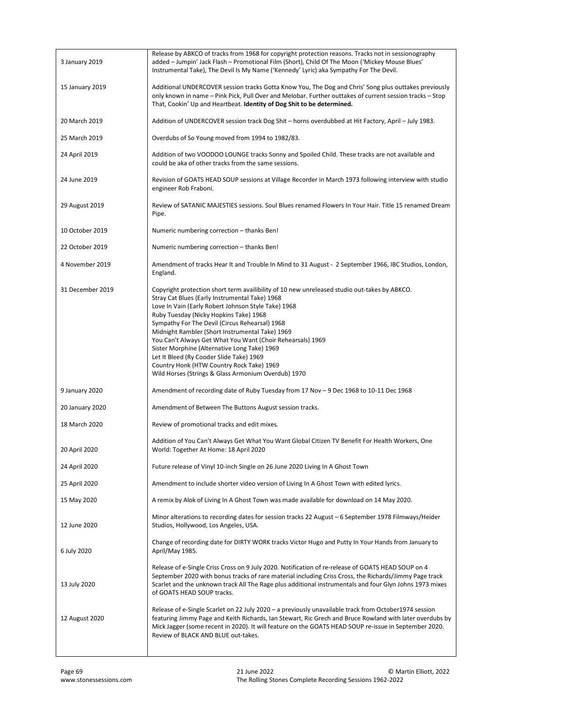| 3 January 2019   | Release by ABKCO of tracks from 1968 for copyright protection reasons. Tracks not in sessionography<br>added - Jumpin' Jack Flash - Promotional Film (Short), Child Of The Moon ('Mickey Mouse Blues'<br>Instrumental Take), The Devil Is My Name ('Kennedy' Lyric) aka Sympathy For The Devil.                                                                                                                                                                                                                                                                                                                    |
|------------------|--------------------------------------------------------------------------------------------------------------------------------------------------------------------------------------------------------------------------------------------------------------------------------------------------------------------------------------------------------------------------------------------------------------------------------------------------------------------------------------------------------------------------------------------------------------------------------------------------------------------|
| 15 January 2019  | Additional UNDERCOVER session tracks Gotta Know You, The Dog and Chris' Song plus outtakes previously<br>only known in name - Pink Pick, Pull Over and Melobar. Further outtakes of current session tracks - Stop<br>That, Cookin' Up and Heartbeat. Identity of Dog Shit to be determined.                                                                                                                                                                                                                                                                                                                        |
| 20 March 2019    | Addition of UNDERCOVER session track Dog Shit - horns overdubbed at Hit Factory, April - July 1983.                                                                                                                                                                                                                                                                                                                                                                                                                                                                                                                |
| 25 March 2019    | Overdubs of So Young moved from 1994 to 1982/83.                                                                                                                                                                                                                                                                                                                                                                                                                                                                                                                                                                   |
| 24 April 2019    | Addition of two VOODOO LOUNGE tracks Sonny and Spoiled Child. These tracks are not available and<br>could be aka of other tracks from the same sessions.                                                                                                                                                                                                                                                                                                                                                                                                                                                           |
| 24 June 2019     | Revision of GOATS HEAD SOUP sessions at Village Recorder in March 1973 following interview with studio<br>engineer Rob Fraboni.                                                                                                                                                                                                                                                                                                                                                                                                                                                                                    |
| 29 August 2019   | Review of SATANIC MAJESTIES sessions. Soul Blues renamed Flowers In Your Hair. Title 15 renamed Dream<br>Pipe.                                                                                                                                                                                                                                                                                                                                                                                                                                                                                                     |
| 10 October 2019  | Numeric numbering correction - thanks Ben!                                                                                                                                                                                                                                                                                                                                                                                                                                                                                                                                                                         |
| 22 October 2019  | Numeric numbering correction - thanks Ben!                                                                                                                                                                                                                                                                                                                                                                                                                                                                                                                                                                         |
| 4 November 2019  | Amendment of tracks Hear It and Trouble In Mind to 31 August - 2 September 1966, IBC Studios, London,<br>England.                                                                                                                                                                                                                                                                                                                                                                                                                                                                                                  |
| 31 December 2019 | Copyright protection short term availibility of 10 new unreleased studio out-takes by ABKCO.<br>Stray Cat Blues (Early Instrumental Take) 1968<br>Love In Vain (Early Robert Johnson Style Take) 1968<br>Ruby Tuesday (Nicky Hopkins Take) 1968<br>Sympathy For The Devil (Circus Rehearsal) 1968<br>Midnight Rambler (Short Instrumental Take) 1969<br>You Can't Always Get What You Want (Choir Rehearsals) 1969<br>Sister Morphine (Alternative Long Take) 1969<br>Let It Bleed (Ry Cooder Slide Take) 1969<br>Country Honk (HTW Country Rock Take) 1969<br>Wild Horses (Strings & Glass Armonium Overdub) 1970 |
| 9 January 2020   | Amendment of recording date of Ruby Tuesday from 17 Nov - 9 Dec 1968 to 10-11 Dec 1968                                                                                                                                                                                                                                                                                                                                                                                                                                                                                                                             |
| 20 January 2020  | Amendment of Between The Buttons August session tracks.                                                                                                                                                                                                                                                                                                                                                                                                                                                                                                                                                            |
| 18 March 2020    | Review of promotional tracks and edit mixes.                                                                                                                                                                                                                                                                                                                                                                                                                                                                                                                                                                       |
| 20 April 2020    | Addition of You Can't Always Get What You Want Global Citizen TV Benefit For Health Workers, One<br>World: Together At Home: 18 April 2020                                                                                                                                                                                                                                                                                                                                                                                                                                                                         |
| 24 April 2020    | Future release of Vinyl 10-inch Single on 26 June 2020 Living In A Ghost Town                                                                                                                                                                                                                                                                                                                                                                                                                                                                                                                                      |
| 25 April 2020    | Amendment to include shorter video version of Living In A Ghost Town with edited lyrics.                                                                                                                                                                                                                                                                                                                                                                                                                                                                                                                           |
| 15 May 2020      | A remix by Alok of Living In A Ghost Town was made available for download on 14 May 2020.                                                                                                                                                                                                                                                                                                                                                                                                                                                                                                                          |
| 12 June 2020     | Minor alterations to recording dates for session tracks 22 August - 6 September 1978 Filmways/Heider<br>Studios, Hollywood, Los Angeles, USA.                                                                                                                                                                                                                                                                                                                                                                                                                                                                      |
| 6 July 2020      | Change of recording date for DIRTY WORK tracks Victor Hugo and Putty In Your Hands from January to<br>April/May 1985.                                                                                                                                                                                                                                                                                                                                                                                                                                                                                              |
| 13 July 2020     | Release of e-Single Criss Cross on 9 July 2020. Notification of re-release of GOATS HEAD SOUP on 4<br>September 2020 with bonus tracks of rare material including Criss Cross, the Richards/Jimmy Page track<br>Scarlet and the unknown track All The Rage plus additional instrumentals and four Glyn Johns 1973 mixes<br>of GOATS HEAD SOUP tracks.                                                                                                                                                                                                                                                              |
| 12 August 2020   | Release of e-Single Scarlet on 22 July 2020 - a previously unavailable track from October1974 session<br>featuring Jimmy Page and Keith Richards, Ian Stewart, Ric Grech and Bruce Rowland with later overdubs by<br>Mick Jagger (some recent in 2020). It will feature on the GOATS HEAD SOUP re-issue in September 2020.<br>Review of BLACK AND BLUE out-takes.                                                                                                                                                                                                                                                  |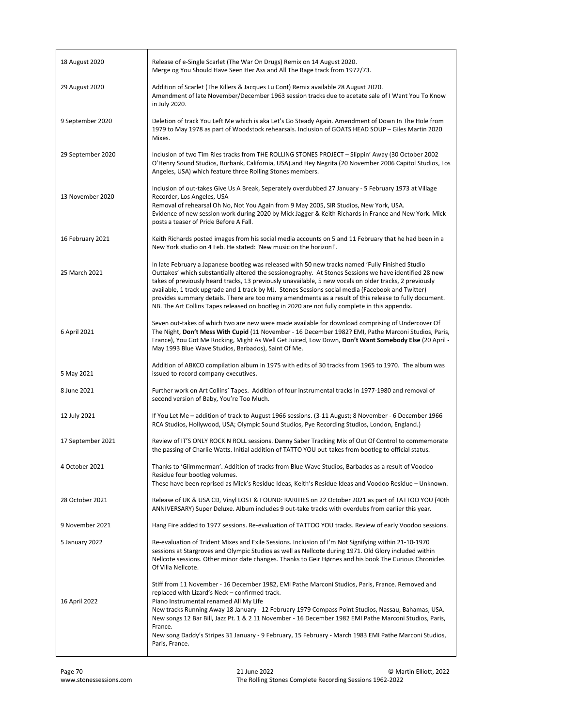| 18 August 2020    | Release of e-Single Scarlet (The War On Drugs) Remix on 14 August 2020.<br>Merge og You Should Have Seen Her Ass and All The Rage track from 1972/73.                                                                                                                                                                                                                                                                                                                                                                                                                                                                                  |
|-------------------|----------------------------------------------------------------------------------------------------------------------------------------------------------------------------------------------------------------------------------------------------------------------------------------------------------------------------------------------------------------------------------------------------------------------------------------------------------------------------------------------------------------------------------------------------------------------------------------------------------------------------------------|
| 29 August 2020    | Addition of Scarlet (The Killers & Jacques Lu Cont) Remix available 28 August 2020.<br>Amendment of late November/December 1963 session tracks due to acetate sale of I Want You To Know<br>in July 2020.                                                                                                                                                                                                                                                                                                                                                                                                                              |
| 9 September 2020  | Deletion of track You Left Me which is aka Let's Go Steady Again. Amendment of Down In The Hole from<br>1979 to May 1978 as part of Woodstock rehearsals. Inclusion of GOATS HEAD SOUP - Giles Martin 2020<br>Mixes.                                                                                                                                                                                                                                                                                                                                                                                                                   |
| 29 September 2020 | Inclusion of two Tim Ries tracks from THE ROLLING STONES PROJECT - Slippin' Away (30 October 2002<br>O'Henry Sound Studios, Burbank, California, USA) and Hey Negrita (20 November 2006 Capitol Studios, Los<br>Angeles, USA) which feature three Rolling Stones members.                                                                                                                                                                                                                                                                                                                                                              |
| 13 November 2020  | Inclusion of out-takes Give Us A Break, Seperately overdubbed 27 January - 5 February 1973 at Village<br>Recorder, Los Angeles, USA<br>Removal of rehearsal Oh No, Not You Again from 9 May 2005, SIR Studios, New York, USA.<br>Evidence of new session work during 2020 by Mick Jagger & Keith Richards in France and New York. Mick<br>posts a teaser of Pride Before A Fall.                                                                                                                                                                                                                                                       |
| 16 February 2021  | Keith Richards posted images from his social media accounts on 5 and 11 February that he had been in a<br>New York studio on 4 Feb. He stated: 'New music on the horizon!'.                                                                                                                                                                                                                                                                                                                                                                                                                                                            |
| 25 March 2021     | In late February a Japanese bootleg was released with 50 new tracks named 'Fully Finished Studio<br>Outtakes' which substantially altered the sessionography. At Stones Sessions we have identified 28 new<br>takes of previously heard tracks, 13 previously unavailable, 5 new vocals on older tracks, 2 previously<br>available, 1 track upgrade and 1 track by MJ. Stones Sessions social media (Facebook and Twitter)<br>provides summary details. There are too many amendments as a result of this release to fully document.<br>NB. The Art Collins Tapes released on bootleg in 2020 are not fully complete in this appendix. |
| 6 April 2021      | Seven out-takes of which two are new were made available for download comprising of Undercover Of<br>The Night, Don't Mess With Cupid (11 November - 16 December 1982? EMI, Pathe Marconi Studios, Paris,<br>France), You Got Me Rocking, Might As Well Get Juiced, Low Down, Don't Want Somebody Else (20 April -<br>May 1993 Blue Wave Studios, Barbados), Saint Of Me.                                                                                                                                                                                                                                                              |
| 5 May 2021        | Addition of ABKCO compilation album in 1975 with edits of 30 tracks from 1965 to 1970. The album was<br>issued to record company executives.                                                                                                                                                                                                                                                                                                                                                                                                                                                                                           |
| 8 June 2021       | Further work on Art Collins' Tapes. Addition of four instrumental tracks in 1977-1980 and removal of<br>second version of Baby, You're Too Much.                                                                                                                                                                                                                                                                                                                                                                                                                                                                                       |
| 12 July 2021      | If You Let Me - addition of track to August 1966 sessions. (3-11 August; 8 November - 6 December 1966<br>RCA Studios, Hollywood, USA; Olympic Sound Studios, Pye Recording Studios, London, England.)                                                                                                                                                                                                                                                                                                                                                                                                                                  |
| 17 September 2021 | Review of IT'S ONLY ROCK N ROLL sessions. Danny Saber Tracking Mix of Out Of Control to commemorate<br>the passing of Charlie Watts. Initial addition of TATTO YOU out-takes from bootleg to official status.                                                                                                                                                                                                                                                                                                                                                                                                                          |
| 4 October 2021    | Thanks to 'Glimmerman'. Addition of tracks from Blue Wave Studios, Barbados as a result of Voodoo<br>Residue four bootleg volumes.                                                                                                                                                                                                                                                                                                                                                                                                                                                                                                     |
|                   | These have been reprised as Mick's Residue Ideas, Keith's Residue Ideas and Voodoo Residue - Unknown.                                                                                                                                                                                                                                                                                                                                                                                                                                                                                                                                  |
| 28 October 2021   | Release of UK & USA CD, Vinyl LOST & FOUND: RARITIES on 22 October 2021 as part of TATTOO YOU (40th<br>ANNIVERSARY) Super Deluxe. Album includes 9 out-take tracks with overdubs from earlier this year.                                                                                                                                                                                                                                                                                                                                                                                                                               |
| 9 November 2021   | Hang Fire added to 1977 sessions. Re-evaluation of TATTOO YOU tracks. Review of early Voodoo sessions.                                                                                                                                                                                                                                                                                                                                                                                                                                                                                                                                 |
| 5 January 2022    | Re-evaluation of Trident Mixes and Exile Sessions. Inclusion of I'm Not Signifying within 21-10-1970<br>sessions at Stargroves and Olympic Studios as well as Nellcote during 1971. Old Glory included within<br>Nellcote sessions. Other minor date changes. Thanks to Geir Hørnes and his book The Curious Chronicles<br>Of Villa Nellcote.                                                                                                                                                                                                                                                                                          |
| 16 April 2022     | Stiff from 11 November - 16 December 1982, EMI Pathe Marconi Studios, Paris, France. Removed and<br>replaced with Lizard's Neck - confirmed track.<br>Piano Instrumental renamed All My Life<br>New tracks Running Away 18 January - 12 February 1979 Compass Point Studios, Nassau, Bahamas, USA.<br>New songs 12 Bar Bill, Jazz Pt. 1 & 2 11 November - 16 December 1982 EMI Pathe Marconi Studios, Paris,<br>France.<br>New song Daddy's Stripes 31 January - 9 February, 15 February - March 1983 EMI Pathe Marconi Studios,<br>Paris, France.                                                                                     |
|                   |                                                                                                                                                                                                                                                                                                                                                                                                                                                                                                                                                                                                                                        |